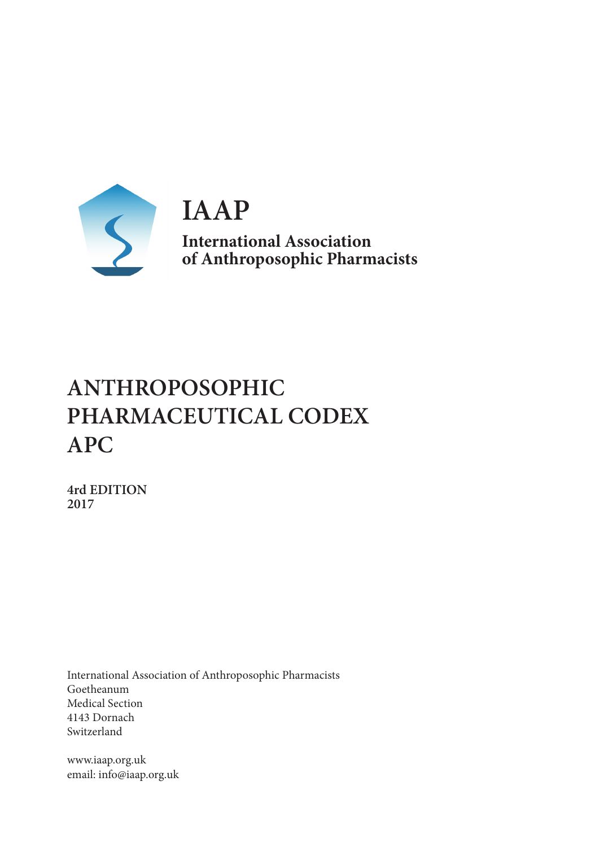

**IAAP International Association of Anthroposophic Pharmacists**

# **ANTHROPOSOPHIC PHARMACEUTICAL CODEX APC**

**4rd EDITION 2017**

International Association of Anthroposophic Pharmacists Goetheanum Medical Section 4143 Dornach Switzerland

www.iaap.org.uk email: info@iaap.org.uk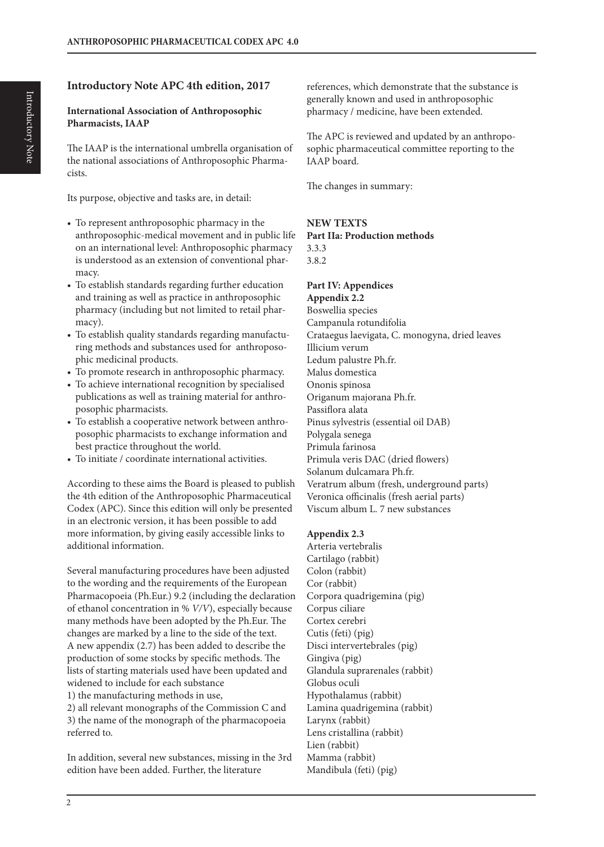# **Introductory Note APC 4th edition, 2017**

#### **International Association of Anthroposophic Pharmacists, IAAP**

The IAAP is the international umbrella organisation of the national associations of Anthroposophic Pharmacists.

Its purpose, objective and tasks are, in detail:

- To represent anthroposophic pharmacy in the anthroposophic-medical movement and in public life on an international level: Anthroposophic pharmacy is understood as an extension of conventional pharmacy.
- To establish standards regarding further education and training as well as practice in anthroposophic pharmacy (including but not limited to retail pharmacy).
- To establish quality standards regarding manufacturing methods and substances used for anthroposophic medicinal products.
- To promote research in anthroposophic pharmacy.
- To achieve international recognition by specialised publications as well as training material for anthroposophic pharmacists.
- To establish a cooperative network between anthroposophic pharmacists to exchange information and best practice throughout the world.
- To initiate / coordinate international activities.

According to these aims the Board is pleased to publish the 4th edition of the Anthroposophic Pharmaceutical Codex (APC). Since this edition will only be presented in an electronic version, it has been possible to add more information, by giving easily accessible links to additional information.

Several manufacturing procedures have been adjusted to the wording and the requirements of the European Pharmacopoeia (Ph.Eur.) 9.2 (including the declaration of ethanol concentration in % *V/V*), especially because many methods have been adopted by the Ph.Eur. The changes are marked by a line to the side of the text. A new appendix (2.7) has been added to describe the production of some stocks by specific methods. The lists of starting materials used have been updated and widened to include for each substance

1) the manufacturing methods in use,

2) all relevant monographs of the Commission C and 3) the name of the monograph of the pharmacopoeia referred to.

In addition, several new substances, missing in the 3rd edition have been added. Further, the literature

references, which demonstrate that the substance is generally known and used in anthroposophic pharmacy / medicine, have been extended.

The APC is reviewed and updated by an anthroposophic pharmaceutical committee reporting to the IAAP board.

The changes in summary:

#### **NEW TEXTS**

**Part IIa: Production methods** 3.3.3 3.8.2

# **Part IV: Appendices**

**Appendix 2.2** Boswellia species Campanula rotundifolia Crataegus laevigata, C. monogyna, dried leaves Illicium verum Ledum palustre Ph.fr. Malus domestica Ononis spinosa Origanum majorana Ph.fr. Passiflora alata Pinus sylvestris (essential oil DAB) Polygala senega Primula farinosa Primula veris DAC (dried flowers) Solanum dulcamara Ph.fr. Veratrum album (fresh, underground parts) Veronica officinalis (fresh aerial parts) Viscum album L. 7 new substances

#### **Appendix 2.3**

Arteria vertebralis Cartilago (rabbit) Colon (rabbit) Cor (rabbit) Corpora quadrigemina (pig) Corpus ciliare Cortex cerebri Cutis (feti) (pig) Disci intervertebrales (pig) Gingiva (pig) Glandula suprarenales (rabbit) Globus oculi Hypothalamus (rabbit) Lamina quadrigemina (rabbit) Larynx (rabbit) Lens cristallina (rabbit) Lien (rabbit) Mamma (rabbit) Mandibula (feti) (pig)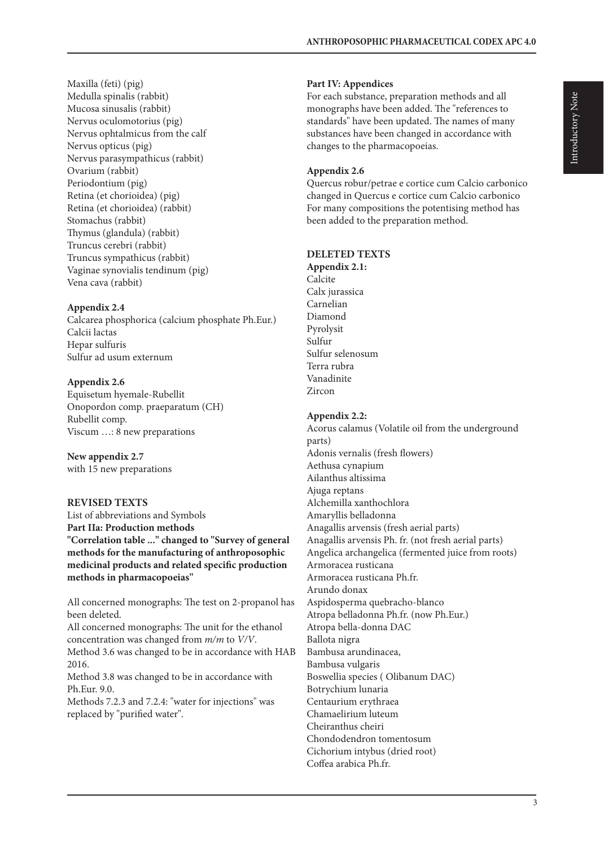Maxilla (feti) (pig) Medulla spinalis (rabbit) Mucosa sinusalis (rabbit) Nervus oculomotorius (pig) Nervus ophtalmicus from the calf Nervus opticus (pig) Nervus parasympathicus (rabbit) Ovarium (rabbit) Periodontium (pig) Retina (et chorioidea) (pig) Retina (et chorioidea) (rabbit) Stomachus (rabbit) Thymus (glandula) (rabbit) Truncus cerebri (rabbit) Truncus sympathicus (rabbit) Vaginae synovialis tendinum (pig) Vena cava (rabbit)

#### **Appendix 2.4**

Calcarea phosphorica (calcium phosphate Ph.Eur.) Calcii lactas Hepar sulfuris Sulfur ad usum externum

#### **Appendix 2.6**

Equisetum hyemale-Rubellit Onopordon comp. praeparatum (CH) Rubellit comp. Viscum …: 8 new preparations

**New appendix 2.7** with 15 new preparations

#### **REVISED TEXTS**

List of abbreviations and Symbols **Part IIa: Production methods "Correlation table ..." changed to "Survey of general methods for the manufacturing of anthroposophic medicinal products and related specific production methods in pharmacopoeias"**

All concerned monographs: The test on 2-propanol has been deleted.

All concerned monographs: The unit for the ethanol concentration was changed from *m/m* to *V/V*. Method 3.6 was changed to be in accordance with HAB 2016. Method 3.8 was changed to be in accordance with Ph.Eur. 9.0.

Methods 7.2.3 and 7.2.4: "water for injections" was replaced by "purified water".

#### **Part IV: Appendices**

For each substance, preparation methods and all monographs have been added. The "references to standards" have been updated. The names of many substances have been changed in accordance with changes to the pharmacopoeias.

#### **Appendix 2.6**

Quercus robur/petrae e cortice cum Calcio carbonico changed in Quercus e cortice cum Calcio carbonico For many compositions the potentising method has been added to the preparation method.

#### **DELETED TEXTS**

**Appendix 2.1:** Calcite Calx jurassica Carnelian Diamond Pyrolysit Sulfur Sulfur selenosum Terra rubra Vanadinite Zircon

#### **Appendix 2.2:**

Acorus calamus (Volatile oil from the underground parts) Adonis vernalis (fresh flowers) Aethusa cynapium Ailanthus altissima Ajuga reptans Alchemilla xanthochlora Amaryllis belladonna Anagallis arvensis (fresh aerial parts) Anagallis arvensis Ph. fr. (not fresh aerial parts) Angelica archangelica (fermented juice from roots) Armoracea rusticana Armoracea rusticana Ph.fr. Arundo donax Aspidosperma quebracho-blanco Atropa belladonna Ph.fr. (now Ph.Eur.) Atropa bella-donna DAC Ballota nigra Bambusa arundinacea, Bambusa vulgaris Boswellia species ( Olibanum DAC) Botrychium lunaria Centaurium erythraea Chamaelirium luteum Cheiranthus cheiri Chondodendron tomentosum Cichorium intybus (dried root) Coffea arabica Ph.fr.

3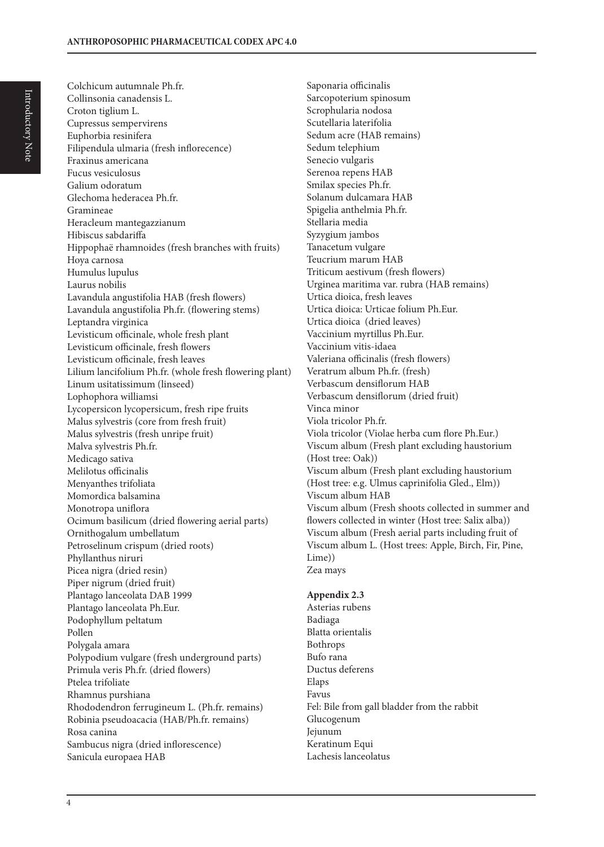Colchicum autumnale Ph.fr. Collinsonia canadensis L. Croton tiglium L. Cupressus sempervirens Euphorbia resinifera Filipendula ulmaria (fresh inflorecence) Fraxinus americana Fucus vesiculosus Galium odoratum Glechoma hederacea Ph.fr. Gramineae Heracleum mantegazzianum Hibiscus sabdariffa Hippophaë rhamnoides (fresh branches with fruits) Hoya carnosa Humulus lupulus Laurus nobilis Lavandula angustifolia HAB (fresh flowers) Lavandula angustifolia Ph.fr. (flowering stems) Leptandra virginica Levisticum officinale, whole fresh plant Levisticum officinale, fresh flowers Levisticum officinale, fresh leaves Lilium lancifolium Ph.fr. (whole fresh flowering plant) Linum usitatissimum (linseed) Lophophora williamsi Lycopersicon lycopersicum, fresh ripe fruits Malus sylvestris (core from fresh fruit) Malus sylvestris (fresh unripe fruit) Malva sylvestris Ph.fr. Medicago sativa Melilotus officinalis Menyanthes trifoliata Momordica balsamina Monotropa uniflora Ocimum basilicum (dried flowering aerial parts) Ornithogalum umbellatum Petroselinum crispum (dried roots) Phyllanthus niruri Picea nigra (dried resin) Piper nigrum (dried fruit) Plantago lanceolata DAB 1999 Plantago lanceolata Ph.Eur. Podophyllum peltatum Pollen Polygala amara Polypodium vulgare (fresh underground parts) Primula veris Ph.fr. (dried flowers) Ptelea trifoliate Rhamnus purshiana Rhododendron ferrugineum L. (Ph.fr. remains) Robinia pseudoacacia (HAB/Ph.fr. remains) Rosa canina Sambucus nigra (dried inflorescence) Sanicula europaea HAB

Saponaria officinalis Sarcopoterium spinosum Scrophularia nodosa Scutellaria laterifolia Sedum acre (HAB remains) Sedum telephium Senecio vulgaris Serenoa repens HAB Smilax species Ph.fr. Solanum dulcamara HAB Spigelia anthelmia Ph.fr. Stellaria media Syzygium jambos Tanacetum vulgare Teucrium marum HAB Triticum aestivum (fresh flowers) Urginea maritima var. rubra (HAB remains) Urtica dioica, fresh leaves Urtica dioica: Urticae folium Ph.Eur. Urtica dioica (dried leaves) Vaccinium myrtillus Ph.Eur. Vaccinium vitis-idaea Valeriana officinalis (fresh flowers) Veratrum album Ph.fr. (fresh) Verbascum densiflorum HAB Verbascum densiflorum (dried fruit) Vinca minor Viola tricolor Ph.fr. Viola tricolor (Violae herba cum flore Ph.Eur.) Viscum album (Fresh plant excluding haustorium (Host tree: Oak)) Viscum album (Fresh plant excluding haustorium (Host tree: e.g. Ulmus caprinifolia Gled., Elm)) Viscum album HAB Viscum album (Fresh shoots collected in summer and flowers collected in winter (Host tree: Salix alba)) Viscum album (Fresh aerial parts including fruit of Viscum album L. (Host trees: Apple, Birch, Fir, Pine, Lime)) Zea mays

#### **Appendix 2.3**

Asterias rubens Badiaga Blatta orientalis Bothrops Bufo rana Ductus deferens Elaps Favus Fel: Bile from gall bladder from the rabbit Glucogenum Jejunum Keratinum Equi Lachesis lanceolatus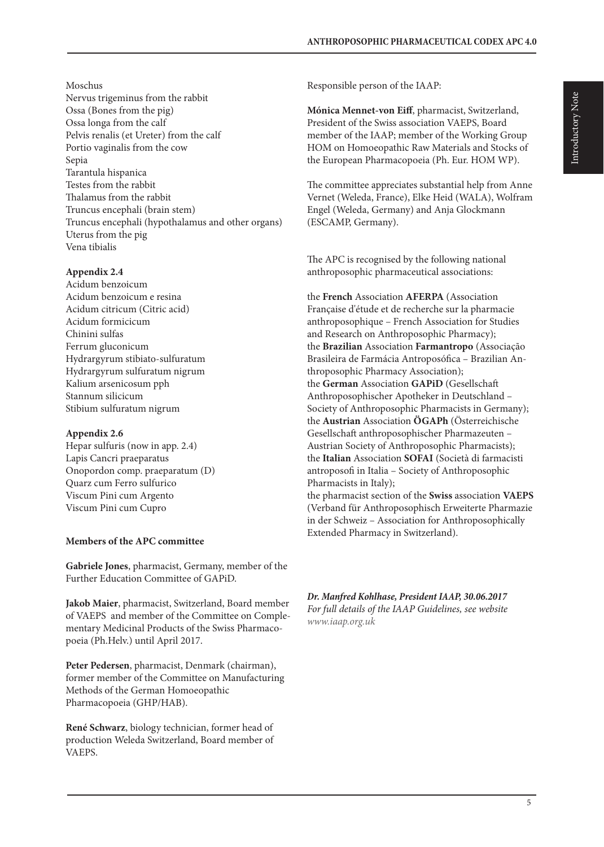#### Moschus

Nervus trigeminus from the rabbit Ossa (Bones from the pig) Ossa longa from the calf Pelvis renalis (et Ureter) from the calf Portio vaginalis from the cow Sepia Tarantula hispanica Testes from the rabbit Thalamus from the rabbit Truncus encephali (brain stem) Truncus encephali (hypothalamus and other organs) Uterus from the pig Vena tibialis

#### **Appendix 2.4**

Acidum benzoicum Acidum benzoicum e resina Acidum citricum (Citric acid) Acidum formicicum Chinini sulfas Ferrum gluconicum Hydrargyrum stibiato-sulfuratum Hydrargyrum sulfuratum nigrum Kalium arsenicosum pph Stannum silicicum Stibium sulfuratum nigrum

#### **Appendix 2.6**

Hepar sulfuris (now in app. 2.4) Lapis Cancri praeparatus Onopordon comp. praeparatum (D) Quarz cum Ferro sulfurico Viscum Pini cum Argento Viscum Pini cum Cupro

#### **Members of the APC committee**

**Gabriele Jones**, pharmacist, Germany, member of the Further Education Committee of GAPiD.

**Jakob Maier**, pharmacist, Switzerland, Board member of VAEPS and member of the Committee on Complementary Medicinal Products of the Swiss Pharmacopoeia (Ph.Helv.) until April 2017.

**Peter Pedersen**, pharmacist, Denmark (chairman), former member of the Committee on Manufacturing Methods of the German Homoeopathic Pharmacopoeia (GHP/HAB).

**René Schwarz**, biology technician, former head of production Weleda Switzerland, Board member of VAEPS.

Responsible person of the IAAP:

**Mónica Mennet-von Eiff**, pharmacist, Switzerland, President of the Swiss association VAEPS, Board member of the IAAP; member of the Working Group HOM on Homoeopathic Raw Materials and Stocks of the European Pharmacopoeia (Ph. Eur. HOM WP).

The committee appreciates substantial help from Anne Vernet (Weleda, France), Elke Heid (WALA), Wolfram Engel (Weleda, Germany) and Anja Glockmann (ESCAMP, Germany).

The APC is recognised by the following national anthroposophic pharmaceutical associations:

the **French** Association **AFERPA** (Association Française d'étude et de recherche sur la pharmacie anthroposophique – French Association for Studies and Research on Anthroposophic Pharmacy); the **Brazilian** Association **Farmantropo** (Associação Brasileira de Farmácia Antroposófica – Brazilian Anthroposophic Pharmacy Association); the **German** Association **GAPiD** (Gesellschaft Anthroposophischer Apotheker in Deutschland – Society of Anthroposophic Pharmacists in Germany); the **Austrian** Association **ÖGAPh** (Österreichische Gesellschaft anthroposophischer Pharmazeuten – Austrian Society of Anthroposophic Pharmacists); the **Italian** Association **SOFAI** (Società di farmacisti antroposofi in Italia – Society of Anthroposophic Pharmacists in Italy);

the pharmacist section of the **Swiss** association **VAEPS** (Verband für Anthroposophisch Erweiterte Pharmazie in der Schweiz – Association for Anthroposophically Extended Pharmacy in Switzerland).

*Dr. Manfred Kohlhase, President IAAP, 30.06.2017 For full details of the IAAP Guidelines, see website www.iaap.org.uk*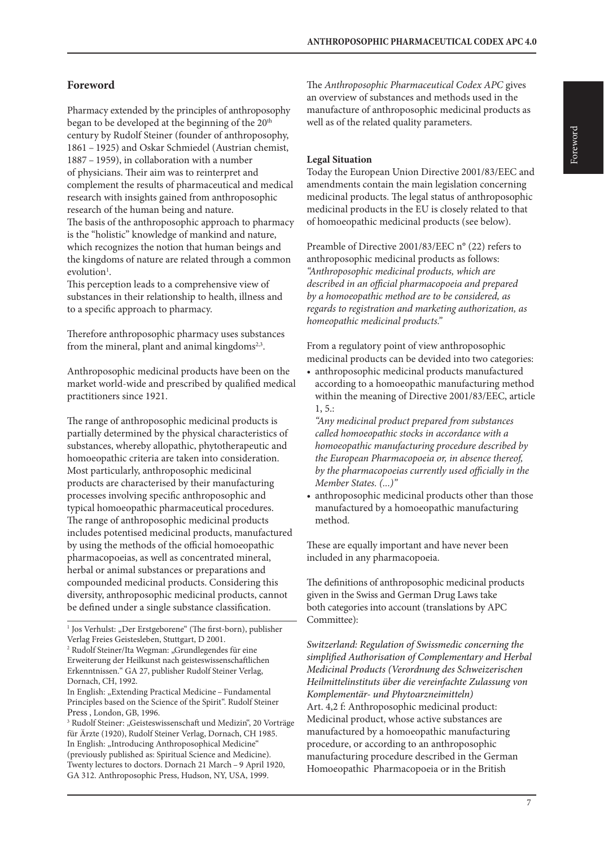# **Foreword**

Pharmacy extended by the principles of anthroposophy began to be developed at the beginning of the 20<sup>th</sup> century by Rudolf Steiner (founder of anthroposophy, 1861 – 1925) and Oskar Schmiedel (Austrian chemist, 1887 – 1959), in collaboration with a number of physicians. Their aim was to reinterpret and complement the results of pharmaceutical and medical research with insights gained from anthroposophic research of the human being and nature. The basis of the anthroposophic approach to pharmacy is the "holistic" knowledge of mankind and nature, which recognizes the notion that human beings and the kingdoms of nature are related through a common evolution<sup>1</sup>.

This perception leads to a comprehensive view of substances in their relationship to health, illness and to a specific approach to pharmacy.

Therefore anthroposophic pharmacy uses substances from the mineral, plant and animal kingdoms<sup>2,3</sup>.

Anthroposophic medicinal products have been on the market world-wide and prescribed by qualified medical practitioners since 1921.

The range of anthroposophic medicinal products is partially determined by the physical characteristics of substances, whereby allopathic, phytotherapeutic and homoeopathic criteria are taken into consideration. Most particularly, anthroposophic medicinal products are characterised by their manufacturing processes involving specific anthroposophic and typical homoeopathic pharmaceutical procedures. The range of anthroposophic medicinal products includes potentised medicinal products, manufactured by using the methods of the official homoeopathic pharmacopoeias, as well as concentrated mineral, herbal or animal substances or preparations and compounded medicinal products. Considering this diversity, anthroposophic medicinal products, cannot be defined under a single substance classification.

The *Anthroposophic Pharmaceutical Codex APC* gives an overview of substances and methods used in the manufacture of anthroposophic medicinal products as well as of the related quality parameters.

#### **Legal Situation**

Today the European Union Directive 2001/83/EEC and amendments contain the main legislation concerning medicinal products. The legal status of anthroposophic medicinal products in the EU is closely related to that of homoeopathic medicinal products (see below).

Preamble of Directive 2001/83/EEC n° (22) refers to anthroposophic medicinal products as follows: *"Anthroposophic medicinal products, which are described in an official pharmacopoeia and prepared by a homoeopathic method are to be considered, as regards to registration and marketing authorization, as homeopathic medicinal products."*

From a regulatory point of view anthroposophic medicinal products can be devided into two categories:

• anthroposophic medicinal products manufactured according to a homoeopathic manufacturing method within the meaning of Directive 2001/83/EEC, article  $1, 5.$ :

*"Any medicinal product prepared from substances called homoeopathic stocks in accordance with a homoeopathic manufacturing procedure described by the European Pharmacopoeia or, in absence thereof, by the pharmacopoeias currently used officially in the Member States. (...)"*

• anthroposophic medicinal products other than those manufactured by a homoeopathic manufacturing method.

These are equally important and have never been included in any pharmacopoeia.

The definitions of anthroposophic medicinal products given in the Swiss and German Drug Laws take both categories into account (translations by APC Committee):

*Switzerland: Regulation of Swissmedic concerning the simplified Authorisation of Complementary and Herbal Medicinal Products (Verordnung des Schweizerischen Heilmittelinstituts über die vereinfachte Zulassung von Komplementär- und Phytoarzneimitteln)* Art. 4,2 f: Anthroposophic medicinal product: Medicinal product, whose active substances are manufactured by a homoeopathic manufacturing procedure, or according to an anthroposophic manufacturing procedure described in the German Homoeopathic Pharmacopoeia or in the British

<sup>&</sup>lt;sup>1</sup> Jos Verhulst: "Der Erstgeborene" (The first-born), publisher Verlag Freies Geistesleben, Stuttgart, D 2001.

<sup>&</sup>lt;sup>2</sup> Rudolf Steiner/Ita Wegman: "Grundlegendes für eine Erweiterung der Heilkunst nach geisteswissenschaftlichen Erkenntnissen." GA 27, publisher Rudolf Steiner Verlag, Dornach, CH, 1992.

In English: "Extending Practical Medicine – Fundamental Principles based on the Science of the Spirit". Rudolf Steiner Press , London, GB, 1996.

<sup>&</sup>lt;sup>3</sup> Rudolf Steiner: "Geisteswissenschaft und Medizin", 20 Vorträge für Ärzte (1920), Rudolf Steiner Verlag, Dornach, CH 1985. In English: "Introducing Anthroposophical Medicine" (previously published as: Spiritual Science and Medicine). Twenty lectures to doctors. Dornach 21 March – 9 April 1920, GA 312. Anthroposophic Press, Hudson, NY, USA, 1999.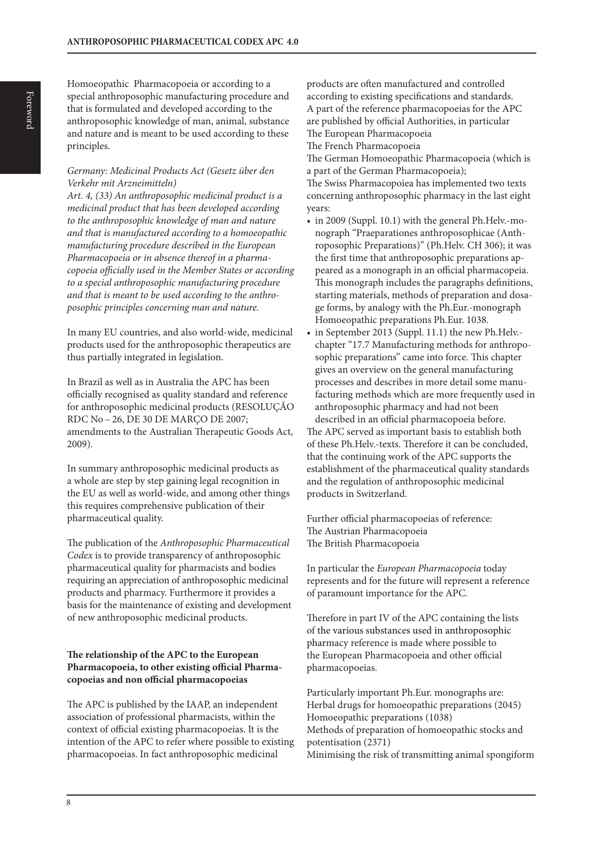Homoeopathic Pharmacopoeia or according to a special anthroposophic manufacturing procedure and that is formulated and developed according to the anthroposophic knowledge of man, animal, substance and nature and is meant to be used according to these principles.

#### *Germany: Medicinal Products Act (Gesetz über den Verkehr mit Arzneimitteln)*

*Art. 4, (33) An anthroposophic medicinal product is a medicinal product that has been developed according to the anthroposophic knowledge of man and nature and that is manufactured according to a homoeopathic manufacturing procedure described in the European Pharmacopoeia or in absence thereof in a pharmacopoeia officially used in the Member States or according to a special anthroposophic manufacturing procedure and that is meant to be used according to the anthroposophic principles concerning man and nature.*

In many EU countries, and also world-wide, medicinal products used for the anthroposophic therapeutics are thus partially integrated in legislation.

In Brazil as well as in Australia the APC has been officially recognised as quality standard and reference for anthroposophic medicinal products (RESOLUÇÃO RDC No – 26, DE 30 DE MARÇO DE 2007; amendments to the Australian Therapeutic Goods Act, 2009).

In summary anthroposophic medicinal products as a whole are step by step gaining legal recognition in the EU as well as world-wide, and among other things this requires comprehensive publication of their pharmaceutical quality.

The publication of the *Anthroposophic Pharmaceutical Codex* is to provide transparency of anthroposophic pharmaceutical quality for pharmacists and bodies requiring an appreciation of anthroposophic medicinal products and pharmacy. Furthermore it provides a basis for the maintenance of existing and development of new anthroposophic medicinal products.

#### **The relationship of the APC to the European Pharmacopoeia, to other existing official Pharmacopoeias and non official pharmacopoeias**

The APC is published by the IAAP, an independent association of professional pharmacists, within the context of official existing pharmacopoeias. It is the intention of the APC to refer where possible to existing pharmacopoeias. In fact anthroposophic medicinal

products are often manufactured and controlled according to existing specifications and standards. A part of the reference pharmacopoeias for the APC are published by official Authorities, in particular The European Pharmacopoeia The French Pharmacopoeia

The German Homoeopathic Pharmacopoeia (which is a part of the German Pharmacopoeia); The Swiss Pharmacopoiea has implemented two texts concerning anthroposophic pharmacy in the last eight

- years: • in 2009 (Suppl. 10.1) with the general Ph.Helv.-monograph "Praeparationes anthroposophicae (Anthroposophic Preparations)" (Ph.Helv. CH 306); it was the first time that anthroposophic preparations appeared as a monograph in an official pharmacopeia. This monograph includes the paragraphs definitions, starting materials, methods of preparation and dosage forms, by analogy with the Ph.Eur.-monograph Homoeopathic preparations Ph.Eur. 1038.
- in September 2013 (Suppl. 11.1) the new Ph.Helv. chapter "17.7 Manufacturing methods for anthroposophic preparations" came into force. This chapter gives an overview on the general manufacturing processes and describes in more detail some manufacturing methods which are more frequently used in anthroposophic pharmacy and had not been described in an official pharmacopoeia before. The APC served as important basis to establish both of these Ph.Helv.-texts. Therefore it can be concluded, that the continuing work of the APC supports the establishment of the pharmaceutical quality standards and the regulation of anthroposophic medicinal products in Switzerland.

Further official pharmacopoeias of reference: The Austrian Pharmacopoeia The British Pharmacopoeia

In particular the *European Pharmacopoeia* today represents and for the future will represent a reference of paramount importance for the APC.

Therefore in part IV of the APC containing the lists of the various substances used in anthroposophic pharmacy reference is made where possible to the European Pharmacopoeia and other official pharmacopoeias.

Particularly important Ph.Eur. monographs are: Herbal drugs for homoeopathic preparations (2045) Homoeopathic preparations (1038) Methods of preparation of homoeopathic stocks and potentisation (2371) Minimising the risk of transmitting animal spongiform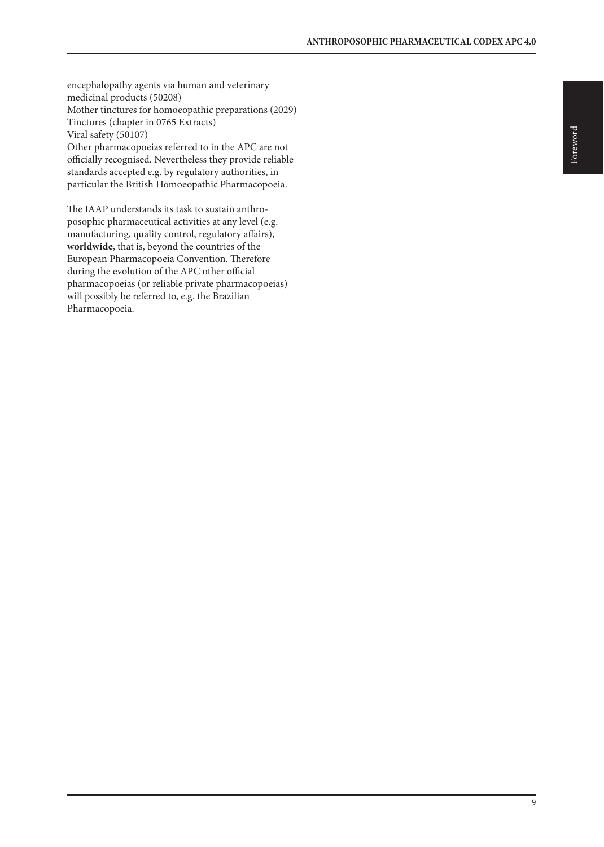encephalopathy agents via human and veterinary medicinal products (50208) Mother tinctures for homoeopathic preparations (2029) Tinctures (chapter in 0765 Extracts) Viral safety (50107) Other pharmacopoeias referred to in the APC are not officially recognised. Nevertheless they provide reliable standards accepted e.g. by regulatory authorities, in particular the British Homoeopathic Pharmacopoeia.

The IAAP understands its task to sustain anthroposophic pharmaceutical activities at any level (e.g. manufacturing, quality control, regulatory affairs), **worldwide**, that is, beyond the countries of the European Pharmacopoeia Convention. Therefore during the evolution of the APC other official pharmacopoeias (or reliable private pharmacopoeias) will possibly be referred to, e.g. the Brazilian Pharmacopoeia.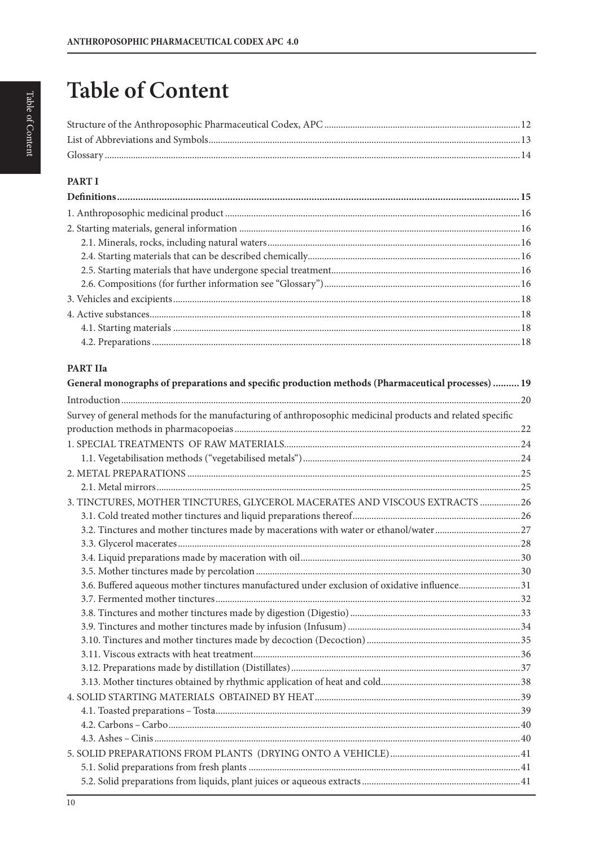# **Table of Content**

# **PART I**

# PART IIa

| General monographs of preparations and specific production methods (Pharmaceutical processes)  19         |  |
|-----------------------------------------------------------------------------------------------------------|--|
|                                                                                                           |  |
| Survey of general methods for the manufacturing of anthroposophic medicinal products and related specific |  |
|                                                                                                           |  |
|                                                                                                           |  |
|                                                                                                           |  |
|                                                                                                           |  |
|                                                                                                           |  |
| 3. TINCTURES, MOTHER TINCTURES, GLYCEROL MACERATES AND VISCOUS EXTRACTS  26                               |  |
|                                                                                                           |  |
|                                                                                                           |  |
|                                                                                                           |  |
|                                                                                                           |  |
|                                                                                                           |  |
| 3.6. Buffered aqueous mother tinctures manufactured under exclusion of oxidative influence31              |  |
|                                                                                                           |  |
|                                                                                                           |  |
|                                                                                                           |  |
|                                                                                                           |  |
|                                                                                                           |  |
|                                                                                                           |  |
|                                                                                                           |  |
|                                                                                                           |  |
|                                                                                                           |  |
|                                                                                                           |  |
|                                                                                                           |  |
|                                                                                                           |  |
|                                                                                                           |  |
|                                                                                                           |  |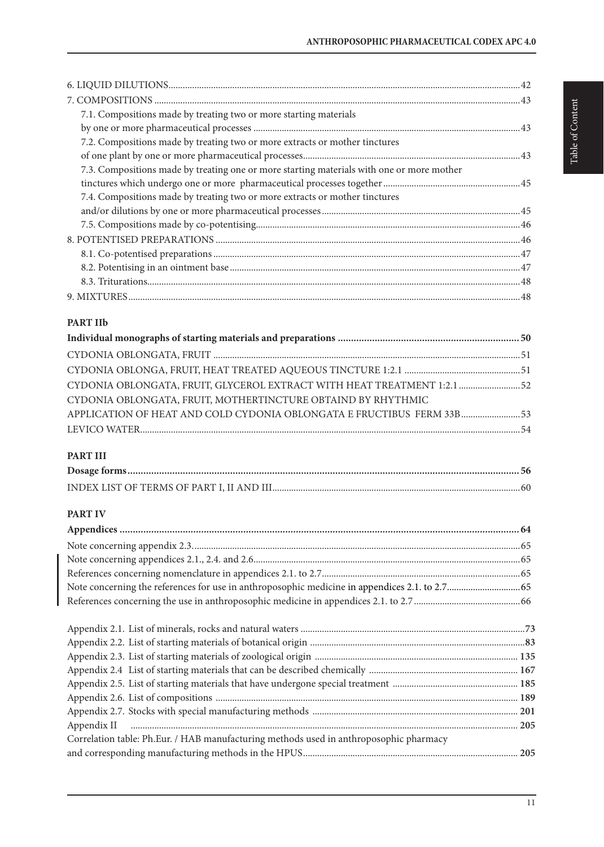| 7.1. Compositions made by treating two or more starting materials                         |  |
|-------------------------------------------------------------------------------------------|--|
|                                                                                           |  |
| 7.2. Compositions made by treating two or more extracts or mother tinctures               |  |
|                                                                                           |  |
| 7.3. Compositions made by treating one or more starting materials with one or more mother |  |
|                                                                                           |  |
| 7.4. Compositions made by treating two or more extracts or mother tinctures               |  |
|                                                                                           |  |
|                                                                                           |  |
|                                                                                           |  |
|                                                                                           |  |
|                                                                                           |  |
|                                                                                           |  |
|                                                                                           |  |
|                                                                                           |  |
| <b>PART IIb</b>                                                                           |  |
|                                                                                           |  |
|                                                                                           |  |
|                                                                                           |  |
| CYDONIA OBLONGATA, FRUIT, GLYCEROL EXTRACT WITH HEAT TREATMENT 1:2.1  52                  |  |
| CYDONIA OBLONGATA, FRUIT, MOTHERTINCTURE OBTAIND BY RHYTHMIC                              |  |
| APPLICATION OF HEAT AND COLD CYDONIA OBLONGATA E FRUCTIBUS FERM 33B 53                    |  |
|                                                                                           |  |
|                                                                                           |  |

# **PART III**

# **PART IV**

| Correlation table: Ph.Eur. / HAB manufacturing methods used in anthroposophic pharmacy |  |
|----------------------------------------------------------------------------------------|--|
|                                                                                        |  |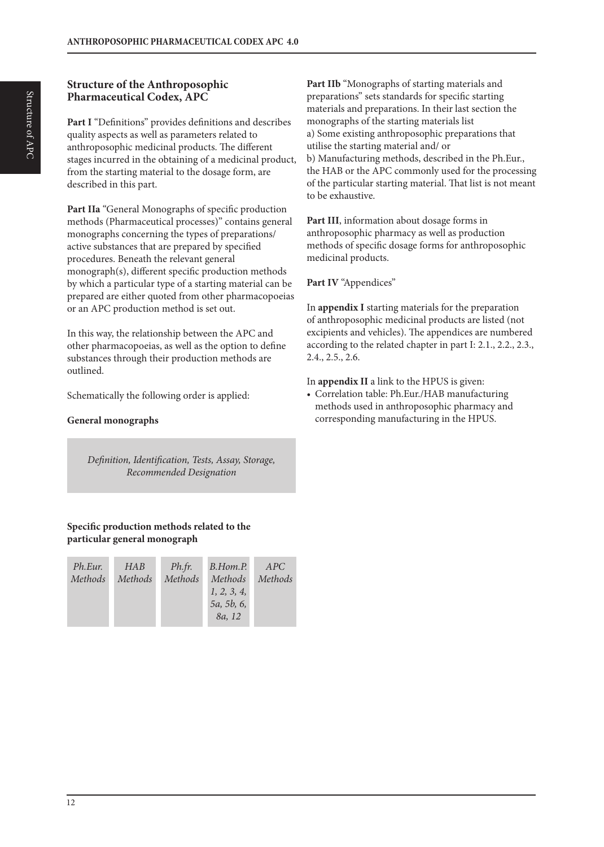# **Structure of the Anthroposophic Pharmaceutical Codex, APC**

**Part I** "Definitions" provides definitions and describes quality aspects as well as parameters related to anthroposophic medicinal products. The different stages incurred in the obtaining of a medicinal product, from the starting material to the dosage form, are described in this part.

Part IIa "General Monographs of specific production methods (Pharmaceutical processes)" contains general monographs concerning the types of preparations/ active substances that are prepared by specified procedures. Beneath the relevant general monograph(s), different specific production methods by which a particular type of a starting material can be prepared are either quoted from other pharmacopoeias or an APC production method is set out.

In this way, the relationship between the APC and other pharmacopoeias, as well as the option to define substances through their production methods are outlined.

Schematically the following order is applied:

# **General monographs**

*Definition, Identification, Tests, Assay, Storage, Recommended Designation*

# **Specific production methods related to the particular general monograph**

| Ph.Eur. | HAB     | Ph.fr.  | B.Hom.P.    | APC     |
|---------|---------|---------|-------------|---------|
| Methods | Methods | Methods | Methods     | Methods |
|         |         |         | 1, 2, 3, 4, |         |
|         |         |         | 5a, 5b, 6,  |         |
|         |         |         | 8a, 12      |         |

**Part IIb** "Monographs of starting materials and preparations" sets standards for specific starting materials and preparations. In their last section the monographs of the starting materials list a) Some existing anthroposophic preparations that utilise the starting material and/ or b) Manufacturing methods, described in the Ph.Eur., the HAB or the APC commonly used for the processing of the particular starting material. That list is not meant to be exhaustive.

**Part III**, information about dosage forms in anthroposophic pharmacy as well as production methods of specific dosage forms for anthroposophic medicinal products.

**Part IV** "Appendices"

In **appendix I** starting materials for the preparation of anthroposophic medicinal products are listed (not excipients and vehicles). The appendices are numbered according to the related chapter in part I: 2.1., 2.2., 2.3., 2.4., 2.5., 2.6.

In **appendix II** a link to the HPUS is given:

• Correlation table: Ph.Eur./HAB manufacturing methods used in anthroposophic pharmacy and corresponding manufacturing in the HPUS.

12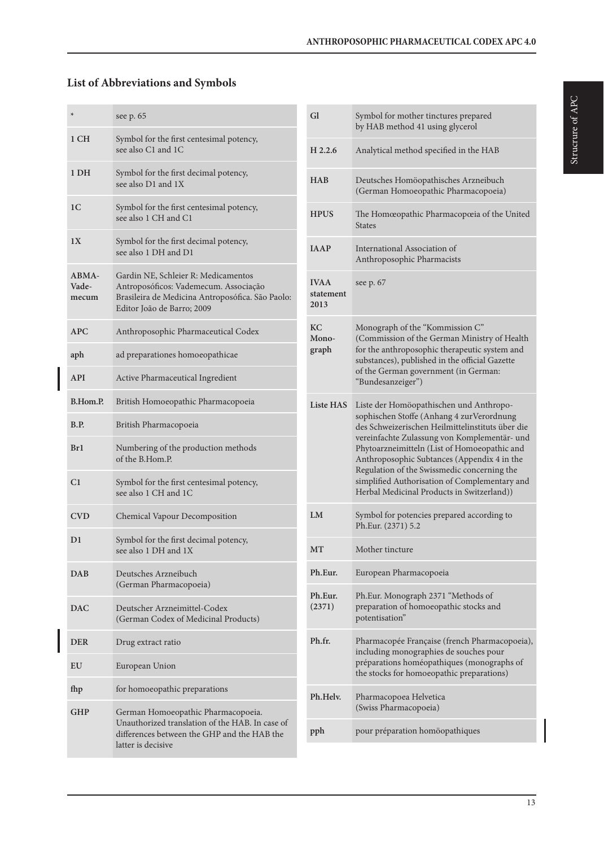# **List of Abbreviations and Symbols**

| ⊁                       | see p. 65                                                                                                                                                      |
|-------------------------|----------------------------------------------------------------------------------------------------------------------------------------------------------------|
| 1 CH                    | Symbol for the first centesimal potency,<br>see also C1 and 1C                                                                                                 |
| 1 DH                    | Symbol for the first decimal potency,<br>see also D1 and 1X                                                                                                    |
| 1 <sup>C</sup>          | Symbol for the first centesimal potency,<br>see also 1 CH and C1                                                                                               |
| 1X                      | Symbol for the first decimal potency,<br>see also 1 DH and D1                                                                                                  |
| ABMA-<br>Vade-<br>mecum | Gardin NE, Schleier R: Medicamentos<br>Antroposóficos: Vademecum. Associação<br>Brasileira de Medicina Antroposófica. São Paolo:<br>Editor João de Barro; 2009 |
| APC                     | Anthroposophic Pharmaceutical Codex                                                                                                                            |
| aph                     | ad preparationes homoeopathicae                                                                                                                                |
| <b>API</b>              | Active Pharmaceutical Ingredient                                                                                                                               |
| B.Hom.P.                | British Homoeopathic Pharmacopoeia                                                                                                                             |
| B.P.                    | British Pharmacopoeia                                                                                                                                          |
| Br1                     | Numbering of the production methods<br>of the B.Hom.P.                                                                                                         |
| C1                      | Symbol for the first centesimal potency,<br>see also 1 CH and 1C                                                                                               |
| <b>CVD</b>              | <b>Chemical Vapour Decomposition</b>                                                                                                                           |
| D1                      | Symbol for the first decimal potency,<br>see also 1 DH and 1X                                                                                                  |
| <b>DAB</b>              | Deutsches Arzneibuch<br>(German Pharmacopoeia)                                                                                                                 |
| <b>DAC</b>              | Deutscher Arzneimittel-Codex<br>(German Codex of Medicinal Products)                                                                                           |
| <b>DER</b>              | Drug extract ratio                                                                                                                                             |
| EU                      | European Union                                                                                                                                                 |
| fhp                     | for homoeopathic preparations                                                                                                                                  |
| GHP                     | German Homoeopathic Pharmacopoeia.<br>Unauthorized translation of the HAB. In case of<br>differences between the GHP and the HAB the<br>latter is decisive     |

| Gl                               | Symbol for mother tinctures prepared<br>by HAB method 41 using glycerol                                                                                                                                                                                                                                                                                                                                                                |
|----------------------------------|----------------------------------------------------------------------------------------------------------------------------------------------------------------------------------------------------------------------------------------------------------------------------------------------------------------------------------------------------------------------------------------------------------------------------------------|
| H 2.2.6                          | Analytical method specified in the HAB                                                                                                                                                                                                                                                                                                                                                                                                 |
| <b>HAB</b>                       | Deutsches Homöopathisches Arzneibuch<br>(German Homoeopathic Pharmacopoeia)                                                                                                                                                                                                                                                                                                                                                            |
| <b>HPUS</b>                      | The Homœopathic Pharmacopœia of the United<br><b>States</b>                                                                                                                                                                                                                                                                                                                                                                            |
| <b>JAAP</b>                      | International Association of<br>Anthroposophic Pharmacists                                                                                                                                                                                                                                                                                                                                                                             |
| <b>IVAA</b><br>statement<br>2013 | see p. 67                                                                                                                                                                                                                                                                                                                                                                                                                              |
| KС<br>Mono-<br>graph             | Monograph of the "Kommission C"<br>(Commission of the German Ministry of Health<br>for the anthroposophic therapeutic system and<br>substances), published in the official Gazette<br>of the German government (in German:<br>"Bundesanzeiger")                                                                                                                                                                                        |
| <b>Liste HAS</b>                 | Liste der Homöopathischen und Anthropo-<br>sophischen Stoffe (Anhang 4 zur Verordnung<br>des Schweizerischen Heilmittelinstituts über die<br>vereinfachte Zulassung von Komplementär- und<br>Phytoarzneimitteln (List of Homoeopathic and<br>Anthroposophic Subtances (Appendix 4 in the<br>Regulation of the Swissmedic concerning the<br>simplified Authorisation of Complementary and<br>Herbal Medicinal Products in Switzerland)) |
| LM                               | Symbol for potencies prepared according to<br>Ph.Eur. (2371) 5.2                                                                                                                                                                                                                                                                                                                                                                       |
| MТ                               | Mother tincture                                                                                                                                                                                                                                                                                                                                                                                                                        |
| Ph.Eur.                          | European Pharmacopoeia                                                                                                                                                                                                                                                                                                                                                                                                                 |
| Ph.Eur.<br>(2371)                | Ph.Eur. Monograph 2371 "Methods of<br>preparation of homoeopathic stocks and<br>potentisation"                                                                                                                                                                                                                                                                                                                                         |
| Ph.fr.                           | Pharmacopée Française (french Pharmacopoeia),<br>including monographies de souches pour<br>préparations homéopathiques (monographs of<br>the stocks for homoeopathic preparations)                                                                                                                                                                                                                                                     |
| Ph.Helv.                         | Pharmacopoea Helvetica<br>(Swiss Pharmacopoeia)                                                                                                                                                                                                                                                                                                                                                                                        |
| pph                              | pour préparation homöopathiques                                                                                                                                                                                                                                                                                                                                                                                                        |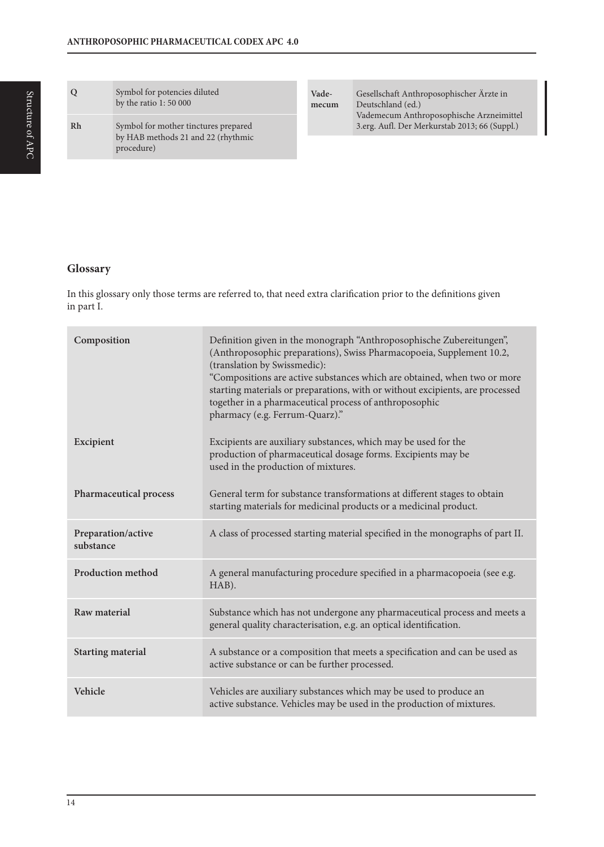#### **Glossary**

In this glossary only those terms are referred to, that need extra clarification prior to the definitions given in part I.

| Composition                     | Definition given in the monograph "Anthroposophische Zubereitungen",<br>(Anthroposophic preparations), Swiss Pharmacopoeia, Supplement 10.2,<br>(translation by Swissmedic):<br>"Compositions are active substances which are obtained, when two or more<br>starting materials or preparations, with or without excipients, are processed<br>together in a pharmaceutical process of anthroposophic<br>pharmacy (e.g. Ferrum-Quarz)." |
|---------------------------------|---------------------------------------------------------------------------------------------------------------------------------------------------------------------------------------------------------------------------------------------------------------------------------------------------------------------------------------------------------------------------------------------------------------------------------------|
| Excipient                       | Excipients are auxiliary substances, which may be used for the<br>production of pharmaceutical dosage forms. Excipients may be<br>used in the production of mixtures.                                                                                                                                                                                                                                                                 |
| Pharmaceutical process          | General term for substance transformations at different stages to obtain<br>starting materials for medicinal products or a medicinal product.                                                                                                                                                                                                                                                                                         |
| Preparation/active<br>substance | A class of processed starting material specified in the monographs of part II.                                                                                                                                                                                                                                                                                                                                                        |
| <b>Production method</b>        | A general manufacturing procedure specified in a pharmacopoeia (see e.g.<br>HAB).                                                                                                                                                                                                                                                                                                                                                     |
| Raw material                    | Substance which has not undergone any pharmaceutical process and meets a<br>general quality characterisation, e.g. an optical identification.                                                                                                                                                                                                                                                                                         |
| <b>Starting material</b>        | A substance or a composition that meets a specification and can be used as<br>active substance or can be further processed.                                                                                                                                                                                                                                                                                                           |
| Vehicle                         | Vehicles are auxiliary substances which may be used to produce an<br>active substance. Vehicles may be used in the production of mixtures.                                                                                                                                                                                                                                                                                            |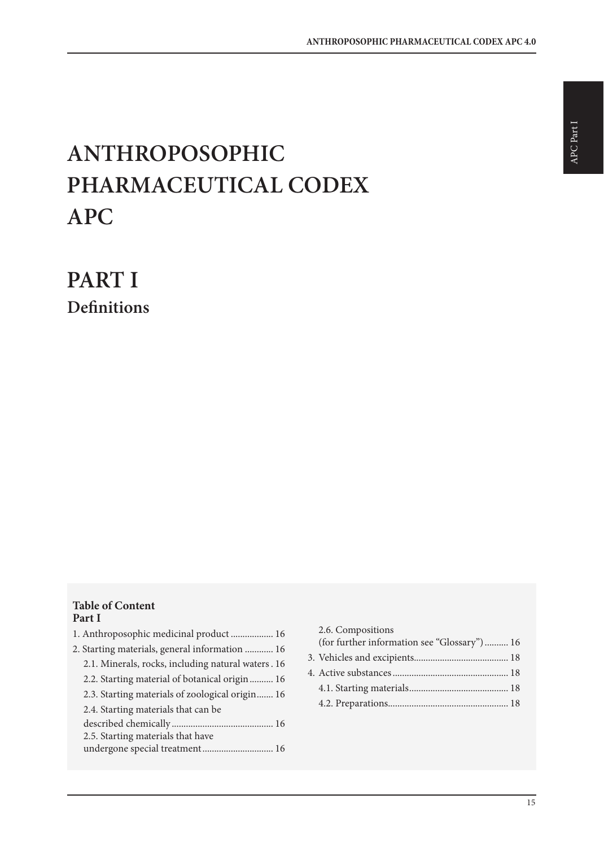# **ANTHROPOSOPHIC PHARMACEUTICAL CODEX APC**

**PART I Definitions**

# **Table of Content Part I**

| 1. Anthroposophic medicinal product  16            |
|----------------------------------------------------|
| 2. Starting materials, general information  16     |
| 2.1. Minerals, rocks, including natural waters. 16 |
| 2.2. Starting material of botanical origin  16     |
| 2.3. Starting materials of zoological origin 16    |
| 2.4. Starting materials that can be                |
|                                                    |
| 2.5. Starting materials that have                  |
| undergone special treatment 16                     |
|                                                    |

| 2.6. Compositions                           |  |
|---------------------------------------------|--|
| (for further information see "Glossary") 16 |  |
|                                             |  |
|                                             |  |
|                                             |  |
|                                             |  |
|                                             |  |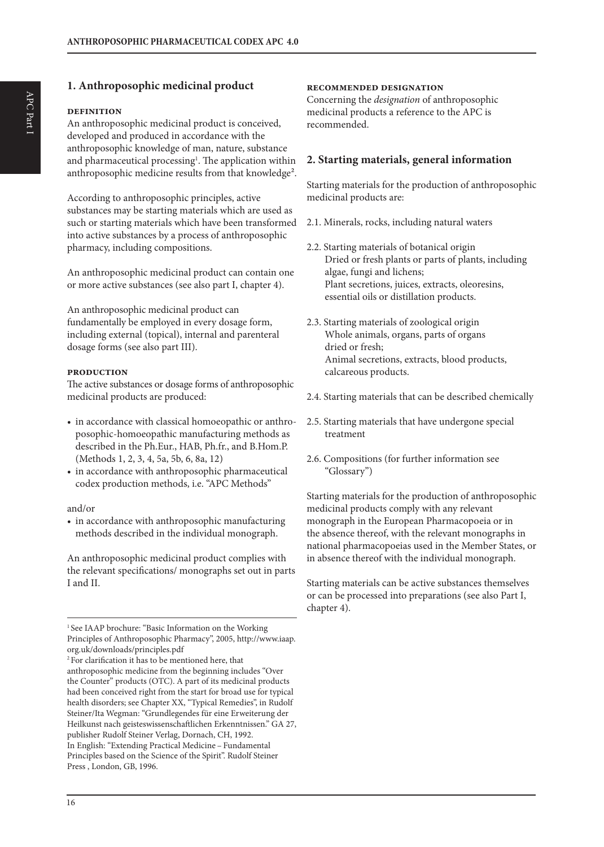# **1. Anthroposophic medicinal product**

#### **definition**

APC Part I

APC Part 1

An anthroposophic medicinal product is conceived, developed and produced in accordance with the anthroposophic knowledge of man, nature, substance and pharmaceutical processing<sup>1</sup>. The application within anthroposophic medicine results from that knowledge².

According to anthroposophic principles, active substances may be starting materials which are used as such or starting materials which have been transformed into active substances by a process of anthroposophic pharmacy, including compositions.

An anthroposophic medicinal product can contain one or more active substances (see also part I, chapter 4).

An anthroposophic medicinal product can fundamentally be employed in every dosage form, including external (topical), internal and parenteral dosage forms (see also part III).

#### **production**

The active substances or dosage forms of anthroposophic medicinal products are produced:

- in accordance with classical homoeopathic or anthroposophic-homoeopathic manufacturing methods as described in the Ph.Eur., HAB, Ph.fr., and B.Hom.P. (Methods 1, 2, 3, 4, 5a, 5b, 6, 8a, 12)
- in accordance with anthroposophic pharmaceutical codex production methods, i.e. "APC Methods"

#### and/or

• in accordance with anthroposophic manufacturing methods described in the individual monograph.

An anthroposophic medicinal product complies with the relevant specifications/ monographs set out in parts I and II.

<sup>1</sup> See IAAP brochure: "Basic Information on the Working Principles of Anthroposophic Pharmacy", 2005, http://www.iaap. org.uk/downloads/principles.pdf

#### **recommended designation**

Concerning the *designation* of anthroposophic medicinal products a reference to the APC is recommended.

#### **2. Starting materials, general information**

Starting materials for the production of anthroposophic medicinal products are:

- 2.1. Minerals, rocks, including natural waters
- 2.2. Starting materials of botanical origin Dried or fresh plants or parts of plants, including algae, fungi and lichens; Plant secretions, juices, extracts, oleoresins, essential oils or distillation products.
- 2.3. Starting materials of zoological origin Whole animals, organs, parts of organs dried or fresh; Animal secretions, extracts, blood products, calcareous products.
- 2.4. Starting materials that can be described chemically
- 2.5. Starting materials that have undergone special treatment
- 2.6. Compositions (for further information see "Glossary")

Starting materials for the production of anthroposophic medicinal products comply with any relevant monograph in the European Pharmacopoeia or in the absence thereof, with the relevant monographs in national pharmacopoeias used in the Member States, or in absence thereof with the individual monograph.

Starting materials can be active substances themselves or can be processed into preparations (see also Part I, chapter 4).

<sup>2</sup> For clarification it has to be mentioned here, that anthroposophic medicine from the beginning includes "Over the Counter" products (OTC). A part of its medicinal products had been conceived right from the start for broad use for typical health disorders; see Chapter XX, "Typical Remedies", in Rudolf Steiner/Ita Wegman: "Grundlegendes für eine Erweiterung der Heilkunst nach geisteswissenschaftlichen Erkenntnissen." GA 27, publisher Rudolf Steiner Verlag, Dornach, CH, 1992. In English: "Extending Practical Medicine – Fundamental Principles based on the Science of the Spirit". Rudolf Steiner Press , London, GB, 1996.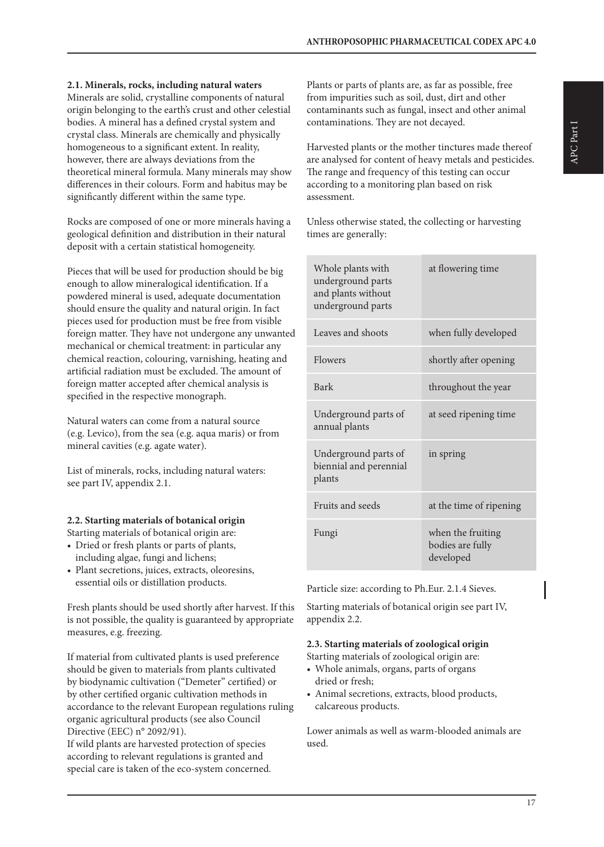**2.1. Minerals, rocks, including natural waters**

Minerals are solid, crystalline components of natural origin belonging to the earth's crust and other celestial bodies. A mineral has a defined crystal system and crystal class. Minerals are chemically and physically homogeneous to a significant extent. In reality, however, there are always deviations from the theoretical mineral formula. Many minerals may show differences in their colours. Form and habitus may be significantly different within the same type.

Rocks are composed of one or more minerals having a geological definition and distribution in their natural deposit with a certain statistical homogeneity.

Pieces that will be used for production should be big enough to allow mineralogical identification. If a powdered mineral is used, adequate documentation should ensure the quality and natural origin. In fact pieces used for production must be free from visible foreign matter. They have not undergone any unwanted mechanical or chemical treatment: in particular any chemical reaction, colouring, varnishing, heating and artificial radiation must be excluded. The amount of foreign matter accepted after chemical analysis is specified in the respective monograph.

Natural waters can come from a natural source (e.g. Levico), from the sea (e.g. aqua maris) or from mineral cavities (e.g. agate water).

List of minerals, rocks, including natural waters: see part IV, appendix 2.1.

#### **2.2. Starting materials of botanical origin**

Starting materials of botanical origin are:

- Dried or fresh plants or parts of plants, including algae, fungi and lichens;
- Plant secretions, juices, extracts, oleoresins, essential oils or distillation products.

Fresh plants should be used shortly after harvest. If this is not possible, the quality is guaranteed by appropriate measures, e.g. freezing.

If material from cultivated plants is used preference should be given to materials from plants cultivated by biodynamic cultivation ("Demeter" certified) or by other certified organic cultivation methods in accordance to the relevant European regulations ruling organic agricultural products (see also Council Directive (EEC) n° 2092/91).

If wild plants are harvested protection of species according to relevant regulations is granted and special care is taken of the eco-system concerned. Plants or parts of plants are, as far as possible, free from impurities such as soil, dust, dirt and other contaminants such as fungal, insect and other animal contaminations. They are not decayed.

Harvested plants or the mother tinctures made thereof are analysed for content of heavy metals and pesticides. The range and frequency of this testing can occur according to a monitoring plan based on risk assessment.

Unless otherwise stated, the collecting or harvesting times are generally:

| Whole plants with<br>underground parts<br>and plants without<br>underground parts | at flowering time                                  |
|-----------------------------------------------------------------------------------|----------------------------------------------------|
| Leaves and shoots                                                                 | when fully developed                               |
| Flowers                                                                           | shortly after opening                              |
| Bark                                                                              | throughout the year                                |
| Underground parts of<br>annual plants                                             | at seed ripening time                              |
| Underground parts of<br>biennial and perennial<br>plants                          | in spring                                          |
| Fruits and seeds                                                                  | at the time of ripening                            |
| Fungi                                                                             | when the fruiting<br>bodies are fully<br>developed |

Particle size: according to Ph.Eur. 2.1.4 Sieves.

Starting materials of botanical origin see part IV, appendix 2.2.

# **2.3. Starting materials of zoological origin**

Starting materials of zoological origin are:

- Whole animals, organs, parts of organs dried or fresh;
- Animal secretions, extracts, blood products, calcareous products.

Lower animals as well as warm-blooded animals are used.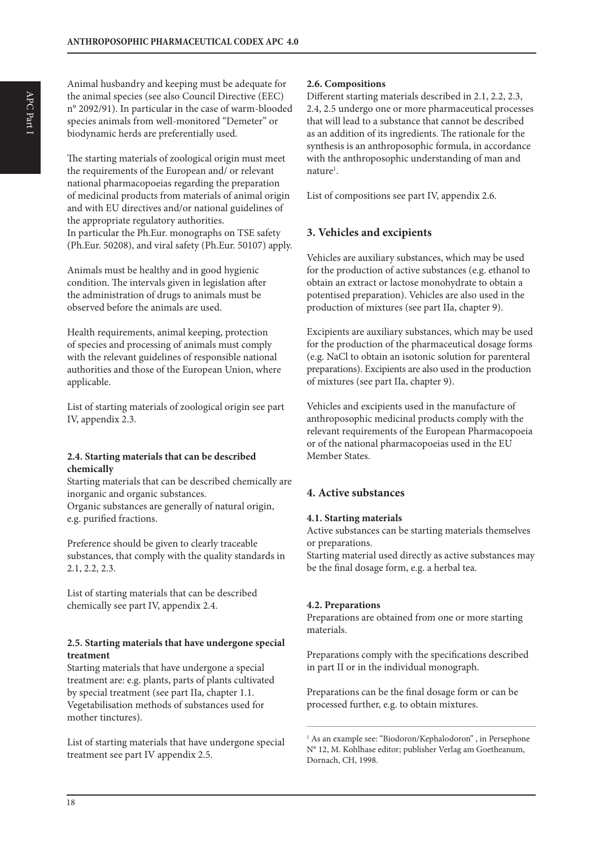Animal husbandry and keeping must be adequate for the animal species (see also Council Directive (EEC) n° 2092/91). In particular in the case of warm-blooded species animals from well-monitored "Demeter" or biodynamic herds are preferentially used.

The starting materials of zoological origin must meet the requirements of the European and/ or relevant national pharmacopoeias regarding the preparation of medicinal products from materials of animal origin and with EU directives and/or national guidelines of the appropriate regulatory authorities. In particular the Ph.Eur. monographs on TSE safety (Ph.Eur. 50208), and viral safety (Ph.Eur. 50107) apply.

Animals must be healthy and in good hygienic condition. The intervals given in legislation after the administration of drugs to animals must be observed before the animals are used.

Health requirements, animal keeping, protection of species and processing of animals must comply with the relevant guidelines of responsible national authorities and those of the European Union, where applicable.

List of starting materials of zoological origin see part IV, appendix 2.3.

#### **2.4. Starting materials that can be described chemically**

Starting materials that can be described chemically are inorganic and organic substances. Organic substances are generally of natural origin, e.g. purified fractions.

Preference should be given to clearly traceable substances, that comply with the quality standards in 2.1, 2.2, 2.3.

List of starting materials that can be described chemically see part IV, appendix 2.4.

#### **2.5. Starting materials that have undergone special treatment**

Starting materials that have undergone a special treatment are: e.g. plants, parts of plants cultivated by special treatment (see part IIa, chapter 1.1. Vegetabilisation methods of substances used for mother tinctures).

List of starting materials that have undergone special treatment see part IV appendix 2.5.

### **2.6. Compositions**

Different starting materials described in 2.1, 2.2, 2.3, 2.4, 2.5 undergo one or more pharmaceutical processes that will lead to a substance that cannot be described as an addition of its ingredients. The rationale for the synthesis is an anthroposophic formula, in accordance with the anthroposophic understanding of man and nature<sup>1</sup>.

List of compositions see part IV, appendix 2.6.

# **3. Vehicles and excipients**

Vehicles are auxiliary substances, which may be used for the production of active substances (e.g. ethanol to obtain an extract or lactose monohydrate to obtain a potentised preparation). Vehicles are also used in the production of mixtures (see part IIa, chapter 9).

Excipients are auxiliary substances, which may be used for the production of the pharmaceutical dosage forms (e.g. NaCl to obtain an isotonic solution for parenteral preparations). Excipients are also used in the production of mixtures (see part IIa, chapter 9).

Vehicles and excipients used in the manufacture of anthroposophic medicinal products comply with the relevant requirements of the European Pharmacopoeia or of the national pharmacopoeias used in the EU Member States.

# **4. Active substances**

#### **4.1. Starting materials**

Active substances can be starting materials themselves or preparations.

Starting material used directly as active substances may be the final dosage form, e.g. a herbal tea.

#### **4.2. Preparations**

Preparations are obtained from one or more starting materials.

Preparations comply with the specifications described in part II or in the individual monograph.

Preparations can be the final dosage form or can be processed further, e.g. to obtain mixtures.

<sup>1</sup> As an example see: "Biodoron/Kephalodoron", in Persephone N° 12, M. Kohlhase editor; publisher Verlag am Goetheanum, Dornach, CH, 1998.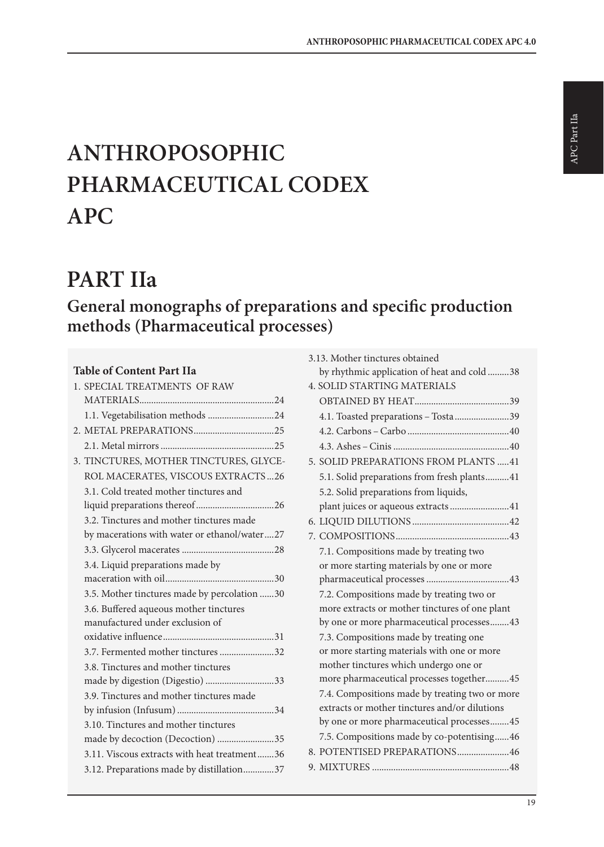# **ANTHROPOSOPHIC PHARMACEUTICAL CODEX APC**

# **PART IIa**

# **General monographs of preparations and specific production methods (Pharmaceutical processes)**

# **Table of Content Part IIa**

| 1. SPECIAL TREATMENTS OF RAW                 |
|----------------------------------------------|
|                                              |
| 1.1. Vegetabilisation methods 24             |
|                                              |
|                                              |
| 3. TINCTURES, MOTHER TINCTURES, GLYCE-       |
| ROL MACERATES, VISCOUS EXTRACTS26            |
| 3.1. Cold treated mother tinctures and       |
|                                              |
| 3.2. Tinctures and mother tinctures made     |
| by macerations with water or ethanol/water27 |
|                                              |
| 3.4. Liquid preparations made by             |
|                                              |
| 3.5. Mother tinctures made by percolation 30 |
| 3.6. Buffered aqueous mother tinctures       |
| manufactured under exclusion of              |
|                                              |
| 3.7. Fermented mother tinctures 32           |
| 3.8. Tinctures and mother tinctures          |
|                                              |
| 3.9. Tinctures and mother tinctures made     |
|                                              |
| 3.10. Tinctures and mother tinctures         |
| made by decoction (Decoction) 35             |
| 3.11. Viscous extracts with heat treatment36 |
| 3.12. Preparations made by distillation37    |

| 3.13. Mother tinctures obtained                |
|------------------------------------------------|
| by rhythmic application of heat and cold38     |
| <b>4. SOLID STARTING MATERIALS</b>             |
|                                                |
| 4.1. Toasted preparations - Tosta 39           |
|                                                |
|                                                |
| 5. SOLID PREPARATIONS FROM PLANTS 41           |
| 5.1. Solid preparations from fresh plants41    |
| 5.2. Solid preparations from liquids,          |
| plant juices or aqueous extracts41             |
|                                                |
|                                                |
| 7.1. Compositions made by treating two         |
| or more starting materials by one or more      |
|                                                |
| 7.2. Compositions made by treating two or      |
| more extracts or mother tinctures of one plant |
| by one or more pharmaceutical processes43      |
| 7.3. Compositions made by treating one         |
| or more starting materials with one or more    |
| mother tinctures which undergo one or          |
| more pharmaceutical processes together45       |
| 7.4. Compositions made by treating two or more |
| extracts or mother tinctures and/or dilutions  |
| by one or more pharmaceutical processes45      |
| 7.5. Compositions made by co-potentising46     |
| 8. POTENTISED PREPARATIONS46                   |
|                                                |
|                                                |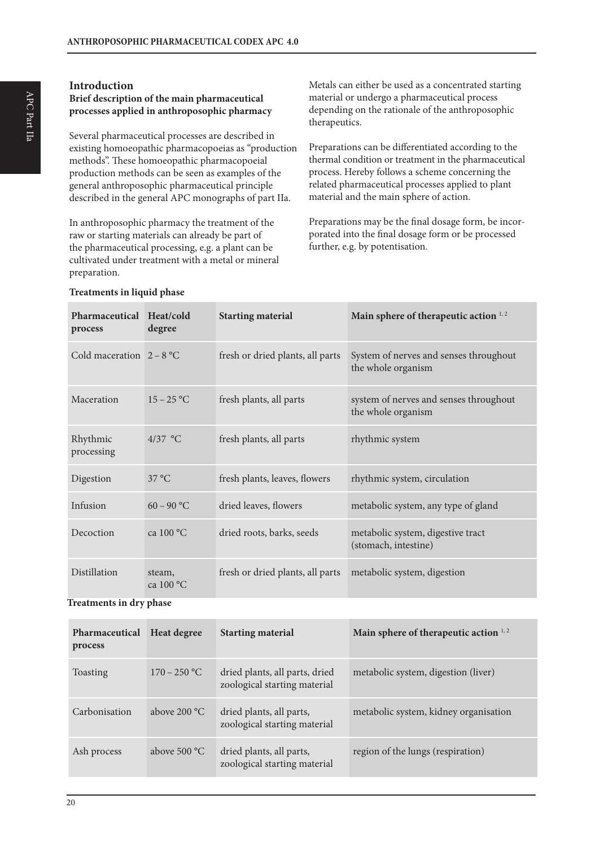# **Introduction**

# **Brief description of the main pharmaceutical processes applied in anthroposophic pharmacy**

Several pharmaceutical processes are described in existing homoeopathic pharmacopoeias as "production methods". These homoeopathic pharmacopoeial production methods can be seen as examples of the general anthroposophic pharmaceutical principle described in the general APC monographs of part IIa.

In anthroposophic pharmacy the treatment of the raw or starting materials can already be part of the pharmaceutical processing, e.g. a plant can be cultivated under treatment with a metal or mineral preparation.

Metals can either be used as a concentrated starting material or undergo a pharmaceutical process depending on the rationale of the anthroposophic therapeutics.

Preparations can be differentiated according to the thermal condition or treatment in the pharmaceutical process. Hereby follows a scheme concerning the related pharmaceutical processes applied to plant material and the main sphere of action.

Preparations may be the final dosage form, be incorporated into the final dosage form or be processed further, e.g. by potentisation.

| Pharmaceutical Heat/cold<br>process | degree                | <b>Starting material</b>         | Main sphere of therapeutic action 1,2                        |
|-------------------------------------|-----------------------|----------------------------------|--------------------------------------------------------------|
| Cold maceration $2 - 8$ °C          |                       | fresh or dried plants, all parts | System of nerves and senses throughout<br>the whole organism |
| Maceration                          | $15 - 25 °C$          | fresh plants, all parts          | system of nerves and senses throughout<br>the whole organism |
| Rhythmic<br>processing              | $4/37$ °C             | fresh plants, all parts          | rhythmic system                                              |
| Digestion                           | 37 °C                 | fresh plants, leaves, flowers    | rhythmic system, circulation                                 |
| Infusion                            | $60 - 90$ °C          | dried leaves, flowers            | metabolic system, any type of gland                          |
| Decoction                           | ca $100^{\circ}$ C    | dried roots, barks, seeds        | metabolic system, digestive tract<br>(stomach, intestine)    |
| Distillation                        | steam,<br>ca $100 °C$ | fresh or dried plants, all parts | metabolic system, digestion                                  |

### **Treatments in liquid phase**

**Treatments in dry phase**

| Pharmaceutical<br>process | <b>Heat degree</b> | <b>Starting material</b>                                       | Main sphere of therapeutic action 1,2 |
|---------------------------|--------------------|----------------------------------------------------------------|---------------------------------------|
| Toasting                  | $170 - 250$ °C     | dried plants, all parts, dried<br>zoological starting material | metabolic system, digestion (liver)   |
| Carbonisation             | above $200 °C$     | dried plants, all parts,<br>zoological starting material       | metabolic system, kidney organisation |
| Ash process               | above $500 °C$     | dried plants, all parts,<br>zoological starting material       | region of the lungs (respiration)     |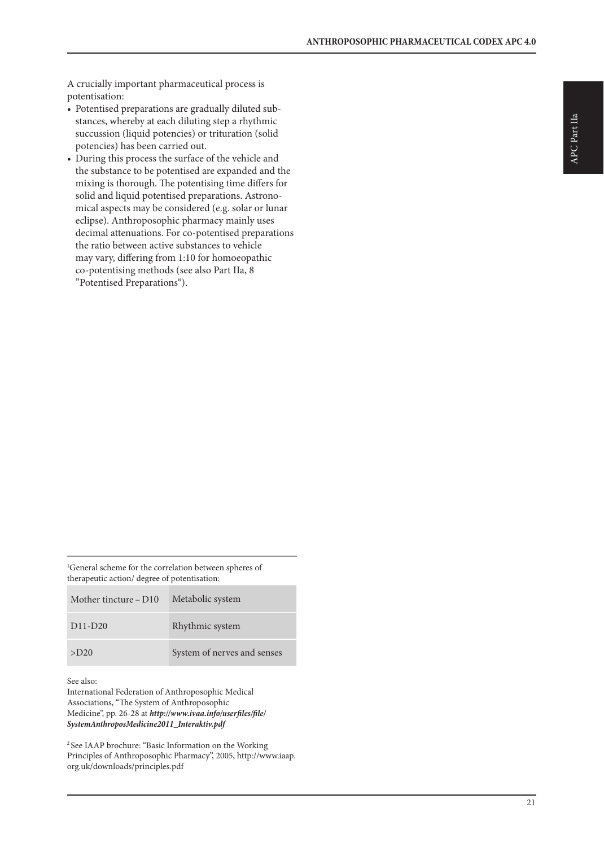A crucially important pharmaceutical process is potentisation:

- Potentised preparations are gradually diluted substances, whereby at each diluting step a rhythmic succussion (liquid potencies) or trituration (solid potencies) has been carried out.
- During this process the surface of the vehicle and the substance to be potentised are expanded and the mixing is thorough. The potentising time differs for solid and liquid potentised preparations. Astronomical aspects may be considered (e.g. solar or lunar eclipse). Anthroposophic pharmacy mainly uses decimal attenuations. For co-potentised preparations the ratio between active substances to vehicle may vary, differing from 1:10 for homoeopathic co-potentising methods (see also Part IIa, 8 "Potentised Preparations").

1 General scheme for the correlation between spheres of therapeutic action/ degree of potentisation:

| Mother tincture – D10 | Metabolic system            |
|-----------------------|-----------------------------|
| $D11-D20$             | Rhythmic system             |
| $>$ D <sub>20</sub>   | System of nerves and senses |

See also:

International Federation of Anthroposophic Medical Associations, "The System of Anthroposophic Medicine", pp. 26-28 at *http://www.ivaa.info/userfiles/file/ SystemAnthroposMedicine2011\_Interaktiv.pdf*

2 See IAAP brochure: "Basic Information on the Working Principles of Anthroposophic Pharmacy", 2005, http://www.iaap. org.uk/downloads/principles.pdf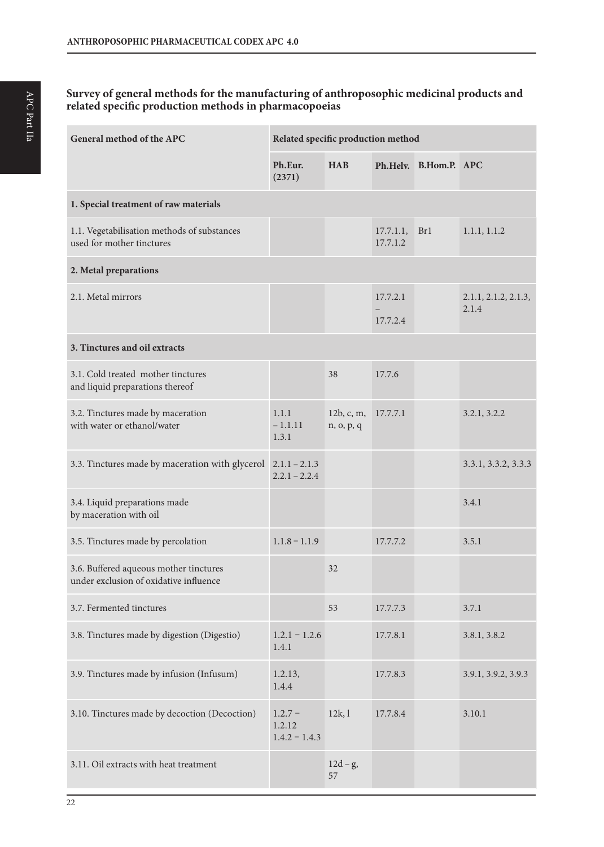### **Survey of general methods for the manufacturing of anthroposophic medicinal products and related specific production methods in pharmacopoeias**

| General method of the APC                                                        | Related specific production method     |                          |                       |                       |                               |
|----------------------------------------------------------------------------------|----------------------------------------|--------------------------|-----------------------|-----------------------|-------------------------------|
|                                                                                  | Ph.Eur.<br>(2371)                      | <b>HAB</b>               |                       | Ph.Helv. B.Hom.P. APC |                               |
| 1. Special treatment of raw materials                                            |                                        |                          |                       |                       |                               |
| 1.1. Vegetabilisation methods of substances<br>used for mother tinctures         |                                        |                          | 17.7.1.1,<br>17.7.1.2 | Br1                   | 1.1.1, 1.1.2                  |
| 2. Metal preparations                                                            |                                        |                          |                       |                       |                               |
| 2.1. Metal mirrors                                                               |                                        |                          | 17.7.2.1<br>17.7.2.4  |                       | 2.1.1, 2.1.2, 2.1.3,<br>2.1.4 |
| 3. Tinctures and oil extracts                                                    |                                        |                          |                       |                       |                               |
| 3.1. Cold treated mother tinctures<br>and liquid preparations thereof            |                                        | 38                       | 17.7.6                |                       |                               |
| 3.2. Tinctures made by maceration<br>with water or ethanol/water                 | 1.1.1<br>$-1.1.11$<br>1.3.1            | 12b, c, m,<br>n, o, p, q | 17.7.7.1              |                       | 3.2.1, 3.2.2                  |
| 3.3. Tinctures made by maceration with glycerol                                  | $2.1.1 - 2.1.3$<br>$2.2.1 - 2.2.4$     |                          |                       |                       | 3.3.1, 3.3.2, 3.3.3           |
| 3.4. Liquid preparations made<br>by maceration with oil                          |                                        |                          |                       |                       | 3.4.1                         |
| 3.5. Tinctures made by percolation                                               | $1.1.8 - 1.1.9$                        |                          | 17.7.7.2              |                       | 3.5.1                         |
| 3.6. Buffered aqueous mother tinctures<br>under exclusion of oxidative influence |                                        | 32                       |                       |                       |                               |
| 3.7. Fermented tinctures                                                         |                                        | 53                       | 17.7.7.3              |                       | 3.7.1                         |
| 3.8. Tinctures made by digestion (Digestio)                                      | $1.2.1 - 1.2.6$<br>1.4.1               |                          | 17.7.8.1              |                       | 3.8.1, 3.8.2                  |
| 3.9. Tinctures made by infusion (Infusum)                                        | 1.2.13,<br>1.4.4                       |                          | 17.7.8.3              |                       | 3.9.1, 3.9.2, 3.9.3           |
| 3.10. Tinctures made by decoction (Decoction)                                    | $1.2.7 -$<br>1.2.12<br>$1.4.2 - 1.4.3$ | 12k,1                    | 17.7.8.4              |                       | 3.10.1                        |
| 3.11. Oil extracts with heat treatment                                           |                                        | $12d-g,$<br>57           |                       |                       |                               |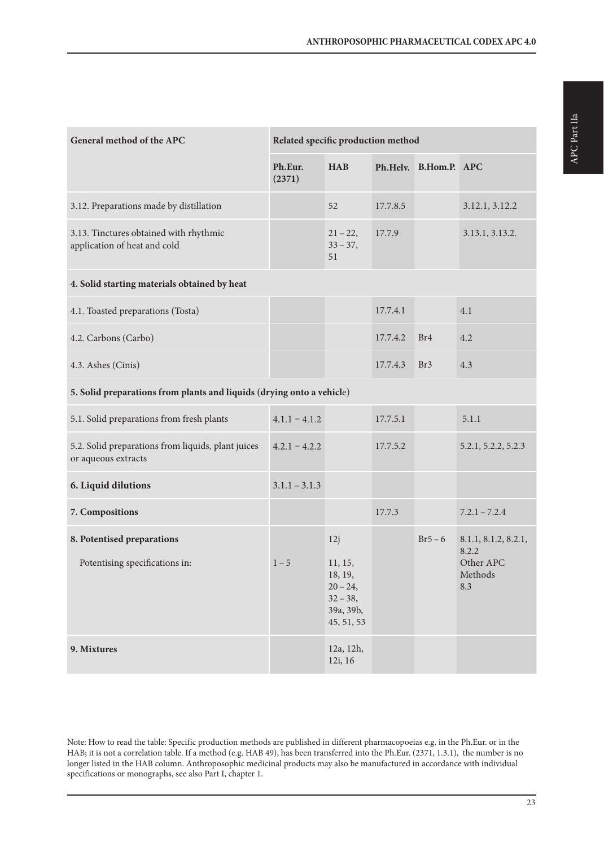| General method of the APC                                                 | Related specific production method |                                                                                    |          |                       |                                                              |
|---------------------------------------------------------------------------|------------------------------------|------------------------------------------------------------------------------------|----------|-----------------------|--------------------------------------------------------------|
|                                                                           | Ph.Eur.<br>(2371)                  | <b>HAB</b>                                                                         |          | Ph.Helv. B.Hom.P. APC |                                                              |
| 3.12. Preparations made by distillation                                   |                                    | 52                                                                                 | 17.7.8.5 |                       | 3.12.1, 3.12.2                                               |
| 3.13. Tinctures obtained with rhythmic<br>application of heat and cold    |                                    | $21 - 22$<br>$33 - 37$ ,<br>51                                                     | 17.7.9   |                       | 3.13.1, 3.13.2.                                              |
| 4. Solid starting materials obtained by heat                              |                                    |                                                                                    |          |                       |                                                              |
| 4.1. Toasted preparations (Tosta)                                         |                                    |                                                                                    | 17.7.4.1 |                       | 4.1                                                          |
| 4.2. Carbons (Carbo)                                                      |                                    |                                                                                    | 17.7.4.2 | Br <sub>4</sub>       | 4.2                                                          |
| 4.3. Ashes (Cinis)                                                        |                                    |                                                                                    | 17.7.4.3 | Br <sub>3</sub>       | 4.3                                                          |
| 5. Solid preparations from plants and liquids (drying onto a vehicle)     |                                    |                                                                                    |          |                       |                                                              |
| 5.1. Solid preparations from fresh plants                                 | $4.1.1 - 4.1.2$                    |                                                                                    | 17.7.5.1 |                       | 5.1.1                                                        |
| 5.2. Solid preparations from liquids, plant juices<br>or aqueous extracts | $4.2.1 - 4.2.2$                    |                                                                                    | 17.7.5.2 |                       | 5.2.1, 5.2.2, 5.2.3                                          |
| 6. Liquid dilutions                                                       | $3.1.1 - 3.1.3$                    |                                                                                    |          |                       |                                                              |
| 7. Compositions                                                           |                                    |                                                                                    | 17.7.3   |                       | $7.2.1 - 7.2.4$                                              |
| 8. Potentised preparations<br>Potentising specifications in:              | $1 - 5$                            | 12j<br>11, 15,<br>18, 19,<br>$20 - 24$ ,<br>$32 - 38$ ,<br>39a, 39b,<br>45, 51, 53 |          | $Br5-6$               | 8.1.1, 8.1.2, 8.2.1,<br>8.2.2<br>Other APC<br>Methods<br>8.3 |
| 9. Mixtures                                                               |                                    | 12a, 12h,<br>12i, 16                                                               |          |                       |                                                              |

Note: How to read the table: Specific production methods are published in different pharmacopoeias e.g. in the Ph.Eur. or in the HAB; it is not a correlation table. If a method (e.g. HAB 49), has been transferred into the Ph.Eur. (2371, 1.3.1), the number is no longer listed in the HAB column. Anthroposophic medicinal products may also be manufactured in accordance with individual specifications or monographs, see also Part I, chapter 1.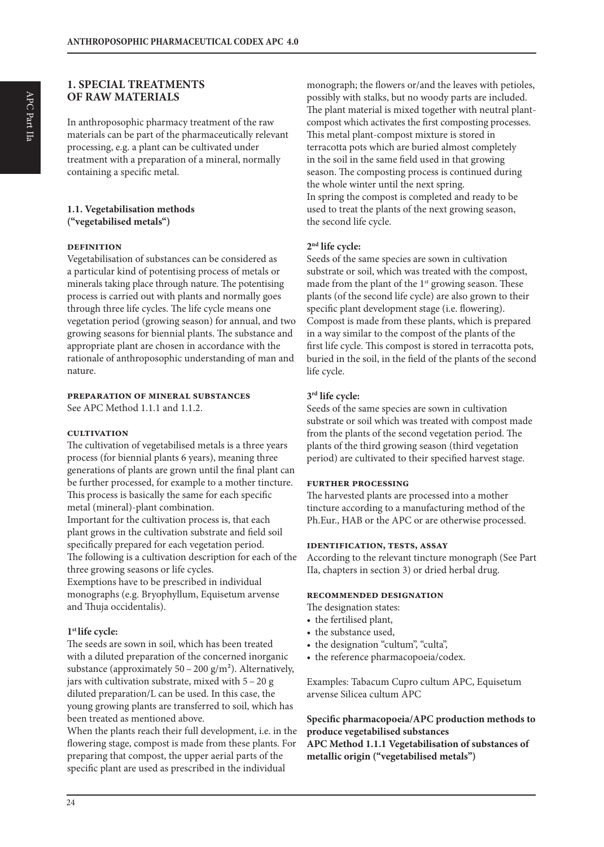# **1. SPECIAL TREATMENTS OF RAW MATERIALS**

In anthroposophic pharmacy treatment of the raw materials can be part of the pharmaceutically relevant processing, e.g. a plant can be cultivated under treatment with a preparation of a mineral, normally containing a specific metal.

#### **1.1. Vegetabilisation methods ("vegetabilised metals")**

#### **definition**

Vegetabilisation of substances can be considered as a particular kind of potentising process of metals or minerals taking place through nature. The potentising process is carried out with plants and normally goes through three life cycles. The life cycle means one vegetation period (growing season) for annual, and two growing seasons for biennial plants. The substance and appropriate plant are chosen in accordance with the rationale of anthroposophic understanding of man and nature.

#### **preparation of mineral substances**

See APC Method 1.1.1 and 1.1.2.

#### **cultivation**

The cultivation of vegetabilised metals is a three years process (for biennial plants 6 years), meaning three generations of plants are grown until the final plant can be further processed, for example to a mother tincture. This process is basically the same for each specific metal (mineral)-plant combination. Important for the cultivation process is, that each plant grows in the cultivation substrate and field soil specifically prepared for each vegetation period.

The following is a cultivation description for each of the three growing seasons or life cycles.

Exemptions have to be prescribed in individual monographs (e.g. Bryophyllum, Equisetum arvense and Thuja occidentalis).

#### **1st life cycle:**

The seeds are sown in soil, which has been treated with a diluted preparation of the concerned inorganic substance (approximately  $50 - 200$  g/m<sup>2</sup>). Alternatively, jars with cultivation substrate, mixed with 5 – 20 g diluted preparation/L can be used. In this case, the young growing plants are transferred to soil, which has been treated as mentioned above.

When the plants reach their full development, i.e. in the flowering stage, compost is made from these plants. For preparing that compost, the upper aerial parts of the specific plant are used as prescribed in the individual

monograph; the flowers or/and the leaves with petioles, possibly with stalks, but no woody parts are included. The plant material is mixed together with neutral plantcompost which activates the first composting processes. This metal plant-compost mixture is stored in terracotta pots which are buried almost completely in the soil in the same field used in that growing season. The composting process is continued during the whole winter until the next spring. In spring the compost is completed and ready to be used to treat the plants of the next growing season, the second life cycle.

#### **2nd life cycle:**

Seeds of the same species are sown in cultivation substrate or soil, which was treated with the compost, made from the plant of the 1<sup>st</sup> growing season. These plants (of the second life cycle) are also grown to their specific plant development stage (i.e. flowering). Compost is made from these plants, which is prepared in a way similar to the compost of the plants of the first life cycle. This compost is stored in terracotta pots, buried in the soil, in the field of the plants of the second life cycle.

#### **3rd life cycle:**

Seeds of the same species are sown in cultivation substrate or soil which was treated with compost made from the plants of the second vegetation period. The plants of the third growing season (third vegetation period) are cultivated to their specified harvest stage.

#### **further processing**

The harvested plants are processed into a mother tincture according to a manufacturing method of the Ph.Eur., HAB or the APC or are otherwise processed.

#### **identification, tests, assay**

According to the relevant tincture monograph (See Part IIa, chapters in section 3) or dried herbal drug.

#### **recommended designation**

The designation states:

- the fertilised plant,
- the substance used,
- the designation "cultum", "culta",
- the reference pharmacopoeia/codex.

Examples: Tabacum Cupro cultum APC, Equisetum arvense Silicea cultum APC

#### **Specific pharmacopoeia/APC production methods to produce vegetabilised substances**

**APC Method 1.1.1 Vegetabilisation of substances of metallic origin ("vegetabilised metals")**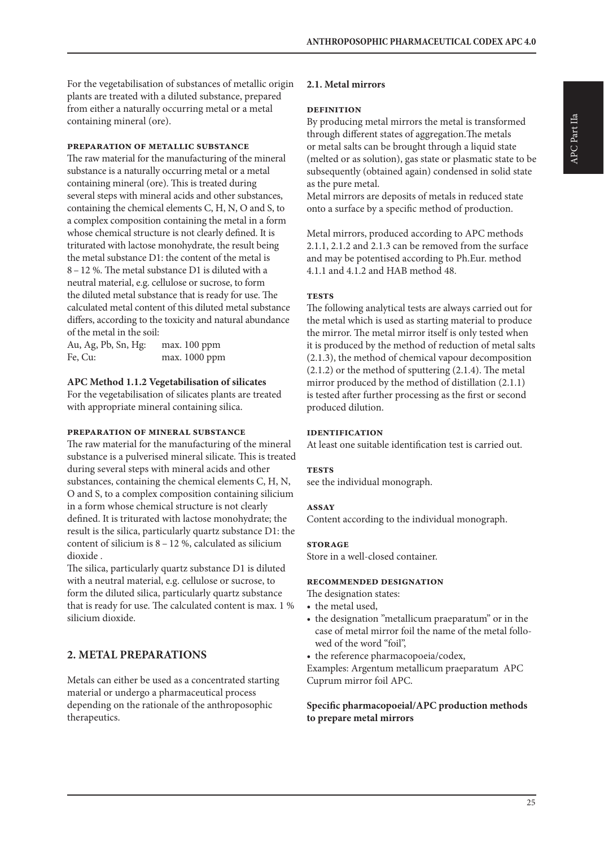For the vegetabilisation of substances of metallic origin plants are treated with a diluted substance, prepared from either a naturally occurring metal or a metal containing mineral (ore).

#### **preparation of metallic substance**

The raw material for the manufacturing of the mineral substance is a naturally occurring metal or a metal containing mineral (ore). This is treated during several steps with mineral acids and other substances, containing the chemical elements C, H, N, O and S, to a complex composition containing the metal in a form whose chemical structure is not clearly defined. It is triturated with lactose monohydrate, the result being the metal substance D1: the content of the metal is 8 – 12 %. The metal substance D1 is diluted with a neutral material, e.g. cellulose or sucrose, to form the diluted metal substance that is ready for use. The calculated metal content of this diluted metal substance differs, according to the toxicity and natural abundance of the metal in the soil:

Au, Ag, Pb, Sn, Hg: max. 100 ppm Fe, Cu: max. 1000 ppm

#### **APC Method 1.1.2 Vegetabilisation of silicates**

For the vegetabilisation of silicates plants are treated with appropriate mineral containing silica.

#### **preparation of mineral substance**

The raw material for the manufacturing of the mineral substance is a pulverised mineral silicate. This is treated during several steps with mineral acids and other substances, containing the chemical elements C, H, N, O and S, to a complex composition containing silicium in a form whose chemical structure is not clearly defined. It is triturated with lactose monohydrate; the result is the silica, particularly quartz substance D1: the content of silicium is 8 – 12 %, calculated as silicium dioxide .

The silica, particularly quartz substance D1 is diluted with a neutral material, e.g. cellulose or sucrose, to form the diluted silica, particularly quartz substance that is ready for use. The calculated content is max. 1 % silicium dioxide.

# **2. METAL PREPARATIONS**

Metals can either be used as a concentrated starting material or undergo a pharmaceutical process depending on the rationale of the anthroposophic therapeutics.

#### **2.1. Metal mirrors**

#### **definition**

By producing metal mirrors the metal is transformed through different states of aggregation.The metals or metal salts can be brought through a liquid state (melted or as solution), gas state or plasmatic state to be subsequently (obtained again) condensed in solid state as the pure metal.

Metal mirrors are deposits of metals in reduced state onto a surface by a specific method of production.

Metal mirrors, produced according to APC methods 2.1.1, 2.1.2 and 2.1.3 can be removed from the surface and may be potentised according to Ph.Eur. method 4.1.1 and 4.1.2 and HAB method 48.

#### **tests**

The following analytical tests are always carried out for the metal which is used as starting material to produce the mirror. The metal mirror itself is only tested when it is produced by the method of reduction of metal salts (2.1.3), the method of chemical vapour decomposition (2.1.2) or the method of sputtering (2.1.4). The metal mirror produced by the method of distillation (2.1.1) is tested after further processing as the first or second produced dilution.

#### **identification**

At least one suitable identification test is carried out.

#### **TESTS**

see the individual monograph.

#### **assay**

Content according to the individual monograph.

#### **storage**

Store in a well-closed container.

#### **recommended designation**

The designation states:

- the metal used,
- the designation "metallicum praeparatum" or in the case of metal mirror foil the name of the metal followed of the word "foil",
- the reference pharmacopoeia/codex,

Examples: Argentum metallicum praeparatum APC Cuprum mirror foil APC.

#### **Specific pharmacopoeial/APC production methods to prepare metal mirrors**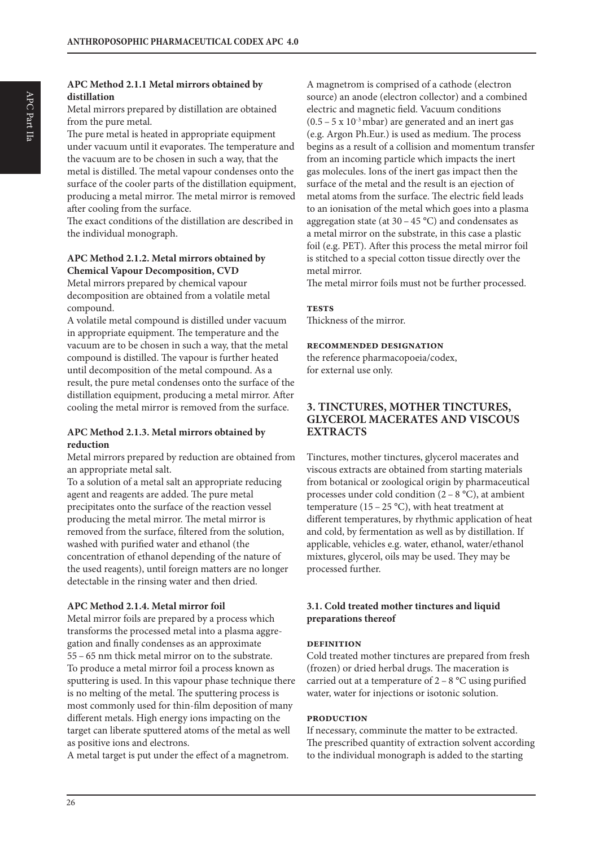#### **APC Method 2.1.1 Metal mirrors obtained by distillation**

Metal mirrors prepared by distillation are obtained from the pure metal.

The pure metal is heated in appropriate equipment under vacuum until it evaporates. The temperature and the vacuum are to be chosen in such a way, that the metal is distilled. The metal vapour condenses onto the surface of the cooler parts of the distillation equipment, producing a metal mirror. The metal mirror is removed after cooling from the surface.

The exact conditions of the distillation are described in the individual monograph.

#### **APC Method 2.1.2. Metal mirrors obtained by Chemical Vapour Decomposition, CVD**

Metal mirrors prepared by chemical vapour decomposition are obtained from a volatile metal compound.

A volatile metal compound is distilled under vacuum in appropriate equipment. The temperature and the vacuum are to be chosen in such a way, that the metal compound is distilled. The vapour is further heated until decomposition of the metal compound. As a result, the pure metal condenses onto the surface of the distillation equipment, producing a metal mirror. After cooling the metal mirror is removed from the surface.

#### **APC Method 2.1.3. Metal mirrors obtained by reduction**

Metal mirrors prepared by reduction are obtained from an appropriate metal salt.

To a solution of a metal salt an appropriate reducing agent and reagents are added. The pure metal precipitates onto the surface of the reaction vessel producing the metal mirror. The metal mirror is removed from the surface, filtered from the solution, washed with purified water and ethanol (the concentration of ethanol depending of the nature of the used reagents), until foreign matters are no longer detectable in the rinsing water and then dried.

#### **APC Method 2.1.4. Metal mirror foil**

Metal mirror foils are prepared by a process which transforms the processed metal into a plasma aggregation and finally condenses as an approximate 55 – 65 nm thick metal mirror on to the substrate. To produce a metal mirror foil a process known as sputtering is used. In this vapour phase technique there is no melting of the metal. The sputtering process is most commonly used for thin-film deposition of many different metals. High energy ions impacting on the target can liberate sputtered atoms of the metal as well as positive ions and electrons.

A metal target is put under the effect of a magnetrom.

A magnetrom is comprised of a cathode (electron source) an anode (electron collector) and a combined electric and magnetic field. Vacuum conditions  $(0.5 - 5 \times 10^{-3} \text{ mbar})$  are generated and an inert gas (e.g. Argon Ph.Eur.) is used as medium. The process begins as a result of a collision and momentum transfer from an incoming particle which impacts the inert gas molecules. Ions of the inert gas impact then the surface of the metal and the result is an ejection of metal atoms from the surface. The electric field leads to an ionisation of the metal which goes into a plasma aggregation state (at  $30 - 45$  °C) and condensates as a metal mirror on the substrate, in this case a plastic foil (e.g. PET). After this process the metal mirror foil is stitched to a special cotton tissue directly over the metal mirror.

The metal mirror foils must not be further processed.

#### **tests**

Thickness of the mirror.

#### **recommended designation**

the reference pharmacopoeia/codex, for external use only.

# **3. TINCTURES, MOTHER TINCTURES, GLYCEROL MACERATES AND VISCOUS EXTRACTS**

Tinctures, mother tinctures, glycerol macerates and viscous extracts are obtained from starting materials from botanical or zoological origin by pharmaceutical processes under cold condition  $(2 - 8 \degree C)$ , at ambient temperature (15 – 25 °C), with heat treatment at different temperatures, by rhythmic application of heat and cold, by fermentation as well as by distillation. If applicable, vehicles e.g. water, ethanol, water/ethanol mixtures, glycerol, oils may be used. They may be processed further.

#### **3.1. Cold treated mother tinctures and liquid preparations thereof**

#### **definition**

Cold treated mother tinctures are prepared from fresh (frozen) or dried herbal drugs. The maceration is carried out at a temperature of  $2 - 8$  °C using purified water, water for injections or isotonic solution.

#### **production**

If necessary, comminute the matter to be extracted. The prescribed quantity of extraction solvent according to the individual monograph is added to the starting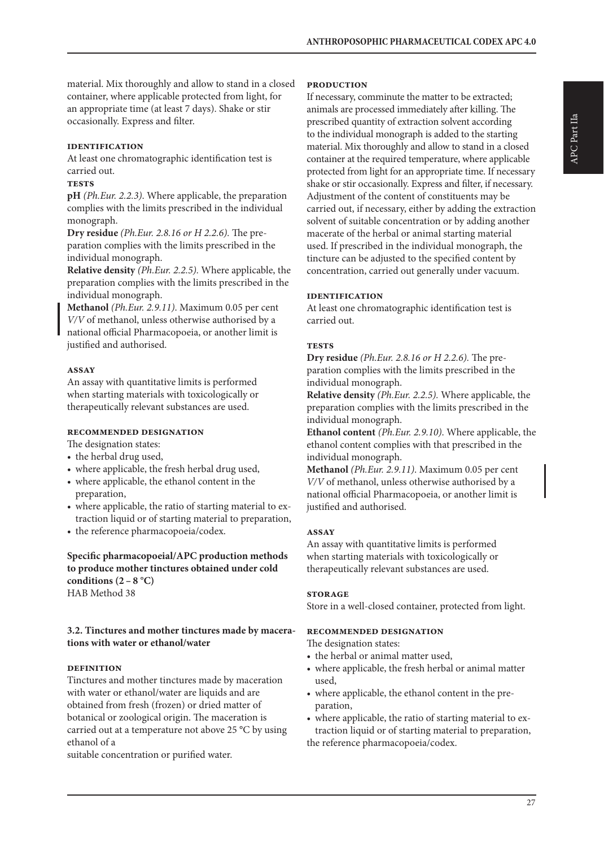material. Mix thoroughly and allow to stand in a closed container, where applicable protected from light, for an appropriate time (at least 7 days). Shake or stir occasionally. Express and filter.

#### **identification**

At least one chromatographic identification test is carried out.

#### **tests**

**pH** *(Ph.Eur. 2.2.3)*. Where applicable, the preparation complies with the limits prescribed in the individual monograph.

**Dry residue** *(Ph.Eur. 2.8.16 or H 2.2.6).* The preparation complies with the limits prescribed in the individual monograph.

**Relative density** *(Ph.Eur. 2.2.5).* Where applicable, the preparation complies with the limits prescribed in the individual monograph.

**Methanol** *(Ph.Eur. 2.9.11)*. Maximum 0.05 per cent *V/V* of methanol, unless otherwise authorised by a national official Pharmacopoeia, or another limit is justified and authorised.

#### **assay**

An assay with quantitative limits is performed when starting materials with toxicologically or therapeutically relevant substances are used.

#### **recommended designation**

The designation states:

- the herbal drug used,
- where applicable, the fresh herbal drug used,
- where applicable, the ethanol content in the preparation,
- where applicable, the ratio of starting material to extraction liquid or of starting material to preparation,
- the reference pharmacopoeia/codex.

#### **Specific pharmacopoeial/APC production methods to produce mother tinctures obtained under cold**  conditions  $(2 - 8 °C)$ HAB Method 38

#### **3.2. Tinctures and mother tinctures made by macerations with water or ethanol/water**

#### **definition**

Tinctures and mother tinctures made by maceration with water or ethanol/water are liquids and are obtained from fresh (frozen) or dried matter of botanical or zoological origin. The maceration is carried out at a temperature not above 25 °C by using ethanol of a

suitable concentration or purified water.

#### **production**

If necessary, comminute the matter to be extracted; animals are processed immediately after killing. The prescribed quantity of extraction solvent according to the individual monograph is added to the starting material. Mix thoroughly and allow to stand in a closed container at the required temperature, where applicable protected from light for an appropriate time. If necessary shake or stir occasionally. Express and filter, if necessary. Adjustment of the content of constituents may be carried out, if necessary, either by adding the extraction solvent of suitable concentration or by adding another macerate of the herbal or animal starting material used. If prescribed in the individual monograph, the tincture can be adjusted to the specified content by concentration, carried out generally under vacuum.

#### **identification**

At least one chromatographic identification test is carried out.

#### **tests**

**Dry residue** *(Ph.Eur. 2.8.16 or H 2.2.6).* The preparation complies with the limits prescribed in the individual monograph.

**Relative density** *(Ph.Eur. 2.2.5).* Where applicable, the preparation complies with the limits prescribed in the individual monograph.

**Ethanol content** *(Ph.Eur. 2.9.10)*. Where applicable, the ethanol content complies with that prescribed in the individual monograph.

**Methanol** *(Ph.Eur. 2.9.11)*. Maximum 0.05 per cent *V/V* of methanol, unless otherwise authorised by a national official Pharmacopoeia, or another limit is justified and authorised.

#### **assay**

An assay with quantitative limits is performed when starting materials with toxicologically or therapeutically relevant substances are used.

#### **storage**

Store in a well-closed container, protected from light.

#### **recommended designation**

The designation states:

- the herbal or animal matter used,
- where applicable, the fresh herbal or animal matter used,
- where applicable, the ethanol content in the preparation,
- where applicable, the ratio of starting material to extraction liquid or of starting material to preparation, the reference pharmacopoeia/codex.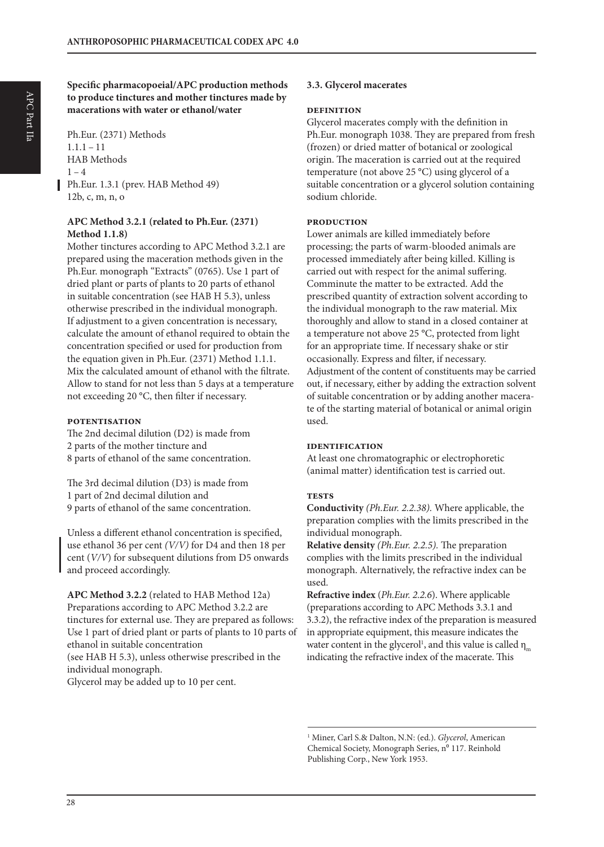**Specific pharmacopoeial/APC production methods to produce tinctures and mother tinctures made by macerations with water or ethanol/water**

Ph.Eur. (2371) Methods  $1.1.1 - 11$ HAB Methods  $1 - 4$ Ph.Eur. 1.3.1 (prev. HAB Method 49) 12b, c, m, n, o

#### **APC Method 3.2.1 (related to Ph.Eur. (2371) Method 1.1.8)**

Mother tinctures according to APC Method 3.2.1 are prepared using the maceration methods given in the Ph.Eur. monograph "Extracts" (0765). Use 1 part of dried plant or parts of plants to 20 parts of ethanol in suitable concentration (see HAB H 5.3), unless otherwise prescribed in the individual monograph. If adjustment to a given concentration is necessary, calculate the amount of ethanol required to obtain the concentration specified or used for production from the equation given in Ph.Eur. (2371) Method 1.1.1. Mix the calculated amount of ethanol with the filtrate. Allow to stand for not less than 5 days at a temperature not exceeding 20 °C, then filter if necessary.

#### **potentisation**

The 2nd decimal dilution (D2) is made from 2 parts of the mother tincture and 8 parts of ethanol of the same concentration.

The 3rd decimal dilution (D3) is made from 1 part of 2nd decimal dilution and 9 parts of ethanol of the same concentration.

Unless a different ethanol concentration is specified, use ethanol 36 per cent *(V/V)* for D4 and then 18 per cent (*V/V*) for subsequent dilutions from D5 onwards and proceed accordingly.

**APC Method 3.2.2** (related to HAB Method 12a) Preparations according to APC Method 3.2.2 are tinctures for external use. They are prepared as follows: Use 1 part of dried plant or parts of plants to 10 parts of ethanol in suitable concentration (see HAB H 5.3), unless otherwise prescribed in the individual monograph. Glycerol may be added up to 10 per cent.

#### **3.3. Glycerol macerates**

#### **definition**

Glycerol macerates comply with the definition in Ph.Eur. monograph 1038. They are prepared from fresh (frozen) or dried matter of botanical or zoological origin. The maceration is carried out at the required temperature (not above 25 °C) using glycerol of a suitable concentration or a glycerol solution containing sodium chloride.

#### **production**

Lower animals are killed immediately before processing; the parts of warm-blooded animals are processed immediately after being killed. Killing is carried out with respect for the animal suffering. Comminute the matter to be extracted. Add the prescribed quantity of extraction solvent according to the individual monograph to the raw material. Mix thoroughly and allow to stand in a closed container at a temperature not above 25 °C, protected from light for an appropriate time. If necessary shake or stir occasionally. Express and filter, if necessary. Adjustment of the content of constituents may be carried out, if necessary, either by adding the extraction solvent of suitable concentration or by adding another macerate of the starting material of botanical or animal origin used.

#### **identification**

At least one chromatographic or electrophoretic (animal matter) identification test is carried out.

#### **tests**

**Conductivity** *(Ph.Eur. 2.2.38).* Where applicable, the preparation complies with the limits prescribed in the individual monograph.

**Relative density** *(Ph.Eur. 2.2.5).* The preparation complies with the limits prescribed in the individual monograph. Alternatively, the refractive index can be used.

**Refractive index** (*Ph.Eur. 2.2.6*). Where applicable (preparations according to APC Methods 3.3.1 and 3.3.2), the refractive index of the preparation is measured in appropriate equipment, this measure indicates the water content in the glycerol<sup>1</sup>, and this value is called  $\eta_m$ indicating the refractive index of the macerate. This

<sup>1</sup> Miner, Carl S.& Dalton, N.N: (ed.). *Glycerol*, American Chemical Society, Monograph Series, nº 117. Reinhold Publishing Corp., New York 1953.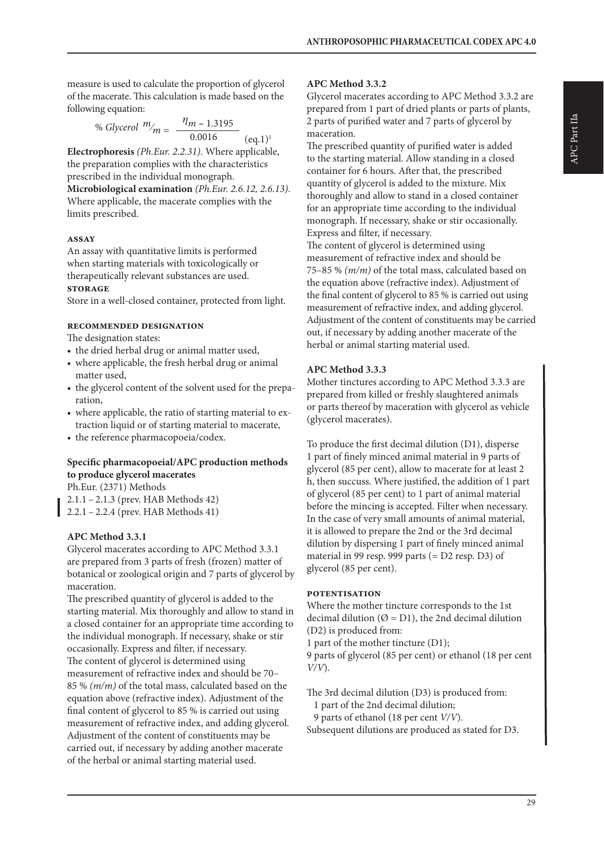measure is used to calculate the proportion of glycerol of the macerate. This calculation is made based on the following equation:

% *Glycerol* 
$$
m_{m} = \frac{\eta_{m} - 1.3195}{0.0016}
$$
 (eq.1)<sup>1</sup>

**Electrophoresis** *(Ph.Eur. 2.2.31).* Where applicable, the preparation complies with the characteristics prescribed in the individual monograph.

**Microbiological examination** *(Ph.Eur. 2.6.12, 2.6.13)*. Where applicable, the macerate complies with the limits prescribed.

#### **assay**

An assay with quantitative limits is performed when starting materials with toxicologically or therapeutically relevant substances are used.

#### **storage**

Store in a well-closed container, protected from light.

#### **recommended designation**

The designation states:

- the dried herbal drug or animal matter used,
- where applicable, the fresh herbal drug or animal matter used,
- the glycerol content of the solvent used for the preparation,
- where applicable, the ratio of starting material to extraction liquid or of starting material to macerate,
- the reference pharmacopoeia/codex.

#### **Specific pharmacopoeial/APC production methods to produce glycerol macerates**

Ph.Eur. (2371) Methods

2.1.1 – 2.1.3 (prev. HAB Methods 42)

2.2.1 – 2.2.4 (prev. HAB Methods 41)

#### **APC Method 3.3.1**

Glycerol macerates according to APC Method 3.3.1 are prepared from 3 parts of fresh (frozen) matter of botanical or zoological origin and 7 parts of glycerol by maceration.

The prescribed quantity of glycerol is added to the starting material. Mix thoroughly and allow to stand in a closed container for an appropriate time according to the individual monograph. If necessary, shake or stir occasionally. Express and filter, if necessary. The content of glycerol is determined using measurement of refractive index and should be 70– 85 % *(m/m)* of the total mass, calculated based on the equation above (refractive index). Adjustment of the final content of glycerol to 85 % is carried out using measurement of refractive index, and adding glycerol. Adjustment of the content of constituents may be carried out, if necessary by adding another macerate of the herbal or animal starting material used.

#### **APC Method 3.3.2**

Glycerol macerates according to APC Method 3.3.2 are prepared from 1 part of dried plants or parts of plants, 2 parts of purified water and 7 parts of glycerol by maceration.

The prescribed quantity of purified water is added to the starting material. Allow standing in a closed container for 6 hours. After that, the prescribed quantity of glycerol is added to the mixture. Mix thoroughly and allow to stand in a closed container for an appropriate time according to the individual monograph. If necessary, shake or stir occasionally. Express and filter, if necessary.

The content of glycerol is determined using measurement of refractive index and should be 75–85 % *(m/m)* of the total mass, calculated based on the equation above (refractive index). Adjustment of the final content of glycerol to 85 % is carried out using measurement of refractive index, and adding glycerol. Adjustment of the content of constituents may be carried out, if necessary by adding another macerate of the herbal or animal starting material used.

#### **APC Method 3.3.3**

Mother tinctures according to APC Method 3.3.3 are prepared from killed or freshly slaughtered animals or parts thereof by maceration with glycerol as vehicle (glycerol macerates).

To produce the first decimal dilution (D1), disperse 1 part of finely minced animal material in 9 parts of glycerol (85 per cent), allow to macerate for at least 2 h, then succuss. Where justified, the addition of 1 part of glycerol (85 per cent) to 1 part of animal material before the mincing is accepted. Filter when necessary. In the case of very small amounts of animal material, it is allowed to prepare the 2nd or the 3rd decimal dilution by dispersing 1 part of finely minced animal material in 99 resp. 999 parts (= D2 resp. D3) of glycerol (85 per cent).

#### **potentisation**

Where the mother tincture corresponds to the 1st decimal dilution ( $\varnothing$  = D1), the 2nd decimal dilution (D2) is produced from:

1 part of the mother tincture (D1);

9 parts of glycerol (85 per cent) or ethanol (18 per cent *V/V*).

The 3rd decimal dilution (D3) is produced from:

- 1 part of the 2nd decimal dilution;
- 9 parts of ethanol (18 per cent *V/V*).

Subsequent dilutions are produced as stated for D3.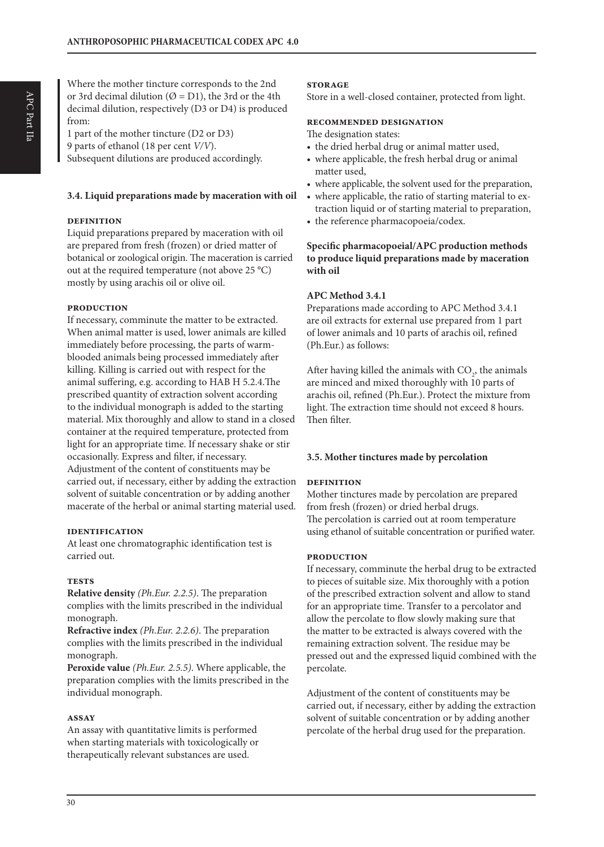1 part of the mother tincture (D2 or D3) 9 parts of ethanol (18 per cent *V/V*). Subsequent dilutions are produced accordingly.

#### **3.4. Liquid preparations made by maceration with oil**

#### **definition**

Liquid preparations prepared by maceration with oil are prepared from fresh (frozen) or dried matter of botanical or zoological origin. The maceration is carried out at the required temperature (not above 25 °C) mostly by using arachis oil or olive oil.

#### **production**

If necessary, comminute the matter to be extracted. When animal matter is used, lower animals are killed immediately before processing, the parts of warmblooded animals being processed immediately after killing. Killing is carried out with respect for the animal suffering, e.g. according to HAB H 5.2.4.The prescribed quantity of extraction solvent according to the individual monograph is added to the starting material. Mix thoroughly and allow to stand in a closed container at the required temperature, protected from light for an appropriate time. If necessary shake or stir occasionally. Express and filter, if necessary. Adjustment of the content of constituents may be carried out, if necessary, either by adding the extraction solvent of suitable concentration or by adding another macerate of the herbal or animal starting material used.

#### **identification**

At least one chromatographic identification test is carried out.

#### **tests**

**Relative density** *(Ph.Eur. 2.2.5)*. The preparation complies with the limits prescribed in the individual monograph.

**Refractive index** *(Ph.Eur. 2.2.6)*. The preparation complies with the limits prescribed in the individual monograph.

**Peroxide value** *(Ph.Eur. 2.5.5)*. Where applicable, the preparation complies with the limits prescribed in the individual monograph.

#### **assay**

An assay with quantitative limits is performed when starting materials with toxicologically or therapeutically relevant substances are used.

#### **storage**

Store in a well-closed container, protected from light.

#### **recommended designation**

The designation states:

- the dried herbal drug or animal matter used,
- where applicable, the fresh herbal drug or animal matter used,
- where applicable, the solvent used for the preparation,
- where applicable, the ratio of starting material to extraction liquid or of starting material to preparation,
- the reference pharmacopoeia/codex.

#### **Specific pharmacopoeial/APC production methods to produce liquid preparations made by maceration with oil**

#### **APC Method 3.4.1**

Preparations made according to APC Method 3.4.1 are oil extracts for external use prepared from 1 part of lower animals and 10 parts of arachis oil, refined (Ph.Eur.) as follows:

After having killed the animals with  $CO<sub>2</sub>$ , the animals are minced and mixed thoroughly with 10 parts of arachis oil, refined (Ph.Eur.). Protect the mixture from light. The extraction time should not exceed 8 hours. Then filter.

#### **3.5. Mother tinctures made by percolation**

#### **definition**

Mother tinctures made by percolation are prepared from fresh (frozen) or dried herbal drugs. The percolation is carried out at room temperature using ethanol of suitable concentration or purified water.

#### **production**

If necessary, comminute the herbal drug to be extracted to pieces of suitable size. Mix thoroughly with a potion of the prescribed extraction solvent and allow to stand for an appropriate time. Transfer to a percolator and allow the percolate to flow slowly making sure that the matter to be extracted is always covered with the remaining extraction solvent. The residue may be pressed out and the expressed liquid combined with the percolate.

Adjustment of the content of constituents may be carried out, if necessary, either by adding the extraction solvent of suitable concentration or by adding another percolate of the herbal drug used for the preparation.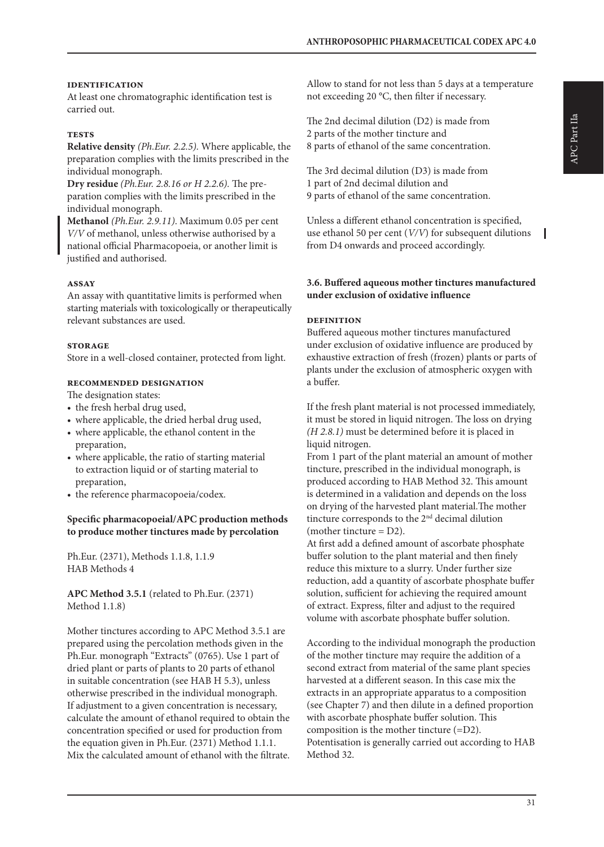ı

#### **identification**

At least one chromatographic identification test is carried out.

#### **tests**

**Relative density** *(Ph.Eur. 2.2.5).* Where applicable, the preparation complies with the limits prescribed in the individual monograph.

**Dry residue** *(Ph.Eur. 2.8.16 or H 2.2.6).* The preparation complies with the limits prescribed in the individual monograph.

**Methanol** *(Ph.Eur. 2.9.11)*. Maximum 0.05 per cent *V/V* of methanol, unless otherwise authorised by a national official Pharmacopoeia, or another limit is justified and authorised.

#### **assay**

An assay with quantitative limits is performed when starting materials with toxicologically or therapeutically relevant substances are used.

#### **storage**

Store in a well-closed container, protected from light.

#### **recommended designation**

The designation states:

- the fresh herbal drug used,
- where applicable, the dried herbal drug used,
- where applicable, the ethanol content in the preparation,
- where applicable, the ratio of starting material to extraction liquid or of starting material to preparation,
- the reference pharmacopoeia/codex.

#### **Specific pharmacopoeial/APC production methods to produce mother tinctures made by percolation**

Ph.Eur. (2371), Methods 1.1.8, 1.1.9 HAB Methods 4

**APC Method 3.5.1** (related to Ph.Eur. (2371) Method 1.1.8)

Mother tinctures according to APC Method 3.5.1 are prepared using the percolation methods given in the Ph.Eur. monograph "Extracts" (0765). Use 1 part of dried plant or parts of plants to 20 parts of ethanol in suitable concentration (see HAB H 5.3), unless otherwise prescribed in the individual monograph. If adjustment to a given concentration is necessary, calculate the amount of ethanol required to obtain the concentration specified or used for production from the equation given in Ph.Eur. (2371) Method 1.1.1. Mix the calculated amount of ethanol with the filtrate.

Allow to stand for not less than 5 days at a temperature not exceeding 20 °C, then filter if necessary.

The 2nd decimal dilution (D2) is made from 2 parts of the mother tincture and 8 parts of ethanol of the same concentration.

The 3rd decimal dilution (D3) is made from 1 part of 2nd decimal dilution and 9 parts of ethanol of the same concentration.

Unless a different ethanol concentration is specified, use ethanol 50 per cent (*V/V*) for subsequent dilutions from D4 onwards and proceed accordingly.

#### **3.6. Buffered aqueous mother tinctures manufactured under exclusion of oxidative influence**

#### **definition**

Buffered aqueous mother tinctures manufactured under exclusion of oxidative influence are produced by exhaustive extraction of fresh (frozen) plants or parts of plants under the exclusion of atmospheric oxygen with a buffer.

If the fresh plant material is not processed immediately, it must be stored in liquid nitrogen. The loss on drying *(H 2.8.1)* must be determined before it is placed in liquid nitrogen.

From 1 part of the plant material an amount of mother tincture, prescribed in the individual monograph, is produced according to HAB Method 32. This amount is determined in a validation and depends on the loss on drying of the harvested plant material.The mother tincture corresponds to the 2nd decimal dilution (mother tincture  $= D2$ ).

At first add a defined amount of ascorbate phosphate buffer solution to the plant material and then finely reduce this mixture to a slurry. Under further size reduction, add a quantity of ascorbate phosphate buffer solution, sufficient for achieving the required amount of extract. Express, filter and adjust to the required volume with ascorbate phosphate buffer solution.

According to the individual monograph the production of the mother tincture may require the addition of a second extract from material of the same plant species harvested at a different season. In this case mix the extracts in an appropriate apparatus to a composition (see Chapter 7) and then dilute in a defined proportion with ascorbate phosphate buffer solution. This composition is the mother tincture (=D2). Potentisation is generally carried out according to HAB Method 32.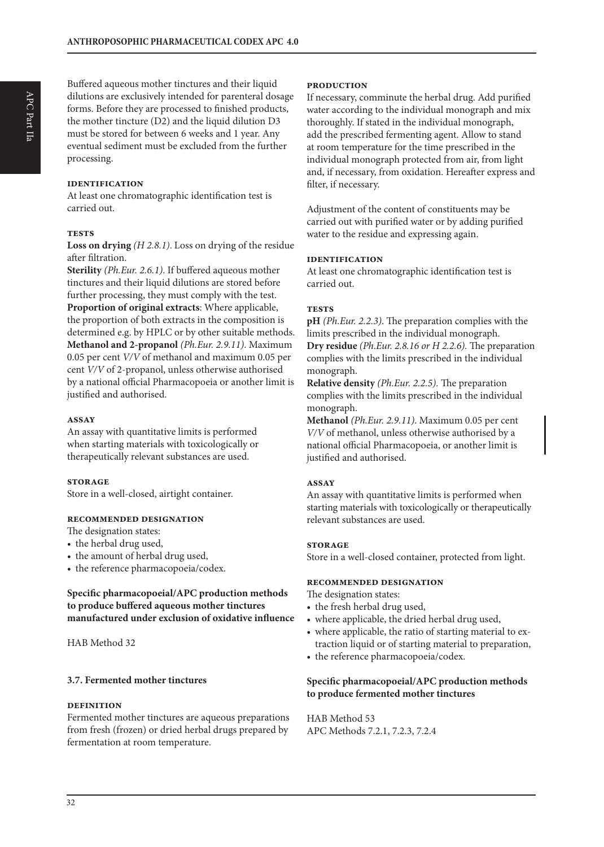Buffered aqueous mother tinctures and their liquid dilutions are exclusively intended for parenteral dosage forms. Before they are processed to finished products, the mother tincture  $(D2)$  and the liquid dilution  $D3$ must be stored for between 6 weeks and 1 year. Any eventual sediment must be excluded from the further processing.

#### **identification**

At least one chromatographic identification test is carried out.

#### **tests**

**Loss on drying** *(H 2.8.1)*. Loss on drying of the residue after filtration.

**Sterility** *(Ph.Eur. 2.6.1)*. If buffered aqueous mother tinctures and their liquid dilutions are stored before further processing, they must comply with the test. **Proportion of original extracts**: Where applicable, the proportion of both extracts in the composition is determined e.g. by HPLC or by other suitable methods. **Methanol and 2-propanol** *(Ph.Eur. 2.9.11)*. Maximum 0.05 per cent *V/V* of methanol and maximum 0.05 per cent *V/V* of 2-propanol, unless otherwise authorised by a national official Pharmacopoeia or another limit is justified and authorised.

#### **assay**

An assay with quantitative limits is performed when starting materials with toxicologically or therapeutically relevant substances are used.

#### **storage**

Store in a well-closed, airtight container.

#### **recommended designation**

The designation states:

- the herbal drug used,
- the amount of herbal drug used,
- the reference pharmacopoeia/codex.

#### **Specific pharmacopoeial/APC production methods to produce buffered aqueous mother tinctures manufactured under exclusion of oxidative influence**

HAB Method 32

#### **3.7. Fermented mother tinctures**

#### **definition**

Fermented mother tinctures are aqueous preparations from fresh (frozen) or dried herbal drugs prepared by fermentation at room temperature.

#### **production**

If necessary, comminute the herbal drug. Add purified water according to the individual monograph and mix thoroughly. If stated in the individual monograph, add the prescribed fermenting agent. Allow to stand at room temperature for the time prescribed in the individual monograph protected from air, from light and, if necessary, from oxidation. Hereafter express and filter, if necessary.

Adjustment of the content of constituents may be carried out with purified water or by adding purified water to the residue and expressing again.

#### **identification**

At least one chromatographic identification test is carried out.

#### **tests**

**pH** *(Ph.Eur. 2.2.3)*. The preparation complies with the limits prescribed in the individual monograph. **Dry residue** *(Ph.Eur. 2.8.16 or H 2.2.6).* The preparation complies with the limits prescribed in the individual monograph.

**Relative density** *(Ph.Eur. 2.2.5).* The preparation complies with the limits prescribed in the individual monograph.

**Methanol** *(Ph.Eur. 2.9.11)*. Maximum 0.05 per cent *V/V* of methanol, unless otherwise authorised by a national official Pharmacopoeia, or another limit is justified and authorised.

#### **assay**

An assay with quantitative limits is performed when starting materials with toxicologically or therapeutically relevant substances are used.

#### **storage**

Store in a well-closed container, protected from light.

#### **recommended designation**

The designation states:

- the fresh herbal drug used,
- where applicable, the dried herbal drug used,
- where applicable, the ratio of starting material to extraction liquid or of starting material to preparation,
- the reference pharmacopoeia/codex.

#### **Specific pharmacopoeial/APC production methods to produce fermented mother tinctures**

HAB Method 53 APC Methods 7.2.1, 7.2.3, 7.2.4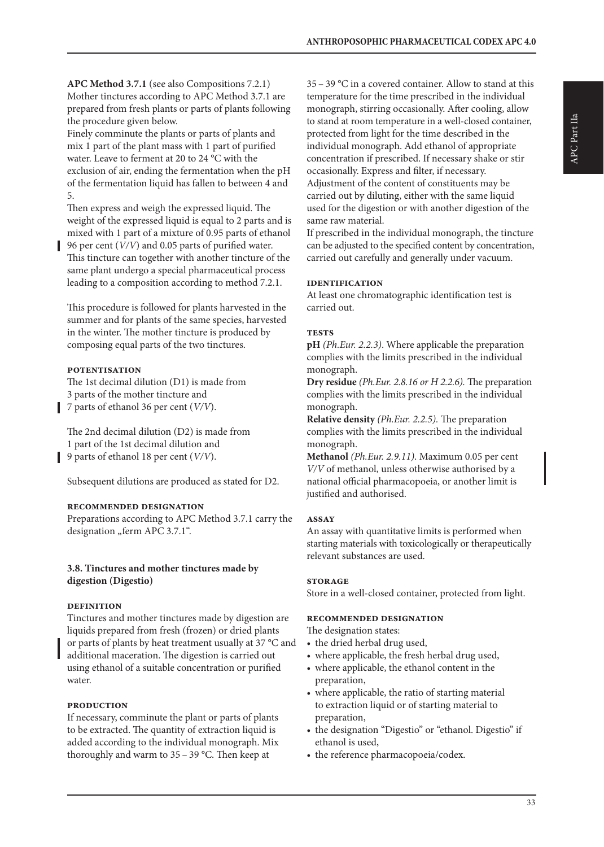**APC Method 3.7.1** (see also Compositions 7.2.1) Mother tinctures according to APC Method 3.7.1 are prepared from fresh plants or parts of plants following the procedure given below.

Finely comminute the plants or parts of plants and mix 1 part of the plant mass with 1 part of purified water. Leave to ferment at 20 to 24 °C with the exclusion of air, ending the fermentation when the pH of the fermentation liquid has fallen to between 4 and 5.

Then express and weigh the expressed liquid. The weight of the expressed liquid is equal to 2 parts and is mixed with 1 part of a mixture of 0.95 parts of ethanol

96 per cent (*V/V*) and 0.05 parts of purified water. This tincture can together with another tincture of the same plant undergo a special pharmaceutical process leading to a composition according to method 7.2.1.

This procedure is followed for plants harvested in the summer and for plants of the same species, harvested in the winter. The mother tincture is produced by composing equal parts of the two tinctures.

#### **potentisation**

The 1st decimal dilution (D1) is made from 3 parts of the mother tincture and 7 parts of ethanol 36 per cent (*V/V*).

The 2nd decimal dilution (D2) is made from 1 part of the 1st decimal dilution and 9 parts of ethanol 18 per cent (*V/V*).

Subsequent dilutions are produced as stated for D2.

#### **recommended designation**

Preparations according to APC Method 3.7.1 carry the designation "ferm APC 3.7.1".

#### **3.8. Tinctures and mother tinctures made by digestion (Digestio)**

#### **definition**

Tinctures and mother tinctures made by digestion are liquids prepared from fresh (frozen) or dried plants or parts of plants by heat treatment usually at 37 °C and additional maceration. The digestion is carried out using ethanol of a suitable concentration or purified water.

#### **production**

If necessary, comminute the plant or parts of plants to be extracted. The quantity of extraction liquid is added according to the individual monograph. Mix thoroughly and warm to 35 – 39 °C. Then keep at

35 – 39 °C in a covered container. Allow to stand at this temperature for the time prescribed in the individual monograph, stirring occasionally. After cooling, allow to stand at room temperature in a well-closed container, protected from light for the time described in the individual monograph. Add ethanol of appropriate concentration if prescribed. If necessary shake or stir occasionally. Express and filter, if necessary. Adjustment of the content of constituents may be carried out by diluting, either with the same liquid used for the digestion or with another digestion of the same raw material.

If prescribed in the individual monograph, the tincture can be adjusted to the specified content by concentration, carried out carefully and generally under vacuum.

#### **identification**

At least one chromatographic identification test is carried out.

#### **tests**

**pH** *(Ph.Eur. 2.2.3)*. Where applicable the preparation complies with the limits prescribed in the individual monograph.

**Dry residue** *(Ph.Eur. 2.8.16 or H 2.2.6).* The preparation complies with the limits prescribed in the individual monograph.

**Relative density** *(Ph.Eur. 2.2.5).* The preparation complies with the limits prescribed in the individual monograph.

**Methanol** *(Ph.Eur. 2.9.11)*. Maximum 0.05 per cent *V/V* of methanol, unless otherwise authorised by a national official pharmacopoeia, or another limit is justified and authorised.

#### **assay**

An assay with quantitative limits is performed when starting materials with toxicologically or therapeutically relevant substances are used.

#### **storage**

Store in a well-closed container, protected from light.

#### **recommended designation**

The designation states:

- the dried herbal drug used,
- where applicable, the fresh herbal drug used,
- where applicable, the ethanol content in the preparation,
- where applicable, the ratio of starting material to extraction liquid or of starting material to preparation,
- the designation "Digestio" or "ethanol. Digestio" if ethanol is used,
- the reference pharmacopoeia/codex.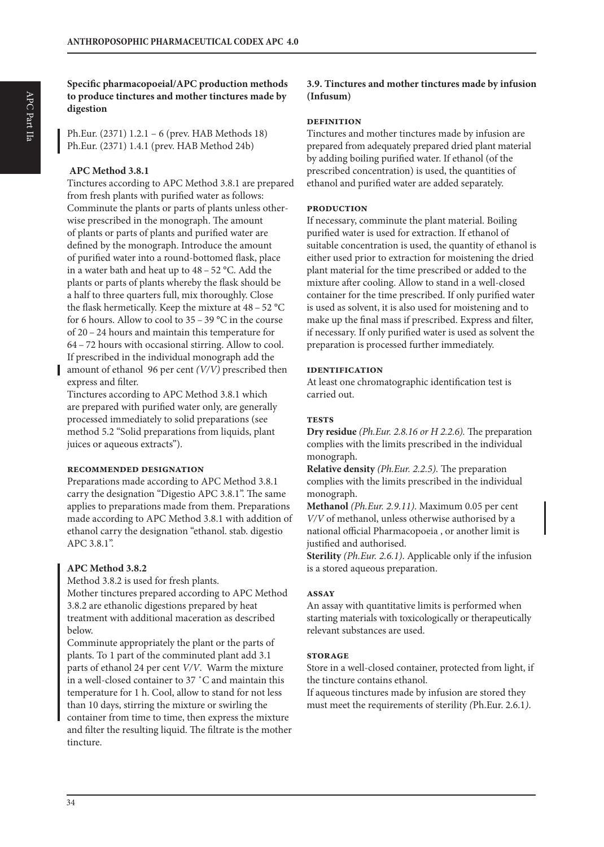**Specific pharmacopoeial/APC production methods to produce tinctures and mother tinctures made by digestion**

Ph.Eur. (2371) 1.2.1 – 6 (prev. HAB Methods 18) Ph.Eur. (2371) 1.4.1 (prev. HAB Method 24b)

#### **APC Method 3.8.1**

Tinctures according to APC Method 3.8.1 are prepared from fresh plants with purified water as follows: Comminute the plants or parts of plants unless otherwise prescribed in the monograph. The amount of plants or parts of plants and purified water are defined by the monograph. Introduce the amount of purified water into a round-bottomed flask, place in a water bath and heat up to 48 – 52 °C. Add the plants or parts of plants whereby the flask should be a half to three quarters full, mix thoroughly. Close the flask hermetically. Keep the mixture at 48 – 52 °C for 6 hours. Allow to cool to  $35 - 39$  °C in the course of 20 – 24 hours and maintain this temperature for 64 – 72 hours with occasional stirring. Allow to cool. If prescribed in the individual monograph add the amount of ethanol 96 per cent *(V/V)* prescribed then express and filter.

Tinctures according to APC Method 3.8.1 which are prepared with purified water only, are generally processed immediately to solid preparations (see method 5.2 "Solid preparations from liquids, plant juices or aqueous extracts").

#### **recommended designation**

Preparations made according to APC Method 3.8.1 carry the designation "Digestio APC 3.8.1". The same applies to preparations made from them. Preparations made according to APC Method 3.8.1 with addition of ethanol carry the designation "ethanol. stab. digestio APC 3.8.1".

# **APC Method 3.8.2**

Method 3.8.2 is used for fresh plants. Mother tinctures prepared according to APC Method 3.8.2 are ethanolic digestions prepared by heat treatment with additional maceration as described below.

Comminute appropriately the plant or the parts of plants. To 1 part of the comminuted plant add 3.1 parts of ethanol 24 per cent *V/V*. Warm the mixture in a well-closed container to 37 ˚C and maintain this temperature for 1 h. Cool, allow to stand for not less than 10 days, stirring the mixture or swirling the container from time to time, then express the mixture and filter the resulting liquid. The filtrate is the mother tincture.

# **3.9. Tinctures and mother tinctures made by infusion (Infusum)**

#### **definition**

Tinctures and mother tinctures made by infusion are prepared from adequately prepared dried plant material by adding boiling purified water. If ethanol (of the prescribed concentration) is used, the quantities of ethanol and purified water are added separately.

#### **production**

If necessary, comminute the plant material. Boiling purified water is used for extraction. If ethanol of suitable concentration is used, the quantity of ethanol is either used prior to extraction for moistening the dried plant material for the time prescribed or added to the mixture after cooling. Allow to stand in a well-closed container for the time prescribed. If only purified water is used as solvent, it is also used for moistening and to make up the final mass if prescribed. Express and filter, if necessary. If only purified water is used as solvent the preparation is processed further immediately.

#### **identification**

At least one chromatographic identification test is carried out.

#### **tests**

**Dry residue** *(Ph.Eur. 2.8.16 or H 2.2.6).* The preparation complies with the limits prescribed in the individual monograph.

**Relative density** *(Ph.Eur. 2.2.5).* The preparation complies with the limits prescribed in the individual monograph.

**Methanol** *(Ph.Eur. 2.9.11)*. Maximum 0.05 per cent *V/V* of methanol, unless otherwise authorised by a national official Pharmacopoeia , or another limit is justified and authorised.

**Sterility** *(Ph.Eur. 2.6.1)*. Applicable only if the infusion is a stored aqueous preparation.

#### **assay**

An assay with quantitative limits is performed when starting materials with toxicologically or therapeutically relevant substances are used.

#### **storage**

Store in a well-closed container, protected from light, if the tincture contains ethanol.

If aqueous tinctures made by infusion are stored they must meet the requirements of sterility *(*Ph.Eur. 2.6.1*)*.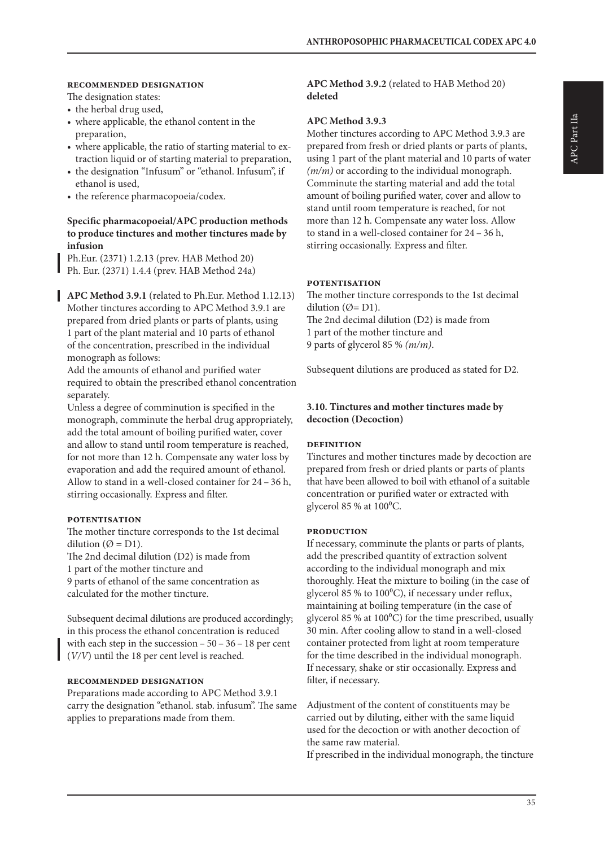#### **recommended designation**

The designation states:

- the herbal drug used,
- where applicable, the ethanol content in the preparation,
- where applicable, the ratio of starting material to extraction liquid or of starting material to preparation,
- the designation "Infusum" or "ethanol. Infusum", if ethanol is used,
- the reference pharmacopoeia/codex.

#### **Specific pharmacopoeial/APC production methods to produce tinctures and mother tinctures made by infusion**

Ph.Eur. (2371) 1.2.13 (prev. HAB Method 20) Ph. Eur. (2371) 1.4.4 (prev. HAB Method 24a)

**APC Method 3.9.1** (related to Ph.Eur. Method 1.12.13) Mother tinctures according to APC Method 3.9.1 are prepared from dried plants or parts of plants, using 1 part of the plant material and 10 parts of ethanol of the concentration, prescribed in the individual monograph as follows:

Add the amounts of ethanol and purified water required to obtain the prescribed ethanol concentration separately.

Unless a degree of comminution is specified in the monograph, comminute the herbal drug appropriately, add the total amount of boiling purified water, cover and allow to stand until room temperature is reached, for not more than 12 h. Compensate any water loss by evaporation and add the required amount of ethanol. Allow to stand in a well-closed container for 24 – 36 h, stirring occasionally. Express and filter.

#### **potentisation**

The mother tincture corresponds to the 1st decimal dilution ( $\emptyset$  = D1).

The 2nd decimal dilution (D2) is made from

1 part of the mother tincture and

9 parts of ethanol of the same concentration as calculated for the mother tincture.

Subsequent decimal dilutions are produced accordingly; in this process the ethanol concentration is reduced with each step in the succession – 50 – 36 – 18 per cent (*V/V*) until the 18 per cent level is reached.

#### **recommended designation**

Preparations made according to APC Method 3.9.1 carry the designation "ethanol. stab. infusum". The same applies to preparations made from them.

**APC Method 3.9.2** (related to HAB Method 20) **deleted**

#### **APC Method 3.9.3**

Mother tinctures according to APC Method 3.9.3 are prepared from fresh or dried plants or parts of plants, using 1 part of the plant material and 10 parts of water *(m/m)* or according to the individual monograph. Comminute the starting material and add the total amount of boiling purified water, cover and allow to stand until room temperature is reached, for not more than 12 h. Compensate any water loss. Allow to stand in a well-closed container for 24 – 36 h, stirring occasionally. Express and filter.

#### **potentisation**

The mother tincture corresponds to the 1st decimal dilution ( $\emptyset$ = D1). The 2nd decimal dilution (D2) is made from 1 part of the mother tincture and 9 parts of glycerol 85 % *(m/m)*.

Subsequent dilutions are produced as stated for D2.

#### **3.10. Tinctures and mother tinctures made by decoction (Decoction)**

#### **definition**

Tinctures and mother tinctures made by decoction are prepared from fresh or dried plants or parts of plants that have been allowed to boil with ethanol of a suitable concentration or purified water or extracted with glycerol 85 % at  $100^{\circ}$ C.

#### **production**

If necessary, comminute the plants or parts of plants, add the prescribed quantity of extraction solvent according to the individual monograph and mix thoroughly. Heat the mixture to boiling (in the case of glycerol 85 % to 100<sup>o</sup>C), if necessary under reflux, maintaining at boiling temperature (in the case of glycerol 85 % at 100°C) for the time prescribed, usually 30 min. After cooling allow to stand in a well-closed container protected from light at room temperature for the time described in the individual monograph. If necessary, shake or stir occasionally. Express and filter, if necessary.

Adjustment of the content of constituents may be carried out by diluting, either with the same liquid used for the decoction or with another decoction of the same raw material.

If prescribed in the individual monograph, the tincture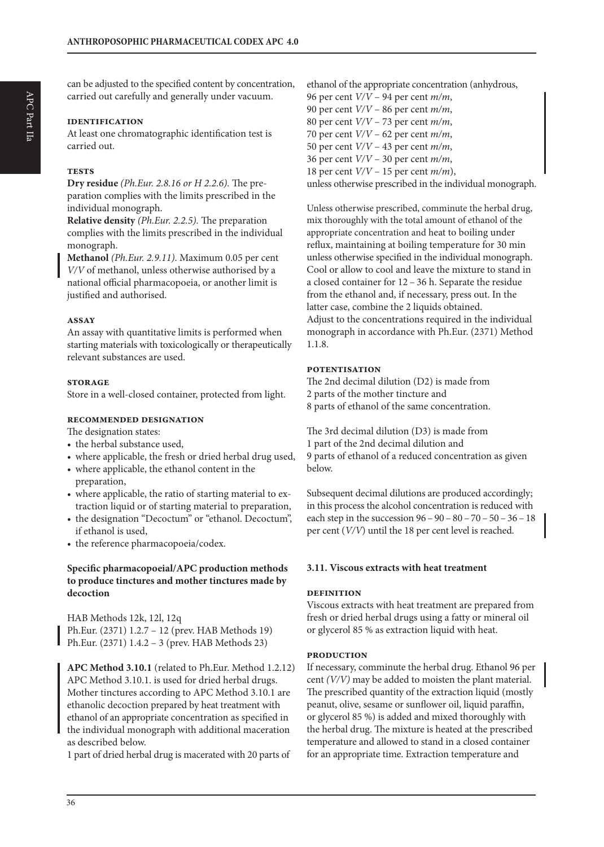can be adjusted to the specified content by concentration, carried out carefully and generally under vacuum.

#### **identification**

At least one chromatographic identification test is carried out.

#### **tests**

**Dry residue** *(Ph.Eur. 2.8.16 or H 2.2.6).* The preparation complies with the limits prescribed in the individual monograph.

**Relative density** *(Ph.Eur. 2.2.5).* The preparation complies with the limits prescribed in the individual monograph.

**Methanol** *(Ph.Eur. 2.9.11)*. Maximum 0.05 per cent *V/V* of methanol, unless otherwise authorised by a national official pharmacopoeia, or another limit is justified and authorised.

#### **assay**

An assay with quantitative limits is performed when starting materials with toxicologically or therapeutically relevant substances are used.

#### **storage**

Store in a well-closed container, protected from light.

#### **recommended designation**

The designation states:

- the herbal substance used,
- where applicable, the fresh or dried herbal drug used,
- where applicable, the ethanol content in the preparation,
- where applicable, the ratio of starting material to extraction liquid or of starting material to preparation,
- the designation "Decoctum" or "ethanol. Decoctum", if ethanol is used,
- the reference pharmacopoeia/codex.

#### **Specific pharmacopoeial/APC production methods to produce tinctures and mother tinctures made by decoction**

HAB Methods 12k, 12l, 12q Ph.Eur. (2371) 1.2.7 – 12 (prev. HAB Methods 19) Ph.Eur. (2371) 1.4.2 – 3 (prev. HAB Methods 23)

**APC Method 3.10.1** (related to Ph.Eur. Method 1.2.12) APC Method 3.10.1. is used for dried herbal drugs. Mother tinctures according to APC Method 3.10.1 are ethanolic decoction prepared by heat treatment with ethanol of an appropriate concentration as specified in the individual monograph with additional maceration as described below.

1 part of dried herbal drug is macerated with 20 parts of

ethanol of the appropriate concentration (anhydrous, 96 per cent *V/V* – 94 per cent *m/m*, 90 per cent *V/V* – 86 per cent *m/m*, 80 per cent *V/V* – 73 per cent *m/m*, 70 per cent *V/V* – 62 per cent *m/m*, 50 per cent *V/V* – 43 per cent *m/m*, 36 per cent *V/V* – 30 per cent *m/m*, 18 per cent *V/V* – 15 per cent *m/m*),

unless otherwise prescribed in the individual monograph.

Unless otherwise prescribed, comminute the herbal drug, mix thoroughly with the total amount of ethanol of the appropriate concentration and heat to boiling under reflux, maintaining at boiling temperature for 30 min unless otherwise specified in the individual monograph. Cool or allow to cool and leave the mixture to stand in a closed container for 12 – 36 h. Separate the residue from the ethanol and, if necessary, press out. In the latter case, combine the 2 liquids obtained. Adjust to the concentrations required in the individual monograph in accordance with Ph.Eur. (2371) Method 1.1.8.

#### **potentisation**

The 2nd decimal dilution (D2) is made from 2 parts of the mother tincture and 8 parts of ethanol of the same concentration.

The 3rd decimal dilution (D3) is made from 1 part of the 2nd decimal dilution and 9 parts of ethanol of a reduced concentration as given below.

Subsequent decimal dilutions are produced accordingly; in this process the alcohol concentration is reduced with each step in the succession 96 – 90 – 80 – 70 – 50 – 36 – 18 per cent (*V/V*) until the 18 per cent level is reached.

#### **3.11. Viscous extracts with heat treatment**

#### **definition**

Viscous extracts with heat treatment are prepared from fresh or dried herbal drugs using a fatty or mineral oil or glycerol 85 % as extraction liquid with heat.

#### **production**

If necessary, comminute the herbal drug. Ethanol 96 per cent *(V/V)* may be added to moisten the plant material. The prescribed quantity of the extraction liquid (mostly peanut, olive, sesame or sunflower oil, liquid paraffin, or glycerol 85 %) is added and mixed thoroughly with the herbal drug. The mixture is heated at the prescribed temperature and allowed to stand in a closed container for an appropriate time. Extraction temperature and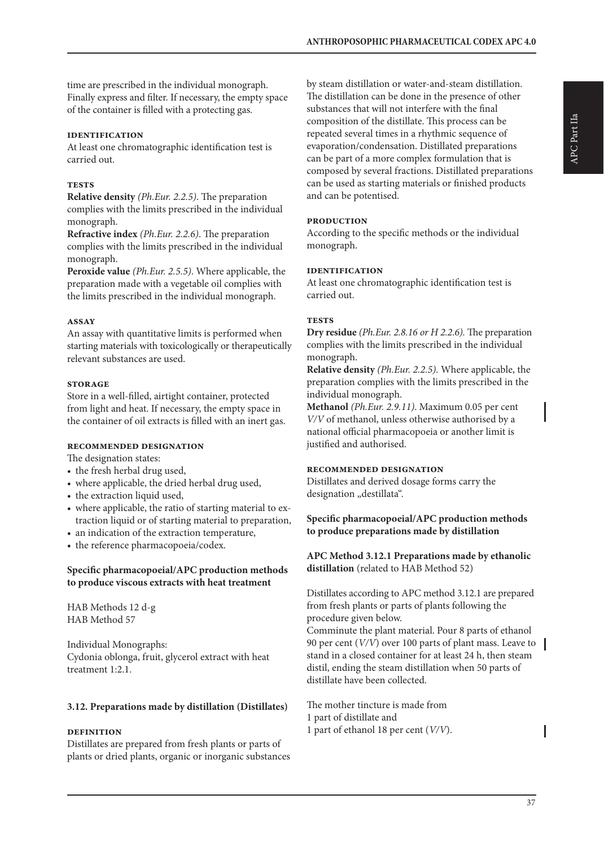time are prescribed in the individual monograph. Finally express and filter. If necessary, the empty space of the container is filled with a protecting gas.

#### **identification**

At least one chromatographic identification test is carried out.

#### **tests**

**Relative density** *(Ph.Eur. 2.2.5)*. The preparation complies with the limits prescribed in the individual monograph.

**Refractive index** *(Ph.Eur. 2.2.6)*. The preparation complies with the limits prescribed in the individual monograph.

**Peroxide value** *(Ph.Eur. 2.5.5)*. Where applicable, the preparation made with a vegetable oil complies with the limits prescribed in the individual monograph.

#### **assay**

An assay with quantitative limits is performed when starting materials with toxicologically or therapeutically relevant substances are used.

#### **storage**

Store in a well-filled, airtight container, protected from light and heat. If necessary, the empty space in the container of oil extracts is filled with an inert gas.

#### **recommended designation**

The designation states:

- the fresh herbal drug used,
- where applicable, the dried herbal drug used,
- the extraction liquid used,
- where applicable, the ratio of starting material to extraction liquid or of starting material to preparation,
- an indication of the extraction temperature,
- the reference pharmacopoeia/codex.

#### **Specific pharmacopoeial/APC production methods to produce viscous extracts with heat treatment**

HAB Methods 12 d-g HAB Method 57

Individual Monographs: Cydonia oblonga, fruit, glycerol extract with heat treatment 1:2.1.

#### **3.12. Preparations made by distillation (Distillates)**

# **definition**

Distillates are prepared from fresh plants or parts of plants or dried plants, organic or inorganic substances by steam distillation or water-and-steam distillation. The distillation can be done in the presence of other substances that will not interfere with the final composition of the distillate. This process can be repeated several times in a rhythmic sequence of evaporation/condensation. Distillated preparations can be part of a more complex formulation that is composed by several fractions. Distillated preparations can be used as starting materials or finished products and can be potentised.

#### **production**

According to the specific methods or the individual monograph.

#### **identification**

At least one chromatographic identification test is carried out.

#### **tests**

**Dry residue** *(Ph.Eur. 2.8.16 or H 2.2.6).* The preparation complies with the limits prescribed in the individual monograph.

**Relative density** *(Ph.Eur. 2.2.5).* Where applicable, the preparation complies with the limits prescribed in the individual monograph.

**Methanol** *(Ph.Eur. 2.9.11)*. Maximum 0.05 per cent *V/V* of methanol, unless otherwise authorised by a national official pharmacopoeia or another limit is justified and authorised.

#### **recommended designation**

Distillates and derived dosage forms carry the designation "destillata".

#### **Specific pharmacopoeial/APC production methods to produce preparations made by distillation**

**APC Method 3.12.1 Preparations made by ethanolic distillation** (related to HAB Method 52)

Distillates according to APC method 3.12.1 are prepared from fresh plants or parts of plants following the procedure given below.

Comminute the plant material. Pour 8 parts of ethanol 90 per cent (*V/V*) over 100 parts of plant mass. Leave to stand in a closed container for at least 24 h, then steam distil, ending the steam distillation when 50 parts of distillate have been collected.

The mother tincture is made from 1 part of distillate and 1 part of ethanol 18 per cent (*V/V*).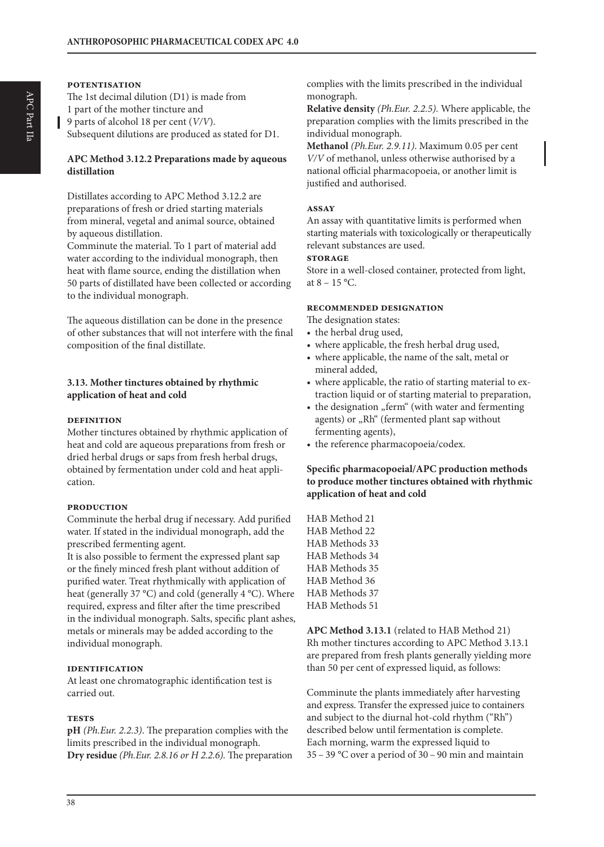#### **potentisation**

The 1st decimal dilution (D1) is made from 1 part of the mother tincture and 9 parts of alcohol 18 per cent (*V/V*). Subsequent dilutions are produced as stated for D1.

#### **APC Method 3.12.2 Preparations made by aqueous distillation**

Distillates according to APC Method 3.12.2 are preparations of fresh or dried starting materials from mineral, vegetal and animal source, obtained by aqueous distillation.

Comminute the material. To 1 part of material add water according to the individual monograph, then heat with flame source, ending the distillation when 50 parts of distillated have been collected or according to the individual monograph.

The aqueous distillation can be done in the presence of other substances that will not interfere with the final composition of the final distillate.

#### **3.13. Mother tinctures obtained by rhythmic application of heat and cold**

#### **definition**

Mother tinctures obtained by rhythmic application of heat and cold are aqueous preparations from fresh or dried herbal drugs or saps from fresh herbal drugs, obtained by fermentation under cold and heat application.

#### **production**

Comminute the herbal drug if necessary. Add purified water. If stated in the individual monograph, add the prescribed fermenting agent.

It is also possible to ferment the expressed plant sap or the finely minced fresh plant without addition of purified water. Treat rhythmically with application of heat (generally 37 °C) and cold (generally 4 °C). Where required, express and filter after the time prescribed in the individual monograph. Salts, specific plant ashes, metals or minerals may be added according to the individual monograph.

#### **identification**

At least one chromatographic identification test is carried out.

#### **tests**

**pH** *(Ph.Eur. 2.2.3)*. The preparation complies with the limits prescribed in the individual monograph. **Dry residue** *(Ph.Eur. 2.8.16 or H 2.2.6).* The preparation complies with the limits prescribed in the individual monograph.

**Relative density** *(Ph.Eur. 2.2.5).* Where applicable, the preparation complies with the limits prescribed in the individual monograph.

**Methanol** *(Ph.Eur. 2.9.11)*. Maximum 0.05 per cent *V/V* of methanol, unless otherwise authorised by a national official pharmacopoeia, or another limit is justified and authorised.

#### **assay**

An assay with quantitative limits is performed when starting materials with toxicologically or therapeutically relevant substances are used.

# **storage**

Store in a well-closed container, protected from light, at  $8 - 15$  °C.

#### **recommended designation**

The designation states:

- the herbal drug used,
- where applicable, the fresh herbal drug used,
- where applicable, the name of the salt, metal or mineral added,
- where applicable, the ratio of starting material to extraction liquid or of starting material to preparation,
- the designation "ferm" (with water and fermenting agents) or "Rh" (fermented plant sap without fermenting agents),
- the reference pharmacopoeia/codex.

#### **Specific pharmacopoeial/APC production methods to produce mother tinctures obtained with rhythmic application of heat and cold**

HAB Method 21 HAB Method 22 HAB Methods 33 HAB Methods 34 HAB Methods 35 HAB Method 36 HAB Methods 37 HAB Methods 51

**APC Method 3.13.1** (related to HAB Method 21) Rh mother tinctures according to APC Method 3.13.1 are prepared from fresh plants generally yielding more than 50 per cent of expressed liquid, as follows:

Comminute the plants immediately after harvesting and express. Transfer the expressed juice to containers and subject to the diurnal hot-cold rhythm ("Rh") described below until fermentation is complete. Each morning, warm the expressed liquid to 35 – 39 °C over a period of 30 – 90 min and maintain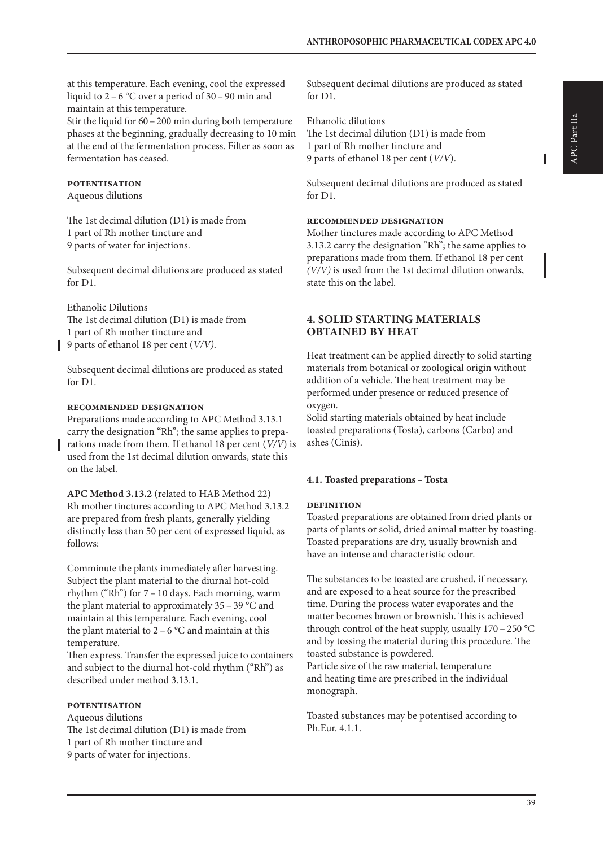at this temperature. Each evening, cool the expressed liquid to 2 – 6 °C over a period of 30 – 90 min and maintain at this temperature.

Stir the liquid for  $60 - 200$  min during both temperature phases at the beginning, gradually decreasing to 10 min at the end of the fermentation process. Filter as soon as fermentation has ceased.

# **potentisation**

Aqueous dilutions

The 1st decimal dilution (D1) is made from 1 part of Rh mother tincture and 9 parts of water for injections.

Subsequent decimal dilutions are produced as stated for D1.

Ethanolic Dilutions The 1st decimal dilution (D1) is made from 1 part of Rh mother tincture and 9 parts of ethanol 18 per cent (*V/V)*.

Subsequent decimal dilutions are produced as stated for D1.

#### **recommended designation**

Preparations made according to APC Method 3.13.1 carry the designation "Rh"; the same applies to preparations made from them. If ethanol 18 per cent (*V/V*) is used from the 1st decimal dilution onwards, state this on the label.

**APC Method 3.13.2** (related to HAB Method 22) Rh mother tinctures according to APC Method 3.13.2 are prepared from fresh plants, generally yielding distinctly less than 50 per cent of expressed liquid, as follows:

Comminute the plants immediately after harvesting. Subject the plant material to the diurnal hot-cold rhythm ("Rh") for 7 – 10 days. Each morning, warm the plant material to approximately  $35 - 39$  °C and maintain at this temperature. Each evening, cool the plant material to  $2 - 6$  °C and maintain at this temperature.

Then express. Transfer the expressed juice to containers and subject to the diurnal hot-cold rhythm ("Rh") as described under method 3.13.1.

#### **potentisation**

Aqueous dilutions The 1st decimal dilution (D1) is made from 1 part of Rh mother tincture and 9 parts of water for injections.

Subsequent decimal dilutions are produced as stated for D1.

Ethanolic dilutions The 1st decimal dilution (D1) is made from 1 part of Rh mother tincture and 9 parts of ethanol 18 per cent (*V/V*).

Subsequent decimal dilutions are produced as stated for D1.

# **recommended designation**

Mother tinctures made according to APC Method 3.13.2 carry the designation "Rh"; the same applies to preparations made from them. If ethanol 18 per cent *(V/V)* is used from the 1st decimal dilution onwards, state this on the label.

# **4. SOLID STARTING MATERIALS OBTAINED BY HEAT**

Heat treatment can be applied directly to solid starting materials from botanical or zoological origin without addition of a vehicle. The heat treatment may be performed under presence or reduced presence of oxygen.

Solid starting materials obtained by heat include toasted preparations (Tosta), carbons (Carbo) and ashes (Cinis).

# **4.1. Toasted preparations – Tosta**

# **definition**

Toasted preparations are obtained from dried plants or parts of plants or solid, dried animal matter by toasting. Toasted preparations are dry, usually brownish and have an intense and characteristic odour.

The substances to be toasted are crushed, if necessary, and are exposed to a heat source for the prescribed time. During the process water evaporates and the matter becomes brown or brownish. This is achieved through control of the heat supply, usually  $170 - 250$  °C and by tossing the material during this procedure. The toasted substance is powdered. Particle size of the raw material, temperature and heating time are prescribed in the individual monograph.

Toasted substances may be potentised according to Ph.Eur. 4.1.1.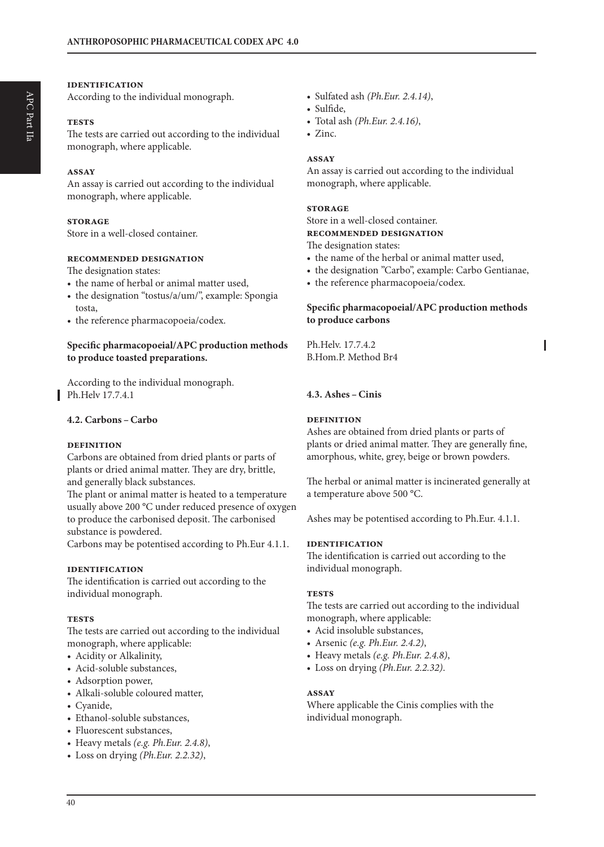#### **identification**

According to the individual monograph.

#### **tests**

The tests are carried out according to the individual monograph, where applicable.

#### **assay**

An assay is carried out according to the individual monograph, where applicable.

#### **storage**

Store in a well-closed container.

#### **recommended designation**

The designation states:

- the name of herbal or animal matter used,
- the designation "tostus/a/um/", example: Spongia tosta,
- the reference pharmacopoeia/codex.

#### **Specific pharmacopoeial/APC production methods to produce toasted preparations.**

According to the individual monograph. Ph.Helv 17.7.4.1

#### **4.2. Carbons –Carbo**

#### **definition**

Carbons are obtained from dried plants or parts of plants or dried animal matter. They are dry, brittle, and generally black substances.

The plant or animal matter is heated to a temperature usually above 200 °C under reduced presence of oxygen to produce the carbonised deposit. The carbonised substance is powdered.

Carbons may be potentised according to Ph.Eur 4.1.1.

#### **identification**

The identification is carried out according to the individual monograph.

#### **tests**

The tests are carried out according to the individual monograph, where applicable:

- Acidity or Alkalinity,
- Acid-soluble substances,
- Adsorption power,
- Alkali-soluble coloured matter,
- Cyanide,
- Ethanol-soluble substances,
- Fluorescent substances,
- Heavy metals *(e.g. Ph.Eur. 2.4.8)*,
- Loss on drying *(Ph.Eur. 2.2.32)*,
- Sulfated ash *(Ph.Eur. 2.4.14)*,
- Sulfide,
	- Total ash *(Ph.Eur. 2.4.16)*,
	- Zinc.

#### **assay**

An assay is carried out according to the individual monograph, where applicable.

#### **storage**

Store in a well-closed container. **recommended designation** 

The designation states:

- the name of the herbal or animal matter used,
- the designation "Carbo", example: Carbo Gentianae,
- the reference pharmacopoeia/codex.

#### **Specific pharmacopoeial/APC production methods to produce carbons**

Ph.Helv. 17.7.4.2 B.Hom.P. Method Br4

### **4.3. Ashes –Cinis**

#### **definition**

Ashes are obtained from dried plants or parts of plants or dried animal matter. They are generally fine, amorphous, white, grey, beige or brown powders.

The herbal or animal matter is incinerated generally at a temperature above 500 °C.

Ashes may be potentised according to Ph.Eur. 4.1.1.

#### **identification**

The identification is carried out according to the individual monograph.

#### **tests**

The tests are carried out according to the individual monograph, where applicable:

- Acid insoluble substances,
- Arsenic *(e.g. Ph.Eur. 2.4.2)*,
- Heavy metals *(e.g. Ph.Eur. 2.4.8)*,
- Loss on drying *(Ph.Eur. 2.2.32)*.

#### **assay**

Where applicable the Cinis complies with the individual monograph.

40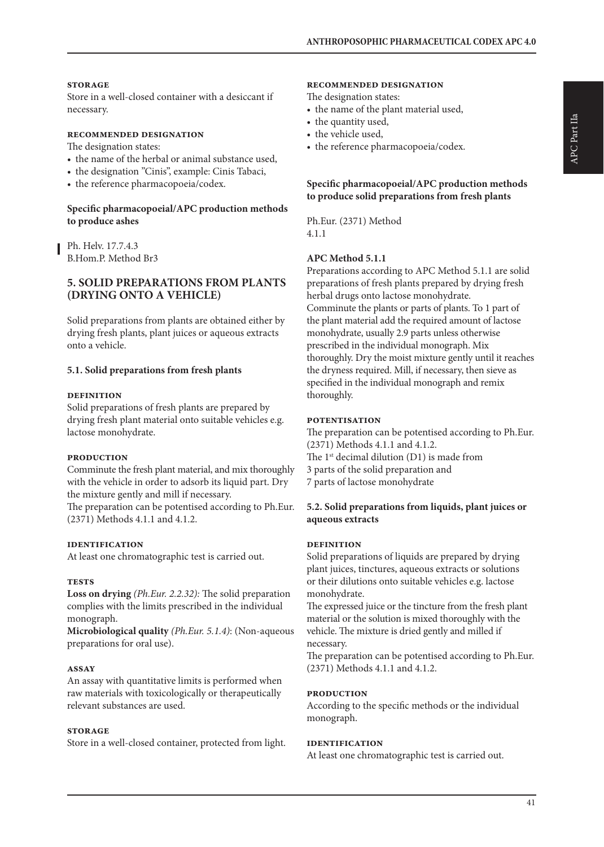#### **storage**

Store in a well-closed container with a desiccant if necessary.

#### **recommended designation**

The designation states:

- the name of the herbal or animal substance used,
- the designation "Cinis", example: Cinis Tabaci,
- the reference pharmacopoeia/codex.

#### **Specific pharmacopoeial/APC production methods to produce ashes**

Ph. Helv. 17.7.4.3 B.Hom.P. Method Br3

#### **5. SOLID PREPARATIONS FROM PLANTS (DRYING ONTO A VEHICLE)**

Solid preparations from plants are obtained either by drying fresh plants, plant juices or aqueous extracts onto a vehicle.

#### **5.1. Solid preparations from fresh plants**

#### **definition**

Solid preparations of fresh plants are prepared by drying fresh plant material onto suitable vehicles e.g. lactose monohydrate.

#### **production**

Comminute the fresh plant material, and mix thoroughly with the vehicle in order to adsorb its liquid part. Dry the mixture gently and mill if necessary.

The preparation can be potentised according to Ph.Eur. (2371) Methods 4.1.1 and 4.1.2.

#### **identification**

At least one chromatographic test is carried out.

#### **tests**

**Loss on drying** *(Ph.Eur. 2.2.32):* The solid preparation complies with the limits prescribed in the individual monograph.

**Microbiological quality** *(Ph.Eur. 5.1.4)*: (Non-aqueous preparations for oral use).

#### **assay**

An assay with quantitative limits is performed when raw materials with toxicologically or therapeutically relevant substances are used.

#### **storage**

Store in a well-closed container, protected from light.

#### **recommended designation**

The designation states:

- the name of the plant material used,
- the quantity used,
- the vehicle used,
- the reference pharmacopoeia/codex.

#### **Specific pharmacopoeial/APC production methods to produce solid preparations from fresh plants**

Ph.Eur. (2371) Method 4.1.1

#### **APC Method 5.1.1**

Preparations according to APC Method 5.1.1 are solid preparations of fresh plants prepared by drying fresh herbal drugs onto lactose monohydrate. Comminute the plants or parts of plants. To 1 part of the plant material add the required amount of lactose monohydrate, usually 2.9 parts unless otherwise prescribed in the individual monograph. Mix thoroughly. Dry the moist mixture gently until it reaches the dryness required. Mill, if necessary, then sieve as specified in the individual monograph and remix thoroughly.

#### **potentisation**

The preparation can be potentised according to Ph.Eur. (2371) Methods 4.1.1 and 4.1.2. The 1<sup>st</sup> decimal dilution (D1) is made from 3 parts of the solid preparation and 7 parts of lactose monohydrate

#### **5.2. Solid preparations from liquids, plant juices or aqueous extracts**

#### **definition**

Solid preparations of liquids are prepared by drying plant juices, tinctures, aqueous extracts or solutions or their dilutions onto suitable vehicles e.g. lactose monohydrate.

The expressed juice or the tincture from the fresh plant material or the solution is mixed thoroughly with the vehicle. The mixture is dried gently and milled if necessary.

The preparation can be potentised according to Ph.Eur. (2371) Methods 4.1.1 and 4.1.2.

#### **production**

According to the specific methods or the individual monograph.

#### **identification**

At least one chromatographic test is carried out.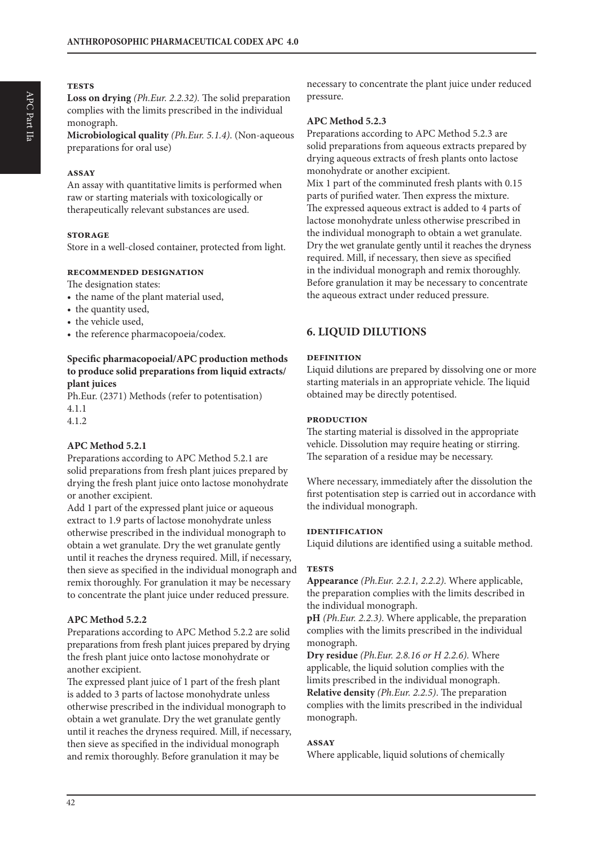### **tests**

**Loss on drying** *(Ph.Eur. 2.2.32).* The solid preparation complies with the limits prescribed in the individual monograph.

**Microbiological quality** *(Ph.Eur. 5.1.4)*. (Non-aqueous preparations for oral use)

#### **assay**

An assay with quantitative limits is performed when raw or starting materials with toxicologically or therapeutically relevant substances are used.

#### **storage**

Store in a well-closed container, protected from light.

#### **recommended designation**

The designation states:

- the name of the plant material used,
- the quantity used,
- the vehicle used,
- the reference pharmacopoeia/codex.

#### **Specific pharmacopoeial/APC production methods to produce solid preparations from liquid extracts/ plant juices**

Ph.Eur. (2371) Methods (refer to potentisation) 4.1.1

4.1.2

#### **APC Method 5.2.1**

Preparations according to APC Method 5.2.1 are solid preparations from fresh plant juices prepared by drying the fresh plant juice onto lactose monohydrate or another excipient.

Add 1 part of the expressed plant juice or aqueous extract to 1.9 parts of lactose monohydrate unless otherwise prescribed in the individual monograph to obtain a wet granulate. Dry the wet granulate gently until it reaches the dryness required. Mill, if necessary, then sieve as specified in the individual monograph and remix thoroughly. For granulation it may be necessary to concentrate the plant juice under reduced pressure.

#### **APC Method 5.2.2**

Preparations according to APC Method 5.2.2 are solid preparations from fresh plant juices prepared by drying the fresh plant juice onto lactose monohydrate or another excipient.

The expressed plant juice of 1 part of the fresh plant is added to 3 parts of lactose monohydrate unless otherwise prescribed in the individual monograph to obtain a wet granulate. Dry the wet granulate gently until it reaches the dryness required. Mill, if necessary, then sieve as specified in the individual monograph and remix thoroughly. Before granulation it may be

necessary to concentrate the plant juice under reduced pressure.

#### **APC Method 5.2.3**

Preparations according to APC Method 5.2.3 are solid preparations from aqueous extracts prepared by drying aqueous extracts of fresh plants onto lactose monohydrate or another excipient. Mix 1 part of the comminuted fresh plants with 0.15 parts of purified water. Then express the mixture. The expressed aqueous extract is added to 4 parts of lactose monohydrate unless otherwise prescribed in the individual monograph to obtain a wet granulate. Dry the wet granulate gently until it reaches the dryness required. Mill, if necessary, then sieve as specified in the individual monograph and remix thoroughly. Before granulation it may be necessary to concentrate the aqueous extract under reduced pressure.

# **6. LIQUID DILUTIONS**

#### **definition**

Liquid dilutions are prepared by dissolving one or more starting materials in an appropriate vehicle. The liquid obtained may be directly potentised.

#### **production**

The starting material is dissolved in the appropriate vehicle. Dissolution may require heating or stirring. The separation of a residue may be necessary.

Where necessary, immediately after the dissolution the first potentisation step is carried out in accordance with the individual monograph.

#### **identification**

Liquid dilutions are identified using a suitable method.

#### **tests**

**Appearance** *(Ph.Eur. 2.2.1, 2.2.2)*. Where applicable, the preparation complies with the limits described in the individual monograph.

**pH** *(Ph.Eur. 2.2.3)*. Where applicable, the preparation complies with the limits prescribed in the individual monograph.

**Dry residue** *(Ph.Eur. 2.8.16 or H 2.2.6).* Where applicable, the liquid solution complies with the limits prescribed in the individual monograph. **Relative density** *(Ph.Eur. 2.2.5)*. The preparation complies with the limits prescribed in the individual monograph.

#### **assay**

Where applicable, liquid solutions of chemically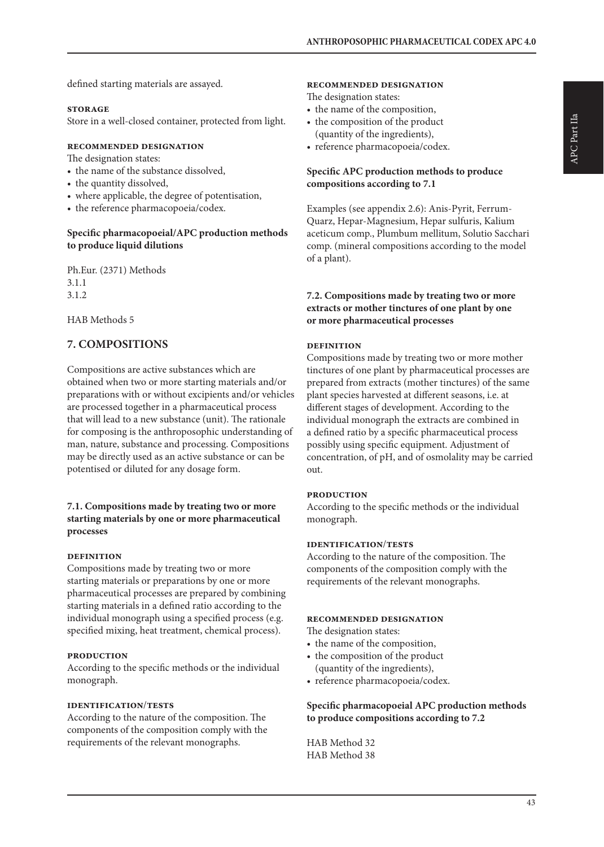defined starting materials are assayed.

#### **storage**

Store in a well-closed container, protected from light.

#### **recommended designation**

The designation states:

- the name of the substance dissolved,
- the quantity dissolved,
- where applicable, the degree of potentisation,
- the reference pharmacopoeia/codex.

#### **Specific pharmacopoeial/APC production methods to produce liquid dilutions**

Ph.Eur. (2371) Methods 3.1.1 3.1.2

HAB Methods 5

# **7. COMPOSITIONS**

Compositions are active substances which are obtained when two or more starting materials and/or preparations with or without excipients and/or vehicles are processed together in a pharmaceutical process that will lead to a new substance (unit). The rationale for composing is the anthroposophic understanding of man, nature, substance and processing. Compositions may be directly used as an active substance or can be potentised or diluted for any dosage form.

#### **7.1. Compositions made by treating two or more starting materials by one or more pharmaceutical processes**

#### **definition**

Compositions made by treating two or more starting materials or preparations by one or more pharmaceutical processes are prepared by combining starting materials in a defined ratio according to the individual monograph using a specified process (e.g. specified mixing, heat treatment, chemical process).

#### **production**

According to the specific methods or the individual monograph.

#### **identification**/**tests**

According to the nature of the composition. The components of the composition comply with the requirements of the relevant monographs.

#### **recommended designation**

The designation states:

- the name of the composition,
- the composition of the product (quantity of the ingredients),
- reference pharmacopoeia/codex.

#### **Specific APC production methods to produce compositions according to 7.1**

Examples (see appendix 2.6): Anis-Pyrit, Ferrum-Quarz, Hepar-Magnesium, Hepar sulfuris, Kalium aceticum comp., Plumbum mellitum, Solutio Sacchari comp. (mineral compositions according to the model of a plant).

#### **7.2. Compositions made by treating two or more extracts or mother tinctures of one plant by one or more pharmaceutical processes**

#### **definition**

Compositions made by treating two or more mother tinctures of one plant by pharmaceutical processes are prepared from extracts (mother tinctures) of the same plant species harvested at different seasons, i.e. at different stages of development. According to the individual monograph the extracts are combined in a defined ratio by a specific pharmaceutical process possibly using specific equipment. Adjustment of concentration, of pH, and of osmolality may be carried out.

#### **production**

According to the specific methods or the individual monograph.

#### **identification**/**tests**

According to the nature of the composition. The components of the composition comply with the requirements of the relevant monographs.

#### **recommended designation**

The designation states:

- the name of the composition,
- the composition of the product (quantity of the ingredients),
- reference pharmacopoeia/codex.

#### **Specific pharmacopoeial APC production methods to produce compositions according to 7.2**

HAB Method 32 HAB Method 38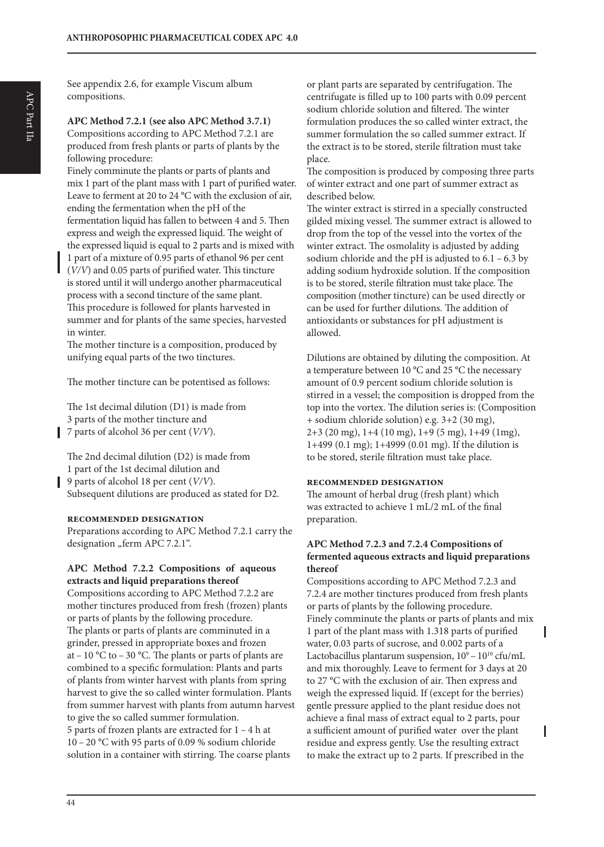**APC Method 7.2.1 (see also APC Method 3.7.1)** Compositions according to APC Method 7.2.1 are produced from fresh plants or parts of plants by the following procedure:

Finely comminute the plants or parts of plants and mix 1 part of the plant mass with 1 part of purified water. Leave to ferment at 20 to 24 °C with the exclusion of air, ending the fermentation when the pH of the fermentation liquid has fallen to between 4 and 5. Then express and weigh the expressed liquid. The weight of the expressed liquid is equal to 2 parts and is mixed with 1 part of a mixture of 0.95 parts of ethanol 96 per cent (*V/V*) and 0.05 parts of purified water. This tincture is stored until it will undergo another pharmaceutical process with a second tincture of the same plant. This procedure is followed for plants harvested in summer and for plants of the same species, harvested in winter.

The mother tincture is a composition, produced by unifying equal parts of the two tinctures.

The mother tincture can be potentised as follows:

The 1st decimal dilution (D1) is made from 3 parts of the mother tincture and 7 parts of alcohol 36 per cent (*V/V*).

The 2nd decimal dilution (D2) is made from 1 part of the 1st decimal dilution and 9 parts of alcohol 18 per cent (*V/V*). Subsequent dilutions are produced as stated for D2.

#### **recommended designation**

Preparations according to APC Method 7.2.1 carry the designation "ferm APC 7.2.1".

#### **APC Method 7.2.2 Compositions of aqueous extracts and liquid preparations thereof**

Compositions according to APC Method 7.2.2 are mother tinctures produced from fresh (frozen) plants or parts of plants by the following procedure. The plants or parts of plants are comminuted in a grinder, pressed in appropriate boxes and frozen at – 10 °C to – 30 °C. The plants or parts of plants are combined to a specific formulation: Plants and parts of plants from winter harvest with plants from spring harvest to give the so called winter formulation. Plants from summer harvest with plants from autumn harvest to give the so called summer formulation. 5 parts of frozen plants are extracted for 1 – 4 h at 10 – 20 °C with 95 parts of 0.09 % sodium chloride solution in a container with stirring. The coarse plants

or plant parts are separated by centrifugation. The centrifugate is filled up to 100 parts with 0.09 percent sodium chloride solution and filtered. The winter formulation produces the so called winter extract, the summer formulation the so called summer extract. If the extract is to be stored, sterile filtration must take place.

The composition is produced by composing three parts of winter extract and one part of summer extract as described below.

The winter extract is stirred in a specially constructed gilded mixing vessel. The summer extract is allowed to drop from the top of the vessel into the vortex of the winter extract. The osmolality is adjusted by adding sodium chloride and the pH is adjusted to  $6.1 - 6.3$  by adding sodium hydroxide solution. If the composition is to be stored, sterile filtration must take place. The composition (mother tincture) can be used directly or can be used for further dilutions. The addition of antioxidants or substances for pH adjustment is allowed.

Dilutions are obtained by diluting the composition. At a temperature between 10 °C and 25 °C the necessary amount of 0.9 percent sodium chloride solution is stirred in a vessel; the composition is dropped from the top into the vortex. The dilution series is: (Composition + sodium chloride solution) e.g. 3+2 (30 mg), 2+3 (20 mg), 1+4 (10 mg), 1+9 (5 mg), 1+49 (1mg), 1+499 (0.1 mg); 1+4999 (0.01 mg). If the dilution is to be stored, sterile filtration must take place.

#### **recommended designation**

The amount of herbal drug (fresh plant) which was extracted to achieve 1 mL/2 mL of the final preparation.

#### **APC Method 7.2.3 and 7.2.4 Compositions of fermented aqueous extracts and liquid preparations thereof**

Compositions according to APC Method 7.2.3 and 7.2.4 are mother tinctures produced from fresh plants or parts of plants by the following procedure. Finely comminute the plants or parts of plants and mix 1 part of the plant mass with 1.318 parts of purified water, 0.03 parts of sucrose, and 0.002 parts of a Lactobacillus plantarum suspension,  $10^9 - 10^{10}$  cfu/mL and mix thoroughly. Leave to ferment for 3 days at 20 to 27 °C with the exclusion of air. Then express and weigh the expressed liquid. If (except for the berries) gentle pressure applied to the plant residue does not achieve a final mass of extract equal to 2 parts, pour a sufficient amount of purified water over the plant ı residue and express gently. Use the resulting extract to make the extract up to 2 parts. If prescribed in the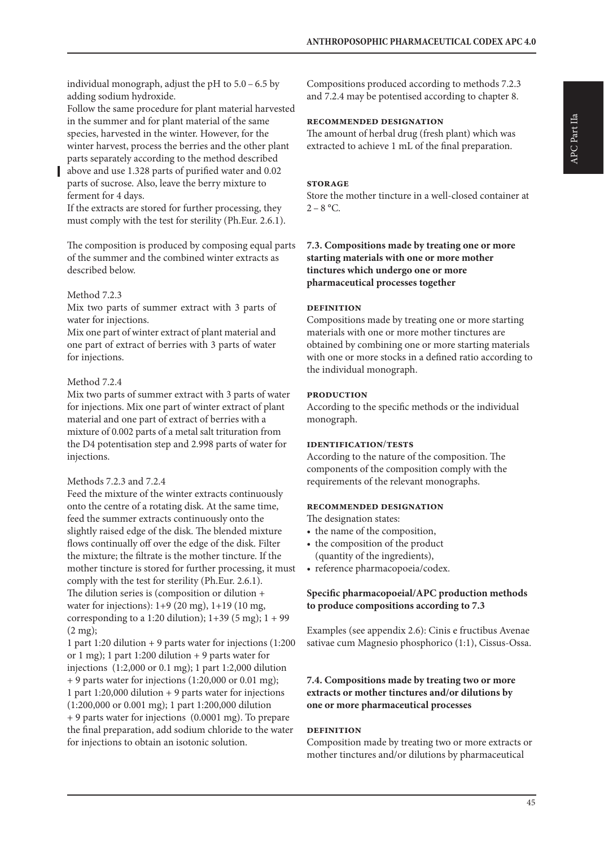individual monograph, adjust the pH to 5.0 – 6.5 by adding sodium hydroxide.

Follow the same procedure for plant material harvested in the summer and for plant material of the same species, harvested in the winter. However, for the winter harvest, process the berries and the other plant parts separately according to the method described

above and use 1.328 parts of purified water and 0.02 parts of sucrose. Also, leave the berry mixture to ferment for 4 days.

If the extracts are stored for further processing, they must comply with the test for sterility (Ph.Eur. 2.6.1).

The composition is produced by composing equal parts of the summer and the combined winter extracts as described below.

#### Method 7.2.3

Mix two parts of summer extract with 3 parts of water for injections.

Mix one part of winter extract of plant material and one part of extract of berries with 3 parts of water for injections.

#### Method 7.2.4

Mix two parts of summer extract with 3 parts of water for injections. Mix one part of winter extract of plant material and one part of extract of berries with a mixture of 0.002 parts of a metal salt trituration from the D4 potentisation step and 2.998 parts of water for injections.

#### Methods 7.2.3 and 7.2.4

Feed the mixture of the winter extracts continuously onto the centre of a rotating disk. At the same time, feed the summer extracts continuously onto the slightly raised edge of the disk. The blended mixture flows continually off over the edge of the disk. Filter the mixture; the filtrate is the mother tincture. If the mother tincture is stored for further processing, it must comply with the test for sterility (Ph.Eur. 2.6.1). The dilution series is (composition or dilution + water for injections): 1+9 (20 mg), 1+19 (10 mg, corresponding to a 1:20 dilution);  $1+39$  (5 mg);  $1+99$  $(2 \text{ mg})$ ;

1 part 1:20 dilution + 9 parts water for injections (1:200 or 1 mg); 1 part 1:200 dilution  $+$  9 parts water for injections (1:2,000 or 0.1 mg); 1 part 1:2,000 dilution + 9 parts water for injections (1:20,000 or 0.01 mg); 1 part 1:20,000 dilution + 9 parts water for injections (1:200,000 or 0.001 mg); 1 part 1:200,000 dilution + 9 parts water for injections (0.0001 mg). To prepare the final preparation, add sodium chloride to the water for injections to obtain an isotonic solution.

Compositions produced according to methods 7.2.3 and 7.2.4 may be potentised according to chapter 8.

#### **recommended designation**

The amount of herbal drug (fresh plant) which was extracted to achieve 1 mL of the final preparation.

#### **storage**

Store the mother tincture in a well-closed container at  $2 - 8$  °C.

#### **7.3. Compositions made by treating one or more starting materials with one or more mother tinctures which undergo one or more pharmaceutical processes together**

#### **definition**

Compositions made by treating one or more starting materials with one or more mother tinctures are obtained by combining one or more starting materials with one or more stocks in a defined ratio according to the individual monograph.

#### **production**

According to the specific methods or the individual monograph.

#### **identification**/**tests**

According to the nature of the composition. The components of the composition comply with the requirements of the relevant monographs.

#### **recommended designation**

The designation states:

- the name of the composition,
- the composition of the product (quantity of the ingredients),
- reference pharmacopoeia/codex.

#### **Specific pharmacopoeial/APC production methods to produce compositions according to 7.3**

Examples (see appendix 2.6): Cinis e fructibus Avenae sativae cum Magnesio phosphorico (1:1), Cissus-Ossa.

#### **7.4. Compositions made by treating two or more extracts or mother tinctures and/or dilutions by one or more pharmaceutical processes**

#### **definition**

Composition made by treating two or more extracts or mother tinctures and/or dilutions by pharmaceutical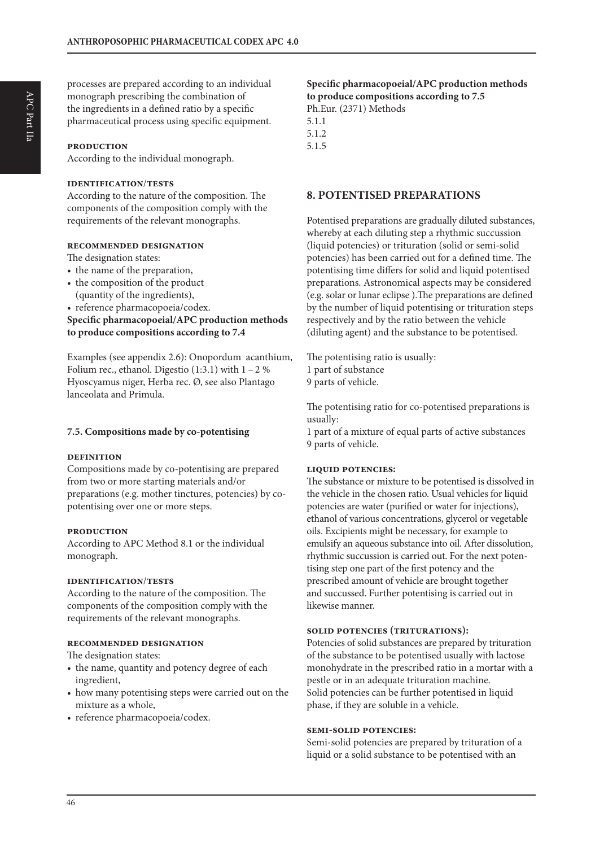processes are prepared according to an individual monograph prescribing the combination of the ingredients in a defined ratio by a specific pharmaceutical process using specific equipment.

#### **production**

According to the individual monograph.

#### **identification**/**tests**

According to the nature of the composition. The components of the composition comply with the requirements of the relevant monographs.

#### **recommended designation**

The designation states:

- the name of the preparation,
- the composition of the product (quantity of the ingredients),
- reference pharmacopoeia/codex.

**Specific pharmacopoeial/APC production methods to produce compositions according to 7.4**

Examples (see appendix 2.6): Onopordum acanthium, Folium rec., ethanol. Digestio  $(1:3.1)$  with  $1 - 2$ % Hyoscyamus niger, Herba rec. Ø, see also Plantago lanceolata and Primula.

#### **7.5. Compositions made by co-potentising**

#### **definition**

Compositions made by co-potentising are prepared from two or more starting materials and/or preparations (e.g. mother tinctures, potencies) by copotentising over one or more steps.

#### **production**

According to APC Method 8.1 or the individual monograph.

#### **identification**/**tests**

According to the nature of the composition. The components of the composition comply with the requirements of the relevant monographs.

#### **recommended designation**

The designation states:

- the name, quantity and potency degree of each ingredient,
- how many potentising steps were carried out on the mixture as a whole,
- reference pharmacopoeia/codex.

#### **Specific pharmacopoeial/APC production methods to produce compositions according to 7.5** Ph.Eur. (2371) Methods 5.1.1

5.1.2 5.1.5

#### **8. POTENTISED PREPARATIONS**

Potentised preparations are gradually diluted substances, whereby at each diluting step a rhythmic succussion (liquid potencies) or trituration (solid or semi-solid potencies) has been carried out for a defined time. The potentising time differs for solid and liquid potentised preparations. Astronomical aspects may be considered (e.g. solar or lunar eclipse ).The preparations are defined by the number of liquid potentising or trituration steps respectively and by the ratio between the vehicle (diluting agent) and the substance to be potentised.

The potentising ratio is usually: 1 part of substance 9 parts of vehicle.

The potentising ratio for co-potentised preparations is usually:

1 part of a mixture of equal parts of active substances 9 parts of vehicle.

#### **liquid potencies:**

The substance or mixture to be potentised is dissolved in the vehicle in the chosen ratio. Usual vehicles for liquid potencies are water (purified or water for injections), ethanol of various concentrations, glycerol or vegetable oils. Excipients might be necessary, for example to emulsify an aqueous substance into oil. After dissolution, rhythmic succussion is carried out. For the next potentising step one part of the first potency and the prescribed amount of vehicle are brought together and succussed. Further potentising is carried out in likewise manner.

#### **solid potencies (triturations):**

Potencies of solid substances are prepared by trituration of the substance to be potentised usually with lactose monohydrate in the prescribed ratio in a mortar with a pestle or in an adequate trituration machine. Solid potencies can be further potentised in liquid phase, if they are soluble in a vehicle.

#### **semi-solid potencies:**

Semi-solid potencies are prepared by trituration of a liquid or a solid substance to be potentised with an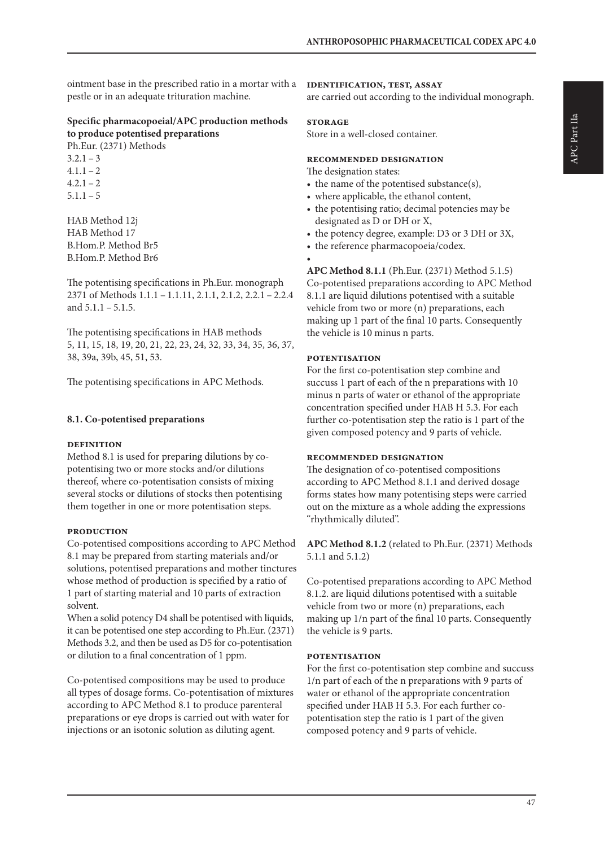ointment base in the prescribed ratio in a mortar with a pestle or in an adequate trituration machine.

#### **Specific pharmacopoeial/APC production methods to produce potentised preparations** Ph.Eur. (2371) Methods

 $3.2.1 - 3$  $4.1.1 - 2$  $4.2.1 - 2$  $5.1.1 - 5$ 

HAB Method 12j HAB Method 17 B.Hom.P. Method Br5 B.Hom.P. Method Br6

The potentising specifications in Ph.Eur. monograph 2371 of Methods 1.1.1 – 1.1.11, 2.1.1, 2.1.2, 2.2.1 – 2.2.4 and  $5.1.1 - 5.1.5$ .

The potentising specifications in HAB methods 5, 11, 15, 18, 19, 20, 21, 22, 23, 24, 32, 33, 34, 35, 36, 37, 38, 39a, 39b, 45, 51, 53.

The potentising specifications in APC Methods.

#### **8.1. Co-potentised preparations**

#### **definition**

Method 8.1 is used for preparing dilutions by copotentising two or more stocks and/or dilutions thereof, where co-potentisation consists of mixing several stocks or dilutions of stocks then potentising them together in one or more potentisation steps.

#### **production**

Co-potentised compositions according to APC Method 8.1 may be prepared from starting materials and/or solutions, potentised preparations and mother tinctures whose method of production is specified by a ratio of 1 part of starting material and 10 parts of extraction solvent.

When a solid potency D4 shall be potentised with liquids, it can be potentised one step according to Ph.Eur. (2371) Methods 3.2, and then be used as D5 for co-potentisation or dilution to a final concentration of 1 ppm.

Co-potentised compositions may be used to produce all types of dosage forms. Co-potentisation of mixtures according to APC Method 8.1 to produce parenteral preparations or eye drops is carried out with water for injections or an isotonic solution as diluting agent.

#### **identification, test, assay**

are carried out according to the individual monograph.

#### **storage**

Store in a well-closed container.

#### **recommended designation**

The designation states:

- the name of the potentised substance(s),
- where applicable, the ethanol content,
- the potentising ratio; decimal potencies may be designated as D or DH or X,
- the potency degree, example: D3 or 3 DH or 3X,
- the reference pharmacopoeia/codex.
	-

•

**APC Method 8.1.1** (Ph.Eur. (2371) Method 5.1.5) Co-potentised preparations according to APC Method 8.1.1 are liquid dilutions potentised with a suitable vehicle from two or more (n) preparations, each making up 1 part of the final 10 parts. Consequently the vehicle is 10 minus n parts.

#### **potentisation**

For the first co-potentisation step combine and succuss 1 part of each of the n preparations with 10 minus n parts of water or ethanol of the appropriate concentration specified under HAB H 5.3. For each further co-potentisation step the ratio is 1 part of the given composed potency and 9 parts of vehicle.

#### **recommended designation**

The designation of co-potentised compositions according to APC Method 8.1.1 and derived dosage forms states how many potentising steps were carried out on the mixture as a whole adding the expressions "rhythmically diluted".

**APC Method 8.1.2** (related to Ph.Eur. (2371) Methods 5.1.1 and 5.1.2)

Co-potentised preparations according to APC Method 8.1.2. are liquid dilutions potentised with a suitable vehicle from two or more (n) preparations, each making up 1/n part of the final 10 parts. Consequently the vehicle is 9 parts.

#### **potentisation**

For the first co-potentisation step combine and succuss 1/n part of each of the n preparations with 9 parts of water or ethanol of the appropriate concentration specified under HAB H 5.3. For each further copotentisation step the ratio is 1 part of the given composed potency and 9 parts of vehicle.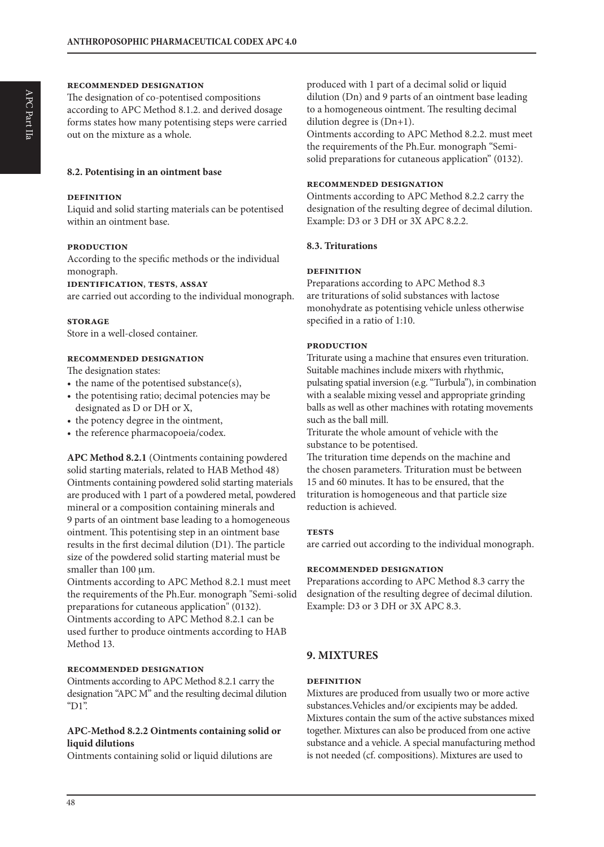#### **recommended designation**

The designation of co-potentised compositions according to APC Method 8.1.2. and derived dosage forms states how many potentising steps were carried out on the mixture as a whole.

#### **8.2. Potentising in an ointment base**

#### **definition**

Liquid and solid starting materials can be potentised within an ointment base.

#### **production**

According to the specific methods or the individual monograph.

#### **identification**, **tests**, **assay**

are carried out according to the individual monograph.

#### **storage**

Store in a well-closed container.

#### **recommended designation**

The designation states:

- the name of the potentised substance(s),
- the potentising ratio; decimal potencies may be designated as D or DH or X,
- the potency degree in the ointment,
- the reference pharmacopoeia/codex.

**APC Method 8.2.1** (Ointments containing powdered solid starting materials, related to HAB Method 48) Ointments containing powdered solid starting materials are produced with 1 part of a powdered metal, powdered mineral or a composition containing minerals and 9 parts of an ointment base leading to a homogeneous ointment. This potentising step in an ointment base results in the first decimal dilution (D1). The particle size of the powdered solid starting material must be smaller than  $100 \mu m$ .

Ointments according to APC Method 8.2.1 must meet the requirements of the Ph.Eur. monograph "Semi-solid preparations for cutaneous application" (0132). Ointments according to APC Method 8.2.1 can be used further to produce ointments according to HAB Method 13.

#### **recommended designation**

Ointments according to APC Method 8.2.1 carry the designation "APC M" and the resulting decimal dilution "D1".

#### **APC-Method 8.2.2 Ointments containing solid or liquid dilutions**

Ointments containing solid or liquid dilutions are

produced with 1 part of a decimal solid or liquid dilution (Dn) and 9 parts of an ointment base leading to a homogeneous ointment. The resulting decimal dilution degree is (Dn+1). Ointments according to APC Method 8.2.2. must meet

the requirements of the Ph.Eur. monograph "Semisolid preparations for cutaneous application" (0132).

#### **recommended designation**

Ointments according to APC Method 8.2.2 carry the designation of the resulting degree of decimal dilution. Example: D3 or 3 DH or 3X APC 8.2.2.

#### **8.3. Triturations**

#### **definition**

Preparations according to APC Method 8.3 are triturations of solid substances with lactose monohydrate as potentising vehicle unless otherwise specified in a ratio of 1:10.

#### **production**

Triturate using a machine that ensures even trituration. Suitable machines include mixers with rhythmic, pulsating spatial inversion (e.g. "Turbula"), in combination with a sealable mixing vessel and appropriate grinding balls as well as other machines with rotating movements such as the ball mill.

Triturate the whole amount of vehicle with the substance to be potentised.

The trituration time depends on the machine and the chosen parameters. Trituration must be between 15 and 60 minutes. It has to be ensured, that the trituration is homogeneous and that particle size reduction is achieved.

#### **TESTS**

are carried out according to the individual monograph.

#### **recommended designation**

Preparations according to APC Method 8.3 carry the designation of the resulting degree of decimal dilution. Example: D3 or 3 DH or 3X APC 8.3.

#### **9. MIXTURES**

#### **definition**

Mixtures are produced from usually two or more active substances.Vehicles and/or excipients may be added. Mixtures contain the sum of the active substances mixed together. Mixtures can also be produced from one active substance and a vehicle. A special manufacturing method is not needed (cf. compositions). Mixtures are used to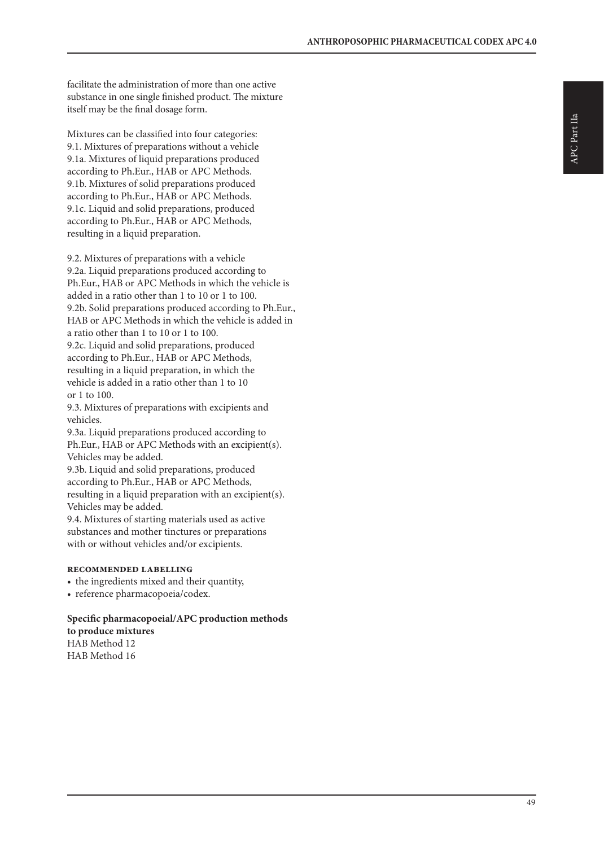facilitate the administration of more than one active substance in one single finished product. The mixture itself may be the final dosage form.

Mixtures can be classified into four categories: 9.1. Mixtures of preparations without a vehicle 9.1a. Mixtures of liquid preparations produced according to Ph.Eur., HAB or APC Methods. 9.1b. Mixtures of solid preparations produced according to Ph.Eur., HAB or APC Methods. 9.1c. Liquid and solid preparations, produced according to Ph.Eur., HAB or APC Methods, resulting in a liquid preparation.

9.2. Mixtures of preparations with a vehicle 9.2a. Liquid preparations produced according to Ph.Eur., HAB or APC Methods in which the vehicle is added in a ratio other than 1 to 10 or 1 to 100. 9.2b. Solid preparations produced according to Ph.Eur., HAB or APC Methods in which the vehicle is added in a ratio other than 1 to 10 or 1 to 100. 9.2c. Liquid and solid preparations, produced according to Ph.Eur., HAB or APC Methods, resulting in a liquid preparation, in which the vehicle is added in a ratio other than 1 to 10 or 1 to 100.

9.3. Mixtures of preparations with excipients and vehicles.

9.3a. Liquid preparations produced according to Ph.Eur., HAB or APC Methods with an excipient(s). Vehicles may be added.

9.3b. Liquid and solid preparations, produced according to Ph.Eur., HAB or APC Methods, resulting in a liquid preparation with an excipient(s). Vehicles may be added.

9.4. Mixtures of starting materials used as active substances and mother tinctures or preparations with or without vehicles and/or excipients.

#### **recommended labelling**

- the ingredients mixed and their quantity,
- reference pharmacopoeia/codex.

#### **Specific pharmacopoeial/APC production methods to produce mixtures** HAB Method 12 HAB Method 16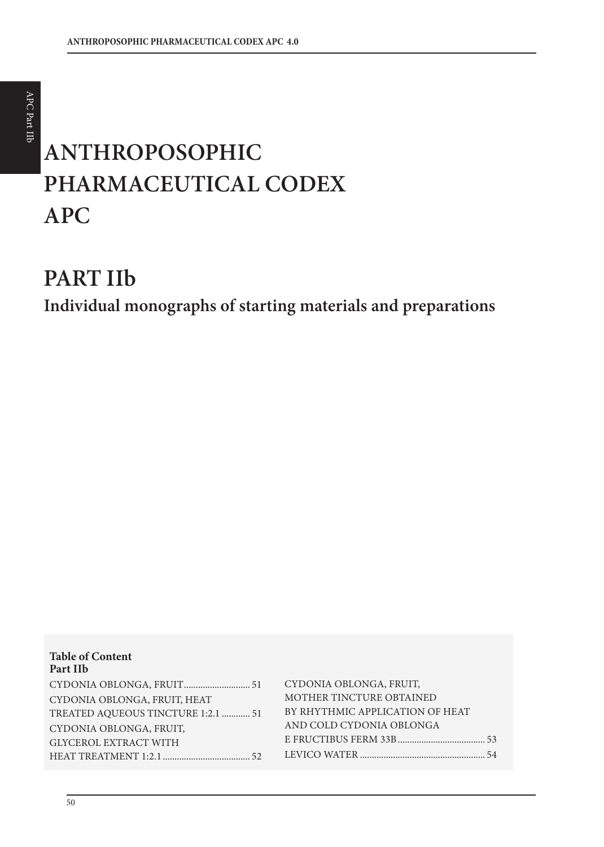# **ANTHROPOSOPHIC PHARMACEUTICAL CODEX APC**

# **PART IIb**

**Individual monographs of starting materials and preparations**

| <b>Table of Content</b><br>Part IIb |                                 |
|-------------------------------------|---------------------------------|
|                                     | CYDONIA OBLONGA, FRUIT,         |
| CYDONIA OBLONGA, FRUIT, HEAT        | MOTHER TINCTURE OBTAINED        |
| TREATED AQUEOUS TINCTURE 1:2.1  51  | BY RHYTHMIC APPLICATION OF HEAT |
| CYDONIA OBLONGA, FRUIT,             | AND COLD CYDONIA OBLONGA        |
| <b>GLYCEROL EXTRACT WITH</b>        |                                 |
|                                     |                                 |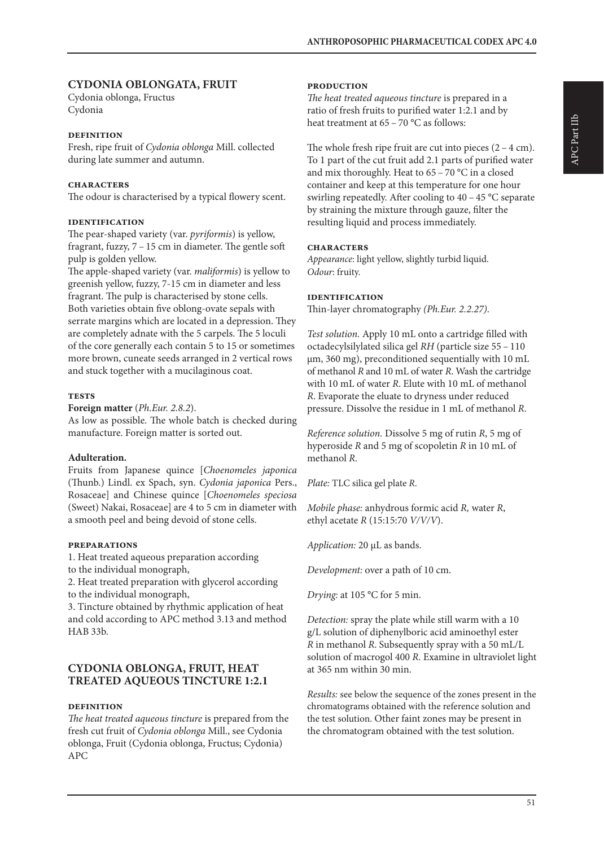# **CYDONIA OBLONGATA, FRUIT**

Cydonia oblonga, Fructus Cydonia

#### **definition**

Fresh, ripe fruit of *Cydonia oblonga* Mill. collected during late summer and autumn.

#### **characters**

The odour is characterised by a typical flowery scent.

#### **identification**

The pear-shaped variety (var. *pyriformis*) is yellow, fragrant, fuzzy, 7 – 15 cm in diameter. The gentle soft pulp is golden yellow.

The apple-shaped variety (var. *maliformis*) is yellow to greenish yellow, fuzzy, 7-15 cm in diameter and less fragrant. The pulp is characterised by stone cells. Both varieties obtain five oblong-ovate sepals with serrate margins which are located in a depression. They are completely adnate with the 5 carpels. The 5 loculi of the core generally each contain 5 to 15 or sometimes more brown, cuneate seeds arranged in 2 vertical rows and stuck together with a mucilaginous coat.

#### **tests**

**Foreign matter** (*Ph.Eur. 2.8.2*).

As low as possible. The whole batch is checked during manufacture. Foreign matter is sorted out.

#### **Adulteration.**

Fruits from Japanese quince [*Choenomeles japonica* (Thunb.) Lindl. ex Spach, syn. *Cydonia japonica* Pers., Rosaceae] and Chinese quince [*Choenomeles speciosa* (Sweet) Nakai, Rosaceae] are 4 to 5 cm in diameter with a smooth peel and being devoid of stone cells.

#### **preparations**

1. Heat treated aqueous preparation according to the individual monograph,

2. Heat treated preparation with glycerol according to the individual monograph,

3. Tincture obtained by rhythmic application of heat and cold according to APC method 3.13 and method HAB 33b.

#### **CYDONIA OBLONGA, FRUIT, HEAT TREATED AQUEOUS TINCTURE 1:2.1**

#### **definition**

*The heat treated aqueous tincture* is prepared from the fresh cut fruit of *Cydonia oblonga* Mill., see Cydonia oblonga, Fruit (Cydonia oblonga, Fructus; Cydonia) APC

#### **production**

*The heat treated aqueous tincture* is prepared in a ratio of fresh fruits to purified water 1:2.1 and by heat treatment at 65 – 70 °C as follows:

The whole fresh ripe fruit are cut into pieces  $(2 - 4$  cm). To 1 part of the cut fruit add 2.1 parts of purified water and mix thoroughly. Heat to 65 – 70 °C in a closed container and keep at this temperature for one hour swirling repeatedly. After cooling to 40 – 45 °C separate by straining the mixture through gauze, filter the resulting liquid and process immediately.

#### **characters**

*Appearance*: light yellow, slightly turbid liquid. *Odour*: fruity.

#### **identification**

Thin-layer chromatography *(Ph.Eur. 2.2.27)*.

*Test solution.* Apply 10 mL onto a cartridge filled with octadecylsilylated silica gel *RH* (particle size 55 – 110 µm, 360 mg), preconditioned sequentially with 10 mL of methanol *R* and 10 mL of water *R*. Wash the cartridge with 10 mL of water *R*. Elute with 10 mL of methanol *R*. Evaporate the eluate to dryness under reduced pressure. Dissolve the residue in 1 mL of methanol *R*.

*Reference solution.* Dissolve 5 mg of rutin *R*, 5 mg of hyperoside *R* and 5 mg of scopoletin *R* in 10 mL of methanol *R.*

*Plate:* TLC silica gel plate *R*.

*Mobile phase:* anhydrous formic acid *R,* water *R*, ethyl acetate *R* (15:15:70 *V/V/V*).

*Application:* 20 µL as bands.

*Development:* over a path of 10 cm.

*Drying:* at 105 °C for 5 min.

*Detection:* spray the plate while still warm with a 10 g/L solution of diphenylboric acid aminoethyl ester *R* in methanol *R*. Subsequently spray with a 50 mL/L solution of macrogol 400 *R*. Examine in ultraviolet light at 365 nm within 30 min.

*Results:* see below the sequence of the zones present in the chromatograms obtained with the reference solution and the test solution. Other faint zones may be present in the chromatogram obtained with the test solution.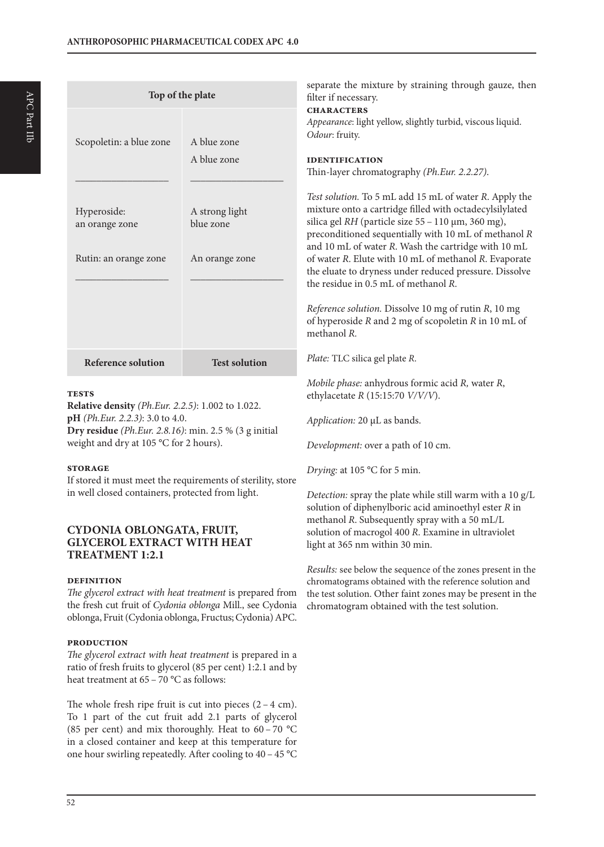|                                                        | Top of the plate                              | separate the mixture by straining through gauze, then<br>filter if necessary.                                                                                                                                                                                                                                                                                                                                                                                                                                                                                                            |  |  |  |
|--------------------------------------------------------|-----------------------------------------------|------------------------------------------------------------------------------------------------------------------------------------------------------------------------------------------------------------------------------------------------------------------------------------------------------------------------------------------------------------------------------------------------------------------------------------------------------------------------------------------------------------------------------------------------------------------------------------------|--|--|--|
| Scopoletin: a blue zone                                | A blue zone                                   | <b>CHARACTERS</b><br>Appearance: light yellow, slightly turbid, viscous liquid.<br>Odour: fruity.                                                                                                                                                                                                                                                                                                                                                                                                                                                                                        |  |  |  |
|                                                        | A blue zone                                   | <b>IDENTIFICATION</b><br>Thin-layer chromatography (Ph.Eur. 2.2.27).                                                                                                                                                                                                                                                                                                                                                                                                                                                                                                                     |  |  |  |
| Hyperoside:<br>an orange zone<br>Rutin: an orange zone | A strong light<br>blue zone<br>An orange zone | Test solution. To 5 mL add 15 mL of water R. Apply the<br>mixture onto a cartridge filled with octadecylsilylated<br>silica gel RH (particle size 55 - 110 µm, 360 mg),<br>preconditioned sequentially with 10 mL of methanol R<br>and 10 mL of water R. Wash the cartridge with 10 mL<br>of water R. Elute with 10 mL of methanol R. Evaporate<br>the eluate to dryness under reduced pressure. Dissolve<br>the residue in 0.5 mL of methanol R.<br>Reference solution. Dissolve 10 mg of rutin R, 10 mg<br>of hyperoside $R$ and $2$ mg of scopoletin $R$ in $10$ mL of<br>methanol R. |  |  |  |
| <b>Reference solution</b>                              | <b>Test solution</b>                          | Plate: TLC silica gel plate R.                                                                                                                                                                                                                                                                                                                                                                                                                                                                                                                                                           |  |  |  |
| <b>TESTS</b>                                           |                                               | Mobile phase: anhydrous formic acid R, water R,<br>ethylacetate $R$ (15:15:70 $V/V/V$ ).                                                                                                                                                                                                                                                                                                                                                                                                                                                                                                 |  |  |  |

*Application:* 20 µL as bands.

*Drying:* at 105 °C for 5 min.

light at 365 nm within 30 min.

*Development:* over a path of 10 cm.

*Detection:* spray the plate while still warm with a 10 g/L solution of diphenylboric acid aminoethyl ester *R* in methanol *R*. Subsequently spray with a 50 mL/L solution of macrogol 400 *R*. Examine in ultraviolet

*Results:* see below the sequence of the zones present in the chromatograms obtained with the reference solution and the test solution. Other faint zones may be present in the

chromatogram obtained with the test solution.

#### **tests**

**Relative density** *(Ph.Eur. 2.2.5)*: 1.002 to 1.022. **pH** *(Ph.Eur. 2.2.3)*: 3.0 to 4.0. **Dry residue** *(Ph.Eur. 2.8.16)*: min. 2.5 % (3 g initial weight and dry at 105 °C for 2 hours).

#### **storage**

If stored it must meet the requirements of sterility, store in well closed containers, protected from light.

# **CYDONIA OBLONGATA, FRUIT, GLYCEROL EXTRACT WITH HEAT TREATMENT 1:2.1**

#### **definition**

*The glycerol extract with heat treatment* is prepared from the fresh cut fruit of *Cydonia oblonga* Mill., see Cydonia oblonga, Fruit (Cydonia oblonga, Fructus; Cydonia) APC.

#### **production**

*The glycerol extract with heat treatment* is prepared in a ratio of fresh fruits to glycerol (85 per cent) 1:2.1 and by heat treatment at 65 – 70 °C as follows:

The whole fresh ripe fruit is cut into pieces  $(2 - 4$  cm). To 1 part of the cut fruit add 2.1 parts of glycerol (85 per cent) and mix thoroughly. Heat to 60 – 70 °C in a closed container and keep at this temperature for one hour swirling repeatedly. After cooling to 40 – 45 °C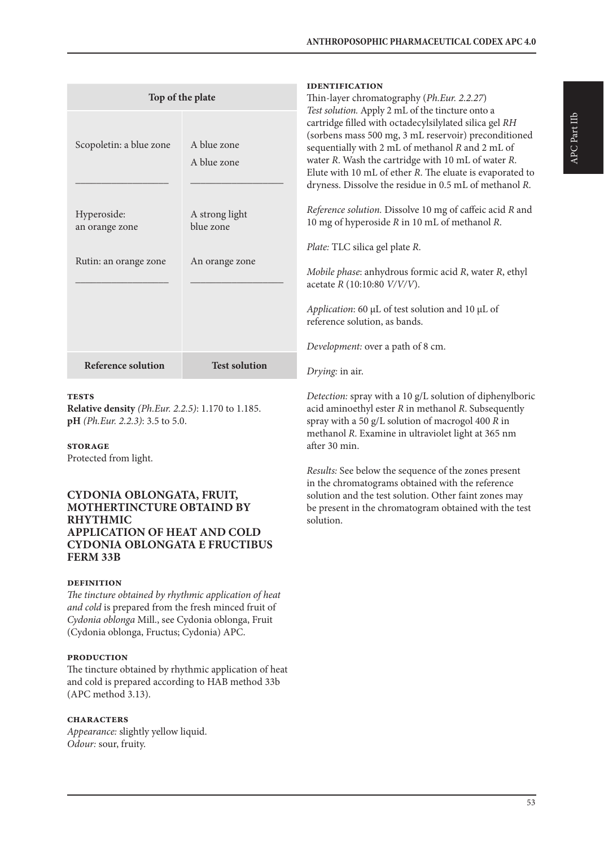| Top of the plate<br>A blue zone<br>Scopoletin: a blue zone<br>A blue zone |                             | <b>IDENTIFICATION</b><br>Thin-layer chromatography (Ph.Eur. 2.2.27)<br>Test solution. Apply 2 mL of the tincture onto a<br>cartridge filled with octadecylsilylated silica gel RH<br>(sorbens mass 500 mg, 3 mL reservoir) preconditioned<br>sequentially with 2 mL of methanol R and 2 mL of<br>water R. Wash the cartridge with 10 mL of water R.<br>Elute with 10 mL of ether R. The eluate is evaporated to<br>dryness. Dissolve the residue in 0.5 mL of methanol R. |
|---------------------------------------------------------------------------|-----------------------------|---------------------------------------------------------------------------------------------------------------------------------------------------------------------------------------------------------------------------------------------------------------------------------------------------------------------------------------------------------------------------------------------------------------------------------------------------------------------------|
| Hyperoside:<br>an orange zone                                             | A strong light<br>blue zone | Reference solution. Dissolve 10 mg of caffeic acid R and<br>10 mg of hyperoside R in 10 mL of methanol R.<br>Plate: TLC silica gel plate R.                                                                                                                                                                                                                                                                                                                               |
| Rutin: an orange zone                                                     | An orange zone              | Mobile phase: anhydrous formic acid R, water R, ethyl<br>acetate $R(10:10:80 \frac{V}{V/V}).$<br>Application: 60 µL of test solution and 10 µL of<br>reference solution, as bands.<br>Development: over a path of 8 cm.                                                                                                                                                                                                                                                   |
| <b>Reference solution</b>                                                 | <b>Test solution</b>        | Drying: in air.                                                                                                                                                                                                                                                                                                                                                                                                                                                           |
|                                                                           |                             |                                                                                                                                                                                                                                                                                                                                                                                                                                                                           |

#### **tests**

**Relative density** *(Ph.Eur. 2.2.5)*: 1.170 to 1.185. **pH** *(Ph.Eur. 2.2.3)*: 3.5 to 5.0.

#### **storage**

Protected from light.

#### **CYDONIA OBLONGATA, FRUIT, MOTHERTINCTURE OBTAIND BY RHYTHMIC APPLICATION OF HEAT AND COLD CYDONIA OBLONGATA E FRUCTIBUS FERM 33B**

#### **definition**

*The tincture obtained by rhythmic application of heat and cold* is prepared from the fresh minced fruit of *Cydonia oblonga* Mill., see Cydonia oblonga, Fruit (Cydonia oblonga, Fructus; Cydonia) APC.

#### **production**

The tincture obtained by rhythmic application of heat and cold is prepared according to HAB method 33b (APC method 3.13).

#### **characters**

*Appearance:* slightly yellow liquid. *Odour:* sour, fruity.

*Detection:* spray with a 10 g/L solution of diphenylboric acid aminoethyl ester *R* in methanol *R*. Subsequently spray with a 50 g/L solution of macrogol 400 *R* in methanol *R*. Examine in ultraviolet light at 365 nm after 30 min.

*Results:* See below the sequence of the zones present in the chromatograms obtained with the reference solution and the test solution. Other faint zones may be present in the chromatogram obtained with the test solution.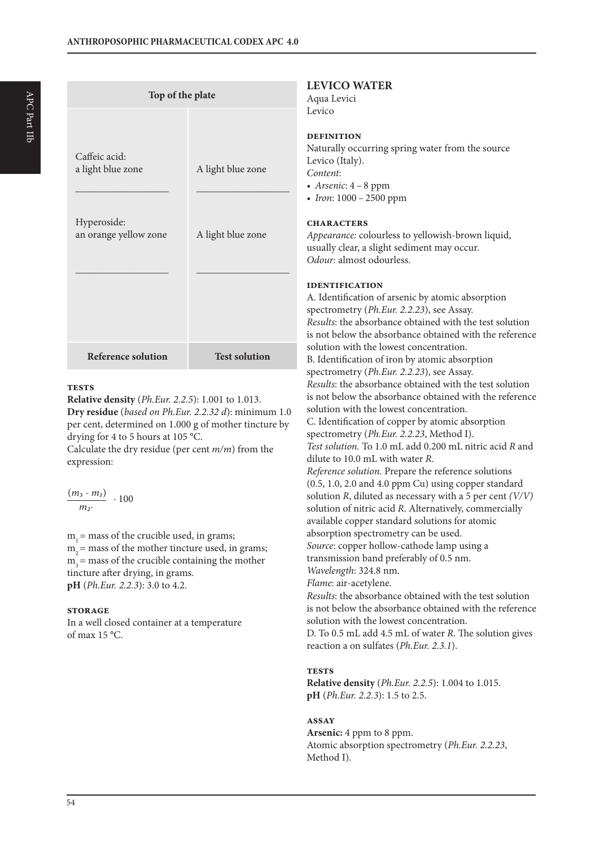| Top of the plate                                                           |                                        | ł                                                                          |
|----------------------------------------------------------------------------|----------------------------------------|----------------------------------------------------------------------------|
| Caffeic acid:<br>a light blue zone<br>Hyperoside:<br>an orange yellow zone | A light blue zone<br>A light blue zone | I<br>I<br>ľ<br>I<br>$\overline{\mathcal{L}}$<br>$\mathbf C$<br>£<br>ľ<br>0 |
| <b>Reference solution</b>                                                  | <b>Test solution</b>                   | I<br>ł<br>S<br>I<br>$\mathbf{i}$<br>S<br>F                                 |

#### **tests**

**Relative density** (*Ph.Eur. 2.2.5*): 1.001 to 1.013. **Dry residue** (*based on Ph.Eur. 2.2.32 d*): minimum 1.0 per cent, determined on 1.000 g of mother tincture by drying for 4 to 5 hours at 105 °C.

Calculate the dry residue (per cent *m/m*) from the expression:

$$
\frac{(m_3-m_1)}{m_2}\; \cdot 100
$$

 $m<sub>i</sub>$  = mass of the crucible used, in grams;  $m<sub>2</sub>$  = mass of the mother tincture used, in grams;  $m<sub>3</sub>$  = mass of the crucible containing the mother tincture after drying, in grams. **pH** (*Ph.Eur. 2.2.3*): 3.0 to 4.2.

#### **storage**

In a well closed container at a temperature of max 15 °C.

### **LEVICO WATER**

Aqua Levici  $evico$ 

#### **definition**

Naturally occurring spring water from the source Levico (Italy). *Content*: *• Arsenic*: 4 – 8 ppm

*• Iron*: 1000 – 2500 ppm

#### **characters**

*Appearance:* colourless to yellowish-brown liquid, usually clear, a slight sediment may occur. *Odour:* almost odourless.

#### **identification**

A. Identification of arsenic by atomic absorption spectrometry (*Ph.Eur. 2.2.23*), see Assay. *Results*: the absorbance obtained with the test solution is not below the absorbance obtained with the reference solution with the lowest concentration. B. Identification of iron by atomic absorption spectrometry (*Ph.Eur. 2.2.23*), see Assay. *Results*: the absorbance obtained with the test solution is not below the absorbance obtained with the reference solution with the lowest concentration. C. Identification of copper by atomic absorption spectrometry (*Ph.Eur. 2.2.23*, Method I). *Test solution.* To 1.0 mL add 0.200 mL nitric acid *R* and dilute to 10.0 mL with water *R*. *Reference solution.* Prepare the reference solutions (0.5, 1.0, 2.0 and 4.0 ppm Cu) using copper standard solution *R*, diluted as necessary with a 5 per cent *(V/V)* solution of nitric acid *R*. Alternatively, commercially available copper standard solutions for atomic absorption spectrometry can be used. *Source*: copper hollow-cathode lamp using a transmission band preferably of 0.5 nm. *Wavelength*: 324.8 nm. *Flame*: air-acetylene. *Results*: the absorbance obtained with the test solution is not below the absorbance obtained with the reference solution with the lowest concentration. D. To 0.5 mL add 4.5 mL of water *R*. The solution gives reaction a on sulfates (*Ph.Eur. 2.3.1*).

#### **tests**

**Relative density** (*Ph.Eur. 2.2.5*): 1.004 to 1.015. **pH** (*Ph.Eur. 2.2.3*): 1.5 to 2.5.

#### **assay**

**Arsenic:** 4 ppm to 8 ppm. Atomic absorption spectrometry (*Ph.Eur. 2.2.23*, Method I).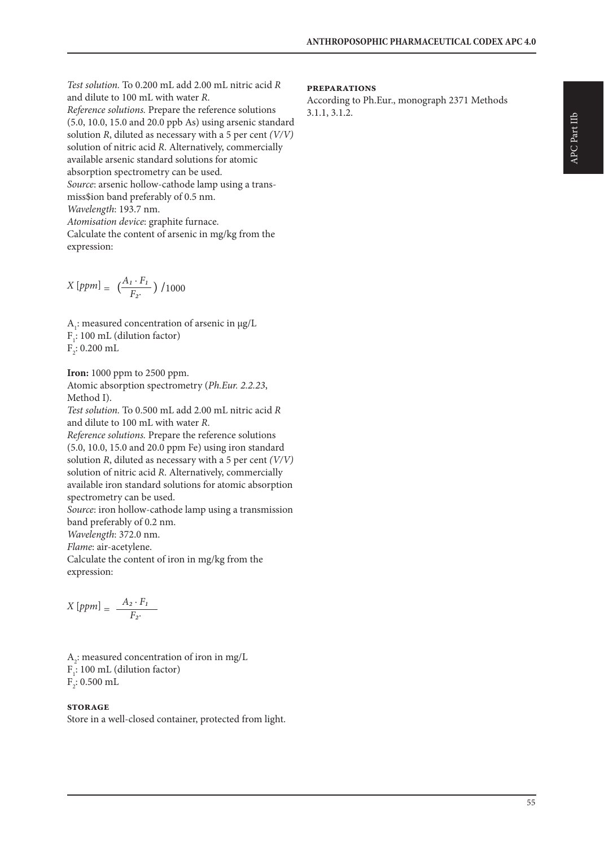*Test solution.* To 0.200 mL add 2.00 mL nitric acid *R* and dilute to 100 mL with water *R*. *Reference solutions.* Prepare the reference solutions (5.0, 10.0, 15.0 and 20.0 ppb As) using arsenic standard solution *R*, diluted as necessary with a 5 per cent *(V/V)* solution of nitric acid *R*. Alternatively, commercially available arsenic standard solutions for atomic absorption spectrometry can be used. *Source*: arsenic hollow-cathode lamp using a transmiss\$ion band preferably of 0.5 nm. *Wavelength*: 193.7 nm. *Atomisation device*: graphite furnace. Calculate the content of arsenic in mg/kg from the expression:

$$
X\left[ppm\right] = \left(\frac{A_1 \cdot F_1}{F_2}\right) / 1000
$$

 $A<sub>1</sub>$ : measured concentration of arsenic in  $\mu$ g/L  $F_i$ : 100 mL (dilution factor)  $\mathrm{F}_2$ : 0.200 mL

**Iron:** 1000 ppm to 2500 ppm. Atomic absorption spectrometry (*Ph.Eur. 2.2.23*, Method I).

*Test solution.* To 0.500 mL add 2.00 mL nitric acid *R* and dilute to 100 mL with water *R*. *Reference solutions.* Prepare the reference solutions (5.0, 10.0, 15.0 and 20.0 ppm Fe) using iron standard solution *R*, diluted as necessary with a 5 per cent *(V/V)* solution of nitric acid *R*. Alternatively, commercially available iron standard solutions for atomic absorption spectrometry can be used. *Source*: iron hollow-cathode lamp using a transmission

band preferably of 0.2 nm. *Wavelength*: 372.0 nm. *Flame*: air-acetylene. Calculate the content of iron in mg/kg from the expression:

$$
X\left[ppm\right] = \frac{A_2 \cdot F_1}{F_2}
$$

 $A_2$ : measured concentration of iron in mg/L  $F_i$ : 100 mL (dilution factor)  $F_2$ : 0.500 mL

#### **storage**

Store in a well-closed container, protected from light.

#### **preparations**

According to Ph.Eur., monograph 2371 Methods 3.1.1, 3.1.2.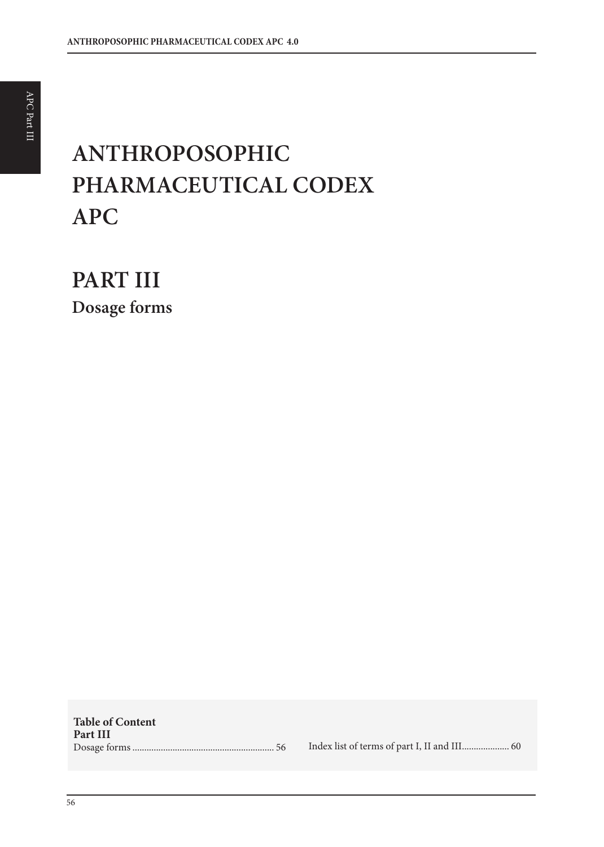# **ANTHROPOSOPHIC PHARMACEUTICAL CODEX APC**

**PART III Dosage forms**

**Table of Content Part III** Dosage forms ............................................................ 56 Index list of terms of part I, II and III.................... 60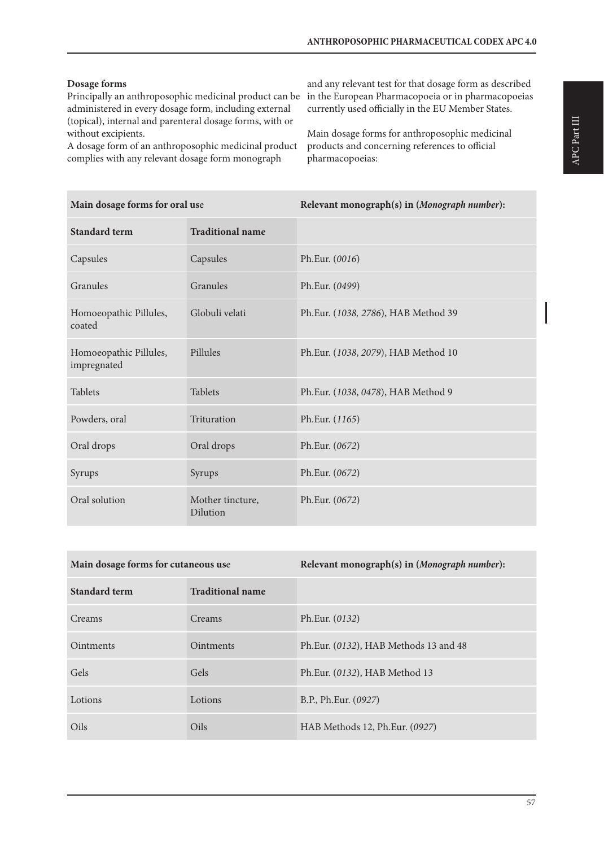# **Dosage forms**

Principally an anthroposophic medicinal product can be in the European Pharmacopoeia or in pharmacopoeias administered in every dosage form, including external (topical), internal and parenteral dosage forms, with or without excipients.

A dosage form of an anthroposophic medicinal product complies with any relevant dosage form monograph

and any relevant test for that dosage form as described currently used officially in the EU Member States.

Main dosage forms for anthroposophic medicinal products and concerning references to official pharmacopoeias:

| Main dosage forms for oral use        |                              | Relevant monograph(s) in (Monograph number): |
|---------------------------------------|------------------------------|----------------------------------------------|
| <b>Standard term</b>                  | <b>Traditional name</b>      |                                              |
| Capsules                              | Capsules                     | Ph.Eur. (0016)                               |
| Granules                              | Granules                     | Ph.Eur. (0499)                               |
| Homoeopathic Pillules,<br>coated      | Globuli velati               | Ph.Eur. (1038, 2786), HAB Method 39          |
| Homoeopathic Pillules,<br>impregnated | Pillules                     | Ph.Eur. (1038, 2079), HAB Method 10          |
| <b>Tablets</b>                        | <b>Tablets</b>               | Ph.Eur. (1038, 0478), HAB Method 9           |
| Powders, oral                         | Trituration                  | Ph.Eur. (1165)                               |
| Oral drops                            | Oral drops                   | Ph.Eur. (0672)                               |
| Syrups                                | Syrups                       | Ph.Eur. (0672)                               |
| Oral solution                         | Mother tincture,<br>Dilution | Ph.Eur. (0672)                               |

| Main dosage forms for cutaneous use |                         | Relevant monograph(s) in (Monograph number): |
|-------------------------------------|-------------------------|----------------------------------------------|
| <b>Standard term</b>                | <b>Traditional name</b> |                                              |
| Creams                              | Creams                  | Ph.Eur. (0132)                               |
| <b>Ointments</b>                    | <b>Ointments</b>        | Ph.Eur. (0132), HAB Methods 13 and 48        |
| Gels                                | Gels                    | Ph.Eur. (0132), HAB Method 13                |
| Lotions                             | Lotions                 | B.P., Ph.Eur. (0927)                         |
| Oils                                | Oils                    | HAB Methods 12, Ph.Eur. (0927)               |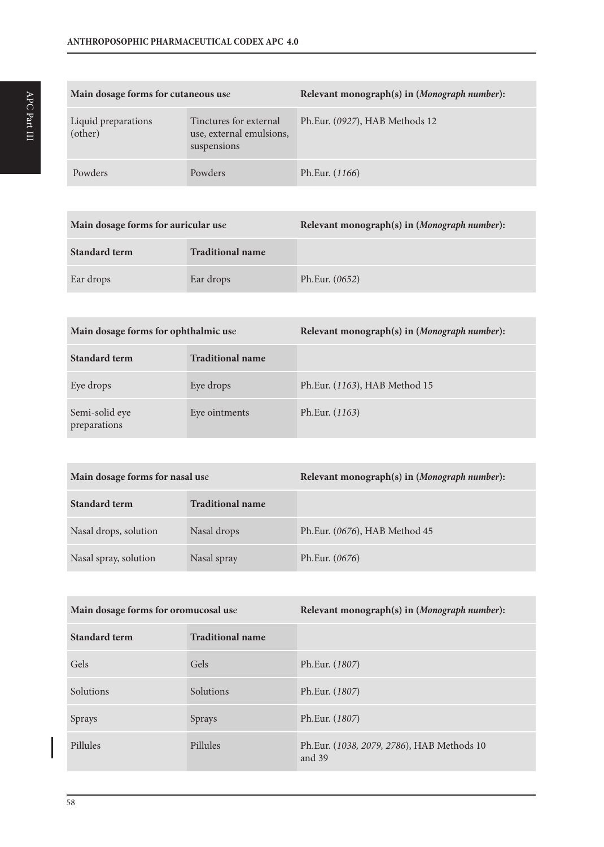| Main dosage forms for cutaneous use |                                                                   | Relevant monograph(s) in (Monograph number): |
|-------------------------------------|-------------------------------------------------------------------|----------------------------------------------|
| Liquid preparations<br>(other)      | Tinctures for external<br>use, external emulsions,<br>suspensions | Ph.Eur. (0927), HAB Methods 12               |
| Powders                             | Powders                                                           | Ph.Eur. (1166)                               |

| Main dosage forms for auricular use |                         | Relevant monograph(s) in (Monograph number): |
|-------------------------------------|-------------------------|----------------------------------------------|
| Standard term                       | <b>Traditional name</b> |                                              |
| Ear drops                           | Ear drops               | Ph.Eur. (0652)                               |

| Main dosage forms for ophthalmic use |                         | Relevant monograph(s) in (Monograph number): |
|--------------------------------------|-------------------------|----------------------------------------------|
| <b>Standard term</b>                 | <b>Traditional name</b> |                                              |
| Eye drops                            | Eye drops               | Ph.Eur. (1163), HAB Method 15                |
| Semi-solid eye<br>preparations       | Eye ointments           | Ph.Eur. (1163)                               |

| Main dosage forms for nasal use |                         | Relevant monograph(s) in (Monograph number): |
|---------------------------------|-------------------------|----------------------------------------------|
| <b>Standard term</b>            | <b>Traditional name</b> |                                              |
| Nasal drops, solution           | Nasal drops             | Ph.Eur. (0676), HAB Method 45                |
| Nasal spray, solution           | Nasal spray             | Ph.Eur. (0676)                               |

| Main dosage forms for oromucosal use |                         | Relevant monograph(s) in (Monograph number):         |
|--------------------------------------|-------------------------|------------------------------------------------------|
| <b>Standard term</b>                 | <b>Traditional name</b> |                                                      |
| Gels                                 | Gels                    | Ph.Eur. (1807)                                       |
| Solutions                            | Solutions               | Ph.Eur. (1807)                                       |
| Sprays                               | Sprays                  | Ph.Eur. (1807)                                       |
| Pillules                             | Pillules                | Ph.Eur. (1038, 2079, 2786), HAB Methods 10<br>and 39 |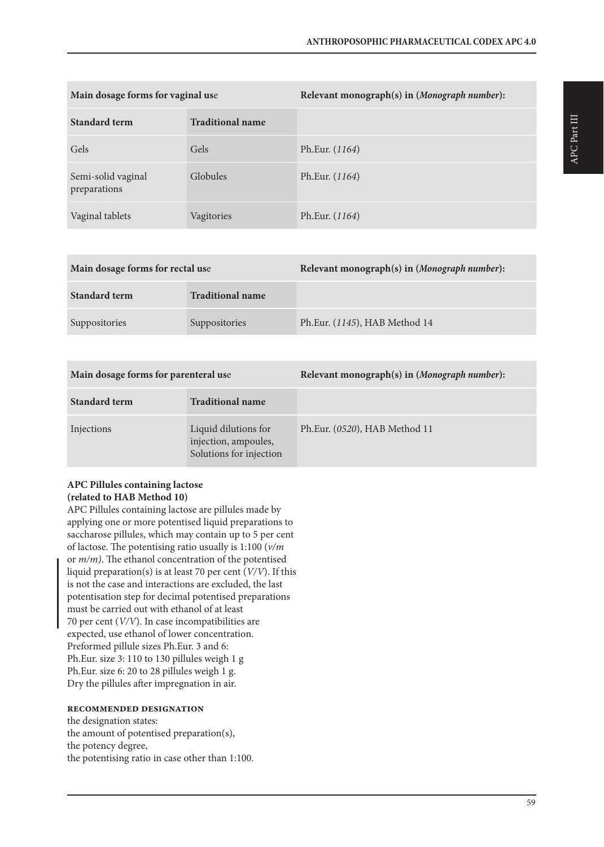| Main dosage forms for vaginal use  |                         | Relevant monograph(s) in (Monograph number): |
|------------------------------------|-------------------------|----------------------------------------------|
| Standard term                      | <b>Traditional name</b> |                                              |
| Gels                               | Gels                    | Ph.Eur. (1164)                               |
| Semi-solid vaginal<br>preparations | Globules                | Ph.Eur. (1164)                               |
| Vaginal tablets                    | Vagitories              | Ph.Eur. (1164)                               |

| Main dosage forms for rectal use |                         | Relevant monograph(s) in (Monograph number): |
|----------------------------------|-------------------------|----------------------------------------------|
| <b>Standard term</b>             | <b>Traditional name</b> |                                              |
| Suppositories                    | Suppositories           | Ph.Eur. (1145), HAB Method 14                |

| Main dosage forms for parenteral use |                                                                         | Relevant monograph(s) in (Monograph number): |
|--------------------------------------|-------------------------------------------------------------------------|----------------------------------------------|
| <b>Standard term</b>                 | <b>Traditional name</b>                                                 |                                              |
| Injections                           | Liquid dilutions for<br>injection, ampoules,<br>Solutions for injection | Ph.Eur. (0520), HAB Method 11                |

# **APC Pillules containing lactose (related to HAB Method 10)**

APC Pillules containing lactose are pillules made by applying one or more potentised liquid preparations to saccharose pillules, which may contain up to 5 per cent of lactose. The potentising ratio usually is 1:100 (*v/m* or *m/m)*. The ethanol concentration of the potentised liquid preparation(s) is at least 70 per cent (*V/V*). If this is not the case and interactions are excluded, the last potentisation step for decimal potentised preparations must be carried out with ethanol of at least 70 per cent (*V/V*). In case incompatibilities are expected, use ethanol of lower concentration. Preformed pillule sizes Ph.Eur. 3 and 6: Ph.Eur. size 3: 110 to 130 pillules weigh 1 g Ph.Eur. size 6: 20 to 28 pillules weigh 1 g. Dry the pillules after impregnation in air.

#### **recommended designation**

the designation states: the amount of potentised preparation(s), the potency degree, the potentising ratio in case other than 1:100.

59

APC Part III

APC Part III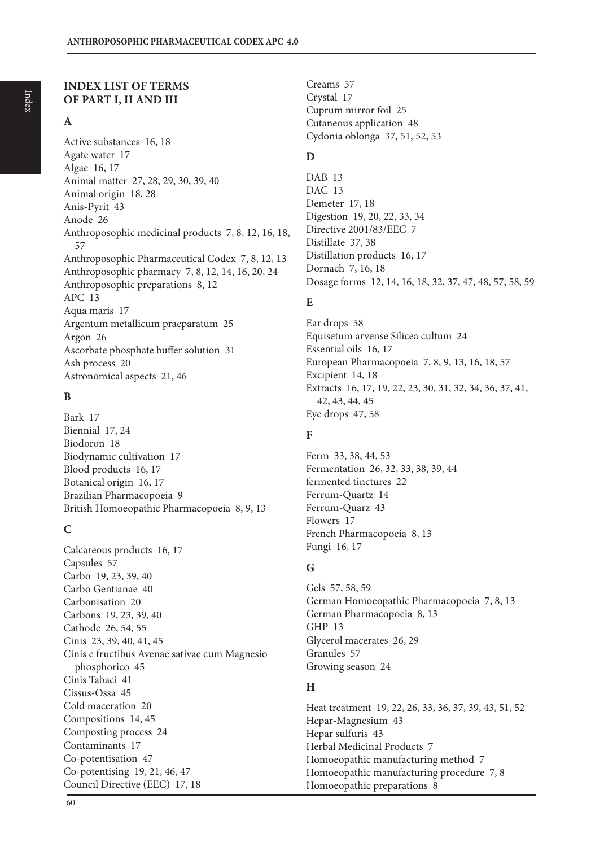# **INDEX LIST OF TERMS OF PART I, II AND III**

# **A**

Active substances 16, 18 Agate water 17 Algae 16, 17 Animal matter 27, 28, 29, 30, 39, 40 Animal origin 18, 28 Anis-Pyrit 43 Anode 26 Anthroposophic medicinal products 7, 8, 12, 16, 18, 57 Anthroposophic Pharmaceutical Codex 7, 8, 12, 13 Anthroposophic pharmacy 7, 8, 12, 14, 16, 20, 24 Anthroposophic preparations 8, 12 APC 13 Aqua maris 17 Argentum metallicum praeparatum 25 Argon 26 Ascorbate phosphate buffer solution 31 Ash process 20 Astronomical aspects 21, 46

# **B**

Bark 17 Biennial 17, 24 Biodoron 18 Biodynamic cultivation 17 Blood products 16, 17 Botanical origin 16, 17 Brazilian Pharmacopoeia 9 British Homoeopathic Pharmacopoeia 8, 9, 13

# **C**

Calcareous products 16, 17 Capsules 57 Carbo 19, 23, 39, 40 Carbo Gentianae 40 Carbonisation 20 Carbons 19, 23, 39, 40 Cathode 26, 54, 55 Cinis 23, 39, 40, 41, 45 Cinis e fructibus Avenae sativae cum Magnesio phosphorico 45 Cinis Tabaci 41 Cissus-Ossa 45 Cold maceration 20 Compositions 14, 45 Composting process 24 Contaminants 17 Co-potentisation 47 Co-potentising 19, 21, 46, 47 Council Directive (EEC) 17, 18

Creams 57 Crystal 17 Cuprum mirror foil 25 Cutaneous application 48 Cydonia oblonga 37, 51, 52, 53

# **D**

DAB<sub>13</sub> DAC 13 Demeter 17, 18 Digestion 19, 20, 22, 33, 34 Directive 2001/83/EEC 7 Distillate 37, 38 Distillation products 16, 17 Dornach 7, 16, 18 Dosage forms 12, 14, 16, 18, 32, 37, 47, 48, 57, 58, 59

# **E**

Ear drops 58 Equisetum arvense Silicea cultum 24 Essential oils 16, 17 European Pharmacopoeia 7, 8, 9, 13, 16, 18, 57 Excipient 14, 18 Extracts 16, 17, 19, 22, 23, 30, 31, 32, 34, 36, 37, 41, 42, 43, 44, 45 Eye drops 47, 58

# **F**

Ferm 33, 38, 44, 53 Fermentation 26, 32, 33, 38, 39, 44 fermented tinctures 22 Ferrum-Quartz 14 Ferrum-Quarz 43 Flowers 17 French Pharmacopoeia 8, 13 Fungi 16, 17

# **G**

Gels 57, 58, 59 German Homoeopathic Pharmacopoeia 7, 8, 13 German Pharmacopoeia 8, 13 GHP 13 Glycerol macerates 26, 29 Granules 57 Growing season 24

# **H**

Heat treatment 19, 22, 26, 33, 36, 37, 39, 43, 51, 52 Hepar-Magnesium 43 Hepar sulfuris 43 Herbal Medicinal Products 7 Homoeopathic manufacturing method 7 Homoeopathic manufacturing procedure 7, 8 Homoeopathic preparations 8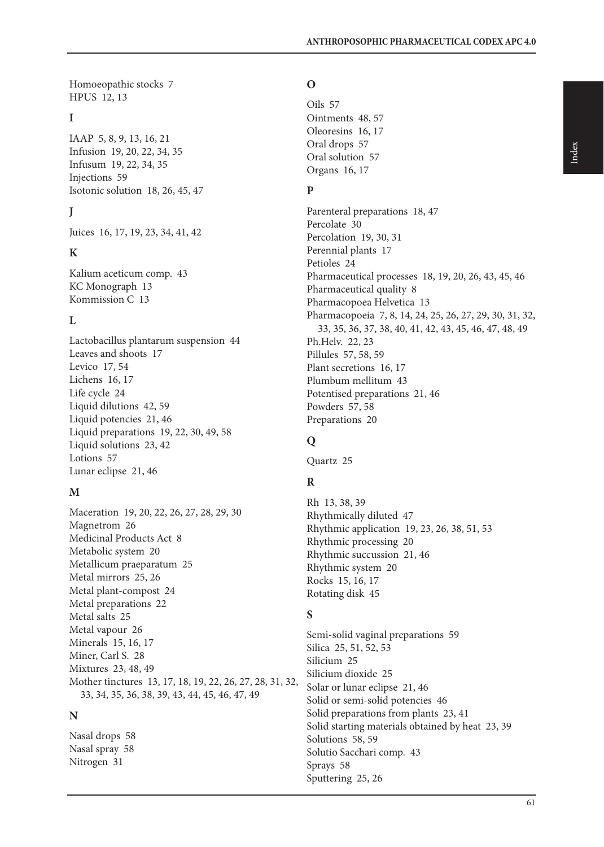Homoeopathic stocks 7 HPUS 12, 13

# **I**

IAAP 5, 8, 9, 13, 16, 21 Infusion 19, 20, 22, 34, 35 Infusum 19, 22, 34, 35 Injections 59 Isotonic solution 18, 26, 45, 47

# **J**

Juices 16, 17, 19, 23, 34, 41, 42

# **K**

Kalium aceticum comp. 43 KC Monograph 13 Kommission C 13

# **L**

Lactobacillus plantarum suspension 44 Leaves and shoots 17 Levico 17, 54 Lichens 16, 17 Life cycle 24 Liquid dilutions 42, 59 Liquid potencies 21, 46 Liquid preparations 19, 22, 30, 49, 58 Liquid solutions 23, 42 Lotions 57 Lunar eclipse 21, 46

# **M**

Maceration 19, 20, 22, 26, 27, 28, 29, 30 Magnetrom 26 Medicinal Products Act 8 Metabolic system 20 Metallicum praeparatum 25 Metal mirrors 25, 26 Metal plant-compost 24 Metal preparations 22 Metal salts 25 Metal vapour 26 Minerals 15, 16, 17 Miner, Carl S. 28 Mixtures 23, 48, 49 Mother tinctures 13, 17, 18, 19, 22, 26, 27, 28, 31, 32, 33, 34, 35, 36, 38, 39, 43, 44, 45, 46, 47, 49

# **N**

Nasal drops 58 Nasal spray 58 Nitrogen 31

# **O**

Oils 57 Ointments 48, 57 Oleoresins 16, 17 Oral drops 57 Oral solution 57 Organs 16, 17

# **P**

Parenteral preparations 18, 47 Percolate 30 Percolation 19, 30, 31 Perennial plants 17 Petioles 24 Pharmaceutical processes 18, 19, 20, 26, 43, 45, 46 Pharmaceutical quality 8 Pharmacopoea Helvetica 13 Pharmacopoeia 7, 8, 14, 24, 25, 26, 27, 29, 30, 31, 32, 33, 35, 36, 37, 38, 40, 41, 42, 43, 45, 46, 47, 48, 49 Ph.Helv. 22, 23 Pillules 57, 58, 59 Plant secretions 16, 17 Plumbum mellitum 43 Potentised preparations 21, 46 Powders 57, 58 Preparations 20

# **Q**

Quartz 25

# **R**

Rh 13, 38, 39 Rhythmically diluted 47 Rhythmic application 19, 23, 26, 38, 51, 53 Rhythmic processing 20 Rhythmic succussion 21, 46 Rhythmic system 20 Rocks 15, 16, 17 Rotating disk 45

# **S**

Semi-solid vaginal preparations 59 Silica 25, 51, 52, 53 Silicium 25 Silicium dioxide 25 Solar or lunar eclipse 21, 46 Solid or semi-solid potencies 46 Solid preparations from plants 23, 41 Solid starting materials obtained by heat 23, 39 Solutions 58, 59 Solutio Sacchari comp. 43 Sprays 58 Sputtering 25, 26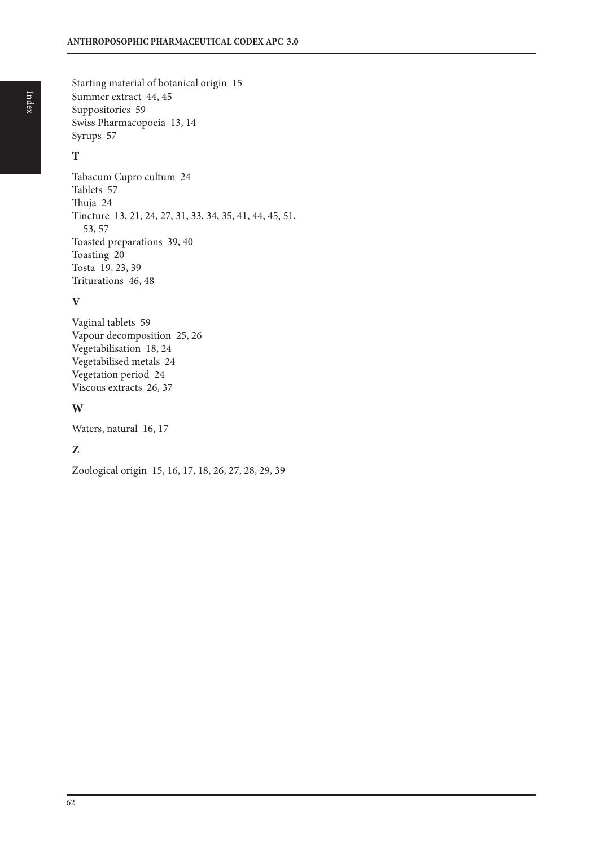Starting material of botanical origin 15 Summer extract 44, 45 Suppositories 59 Swiss Pharmacopoeia 13, 14 Syrups 57

# **T**

Tabacum Cupro cultum 24 Tablets 57 Thuja 24 Tincture 13, 21, 24, 27, 31, 33, 34, 35, 41, 44, 45, 51, 53, 57 Toasted preparations 39, 40 Toasting 20 Tosta 19, 23, 39 Triturations 46, 48

# **V**

Vaginal tablets 59 Vapour decomposition 25, 26 Vegetabilisation 18, 24 Vegetabilised metals 24 Vegetation period 24 Viscous extracts 26, 37

# **W**

Waters, natural 16, 17

# **Z**

Zoological origin 15, 16, 17, 18, 26, 27, 28, 29, 39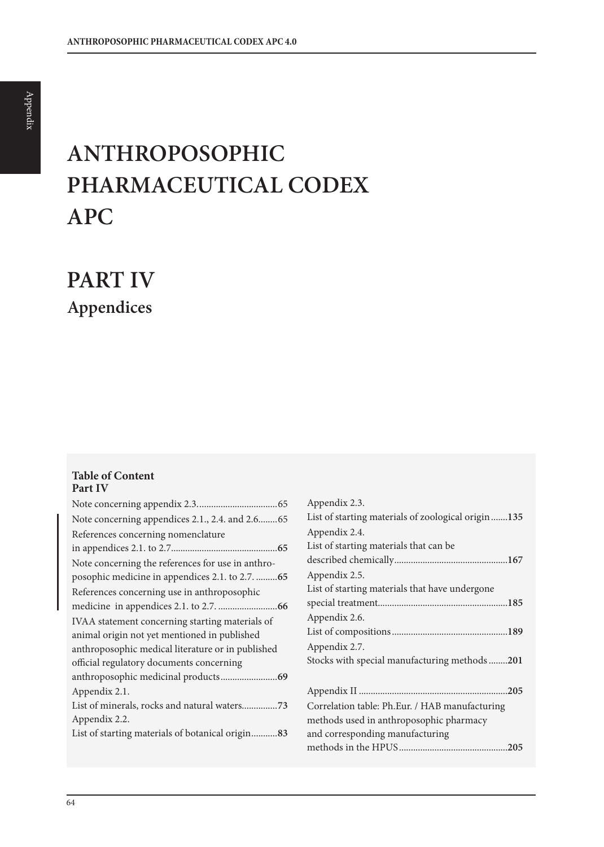# **ANTHROPOSOPHIC PHARMACEUTICAL CODEX APC**

**PART IV Appendices**

#### **Table of Content Part IV**

| Note concerning appendices 2.1., 2.4. and 2.665   |
|---------------------------------------------------|
| References concerning nomenclature                |
|                                                   |
| Note concerning the references for use in anthro- |
| posophic medicine in appendices 2.1. to 2.7.  65  |
| References concerning use in anthroposophic       |
|                                                   |
| IVAA statement concerning starting materials of   |
| animal origin not yet mentioned in published      |
| anthroposophic medical literature or in published |
| official regulatory documents concerning          |
|                                                   |
| Appendix 2.1.                                     |
|                                                   |
| Appendix 2.2.                                     |
| List of starting materials of botanical origin83  |
|                                                   |

| Appendix 2.3.                                       |
|-----------------------------------------------------|
| List of starting materials of zoological origin 135 |
| Appendix 2.4.                                       |
| List of starting materials that can be.             |
|                                                     |
| Appendix 2.5.                                       |
| List of starting materials that have undergone      |
|                                                     |
| Appendix 2.6.                                       |
|                                                     |
| Appendix 2.7.                                       |
| Stocks with special manufacturing methods201        |
|                                                     |
| .205                                                |
| Correlation table: Ph.Eur. / HAB manufacturing      |
| methods used in anthroposophic pharmacy             |
| and corresponding manufacturing                     |
| .205                                                |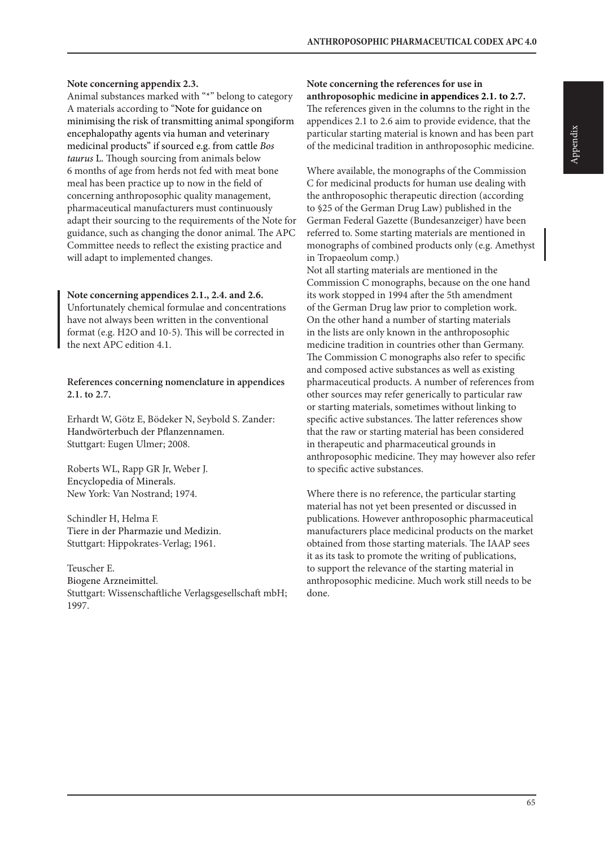#### **Note concerning appendix 2.3.**

Animal substances marked with "\*" belong to category A materials according to "Note for guidance on minimising the risk of transmitting animal spongiform encephalopathy agents via human and veterinary medicinal products" if sourced e.g. from cattle *Bos taurus* L. Though sourcing from animals below 6 months of age from herds not fed with meat bone meal has been practice up to now in the field of concerning anthroposophic quality management, pharmaceutical manufacturers must continuously adapt their sourcing to the requirements of the Note for guidance, such as changing the donor animal. The APC Committee needs to reflect the existing practice and will adapt to implemented changes.

#### **Note concerning appendices 2.1., 2.4. and 2.6.**

Unfortunately chemical formulae and concentrations have not always been written in the conventional format (e.g. H2O and 10-5). This will be corrected in the next APC edition 4.1.

**References concerning nomenclature in appendices 2.1. to 2.7.**

Erhardt W, Götz E, Bödeker N, Seybold S. Zander: Handwörterbuch der Pflanzennamen. Stuttgart: Eugen Ulmer; 2008.

Roberts WL, Rapp GR Jr, Weber J. Encyclopedia of Minerals. New York: Van Nostrand; 1974.

Schindler H, Helma F. Tiere in der Pharmazie und Medizin. Stuttgart: Hippokrates-Verlag; 1961.

Teuscher E. Biogene Arzneimittel. Stuttgart: Wissenschaftliche Verlagsgesellschaft mbH; 1997.

#### **Note concerning the references for use in anthroposophic medicine in appendices 2.1. to 2.7.**

The references given in the columns to the right in the appendices 2.1 to 2.6 aim to provide evidence, that the particular starting material is known and has been part of the medicinal tradition in anthroposophic medicine.

Where available, the monographs of the Commission C for medicinal products for human use dealing with the anthroposophic therapeutic direction (according to §25 of the German Drug Law) published in the German Federal Gazette (Bundesanzeiger) have been referred to. Some starting materials are mentioned in monographs of combined products only (e.g. Amethyst in Tropaeolum comp.)

Not all starting materials are mentioned in the Commission C monographs, because on the one hand its work stopped in 1994 after the 5th amendment of the German Drug law prior to completion work. On the other hand a number of starting materials in the lists are only known in the anthroposophic medicine tradition in countries other than Germany. The Commission C monographs also refer to specific and composed active substances as well as existing pharmaceutical products. A number of references from other sources may refer generically to particular raw or starting materials, sometimes without linking to specific active substances. The latter references show that the raw or starting material has been considered in therapeutic and pharmaceutical grounds in anthroposophic medicine. They may however also refer to specific active substances.

Where there is no reference, the particular starting material has not yet been presented or discussed in publications. However anthroposophic pharmaceutical manufacturers place medicinal products on the market obtained from those starting materials. The IAAP sees it as its task to promote the writing of publications, to support the relevance of the starting material in anthroposophic medicine. Much work still needs to be done.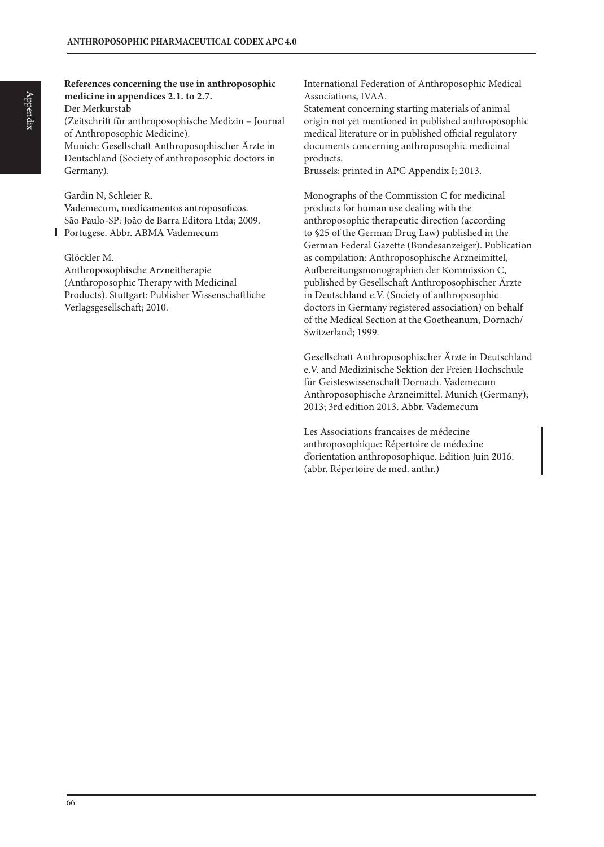Der Merkurstab (Zeitschrift für anthroposophische Medizin – Journal of Anthroposophic Medicine). Munich: Gesellschaft Anthroposophischer Ärzte in

Deutschland (Society of anthroposophic doctors in Germany).

Gardin N, Schleier R.

Vademecum, medicamentos antroposoficos. São Paulo-SP: João de Barra Editora Ltda; 2009. Portugese. Abbr. ABMA Vademecum

Glöckler M.

Anthroposophische Arzneitherapie (Anthroposophic Therapy with Medicinal Products). Stuttgart: Publisher Wissenschaftliche Verlagsgesellschaft; 2010.

International Federation of Anthroposophic Medical Associations, IVAA.

Statement concerning starting materials of animal origin not yet mentioned in published anthroposophic medical literature or in published official regulatory documents concerning anthroposophic medicinal products.

Brussels: printed in APC Appendix I; 2013.

Monographs of the Commission C for medicinal products for human use dealing with the anthroposophic therapeutic direction (according to §25 of the German Drug Law) published in the German Federal Gazette (Bundesanzeiger). Publication as compilation: Anthroposophische Arzneimittel, Aufbereitungsmonographien der Kommission C, published by Gesellschaft Anthroposophischer Ärzte in Deutschland e.V. (Society of anthroposophic doctors in Germany registered association) on behalf of the Medical Section at the Goetheanum, Dornach/ Switzerland; 1999.

Gesellschaft Anthroposophischer Ärzte in Deutschland e.V. and Medizinische Sektion der Freien Hochschule für Geisteswissenschaft Dornach. Vademecum Anthroposophische Arzneimittel. Munich (Germany); 2013; 3rd edition 2013. Abbr. Vademecum

Les Associations francaises de médecine anthroposophique: Répertoire de médecine d'orientation anthroposophique. Edition Juin 2016. (abbr. Répertoire de med. anthr.)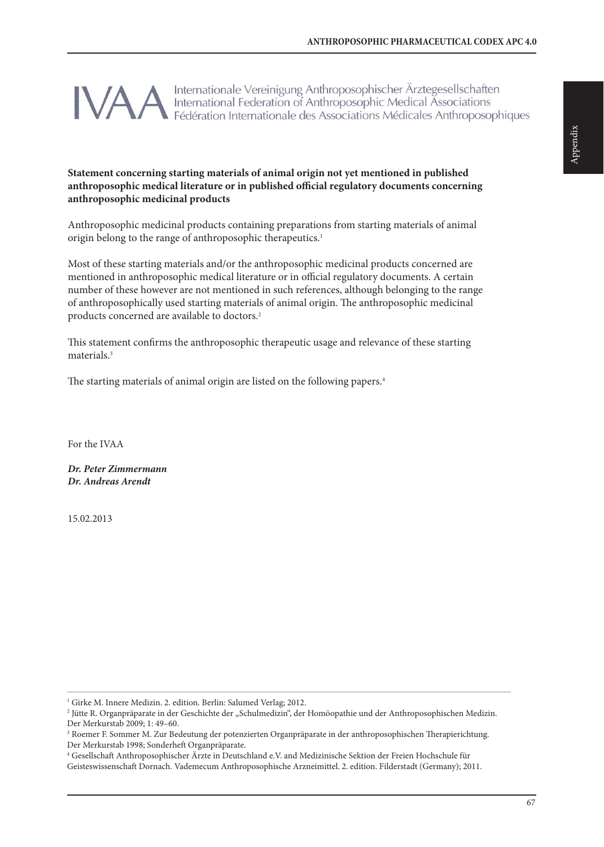Internationale Vereinigung Anthroposophischer Ärztegesellschaften International Federation of Anthroposophic Medical Associations Fédération Internationale des Associations Médicales Anthroposophiques

### **Statement concerning starting materials of animal origin not yet mentioned in published anthroposophic medical literature or in published official regulatory documents concerning anthroposophic medicinal products**

Anthroposophic medicinal products containing preparations from starting materials of animal origin belong to the range of anthroposophic therapeutics.<sup>1</sup>

Most of these starting materials and/or the anthroposophic medicinal products concerned are mentioned in anthroposophic medical literature or in official regulatory documents. A certain number of these however are not mentioned in such references, although belonging to the range of anthroposophically used starting materials of animal origin. The anthroposophic medicinal products concerned are available to doctors.<sup>2</sup>

This statement confirms the anthroposophic therapeutic usage and relevance of these starting materials.3

The starting materials of animal origin are listed on the following papers.4

For the IVAA

*Dr. Peter Zimmermann Dr. Andreas Arendt*

15.02.2013

<sup>&</sup>lt;sup>1</sup> Girke M. Innere Medizin. 2. edition. Berlin: Salumed Verlag; 2012.

 $^2$  Jütte R. Organpräparate in der Geschichte der "Schulmedizin", der Homöopathie und der Anthroposophischen Medizin. Der Merkurstab 2009; 1: 49–60.

<sup>3</sup> Roemer F. Sommer M. Zur Bedeutung der potenzierten Organpräparate in der anthroposophischen Therapierichtung. Der Merkurstab 1998; Sonderheft Organpräparate.

<sup>4</sup> Gesellschaft Anthroposophischer Ärzte in Deutschland e.V. and Medizinische Sektion der Freien Hochschule für

Geisteswissenschaft Dornach. Vademecum Anthroposophische Arzneimittel. 2. edition. Filderstadt (Germany); 2011.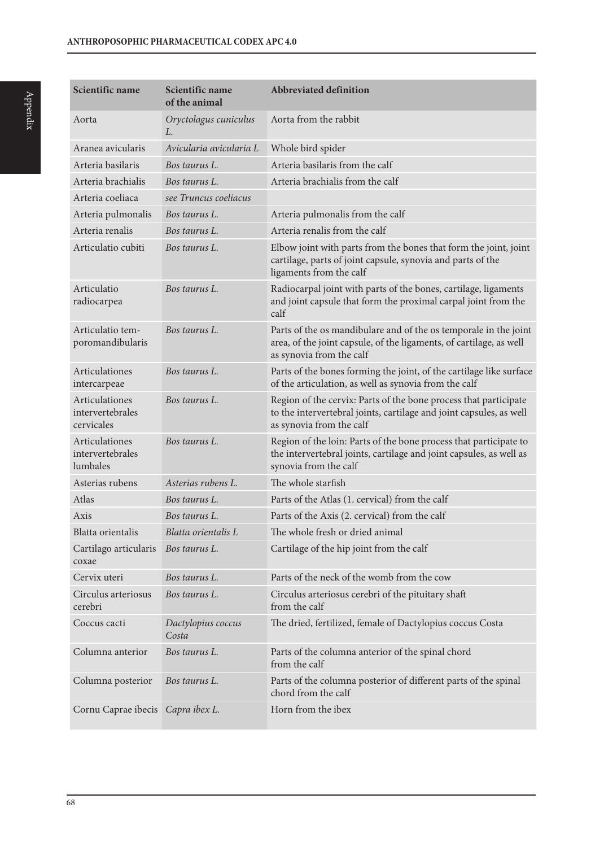| Scientific name                                  | Scientific name<br>of the animal | <b>Abbreviated definition</b>                                                                                                                                       |
|--------------------------------------------------|----------------------------------|---------------------------------------------------------------------------------------------------------------------------------------------------------------------|
| Aorta                                            | Oryctolagus cuniculus<br>L.      | Aorta from the rabbit                                                                                                                                               |
| Aranea avicularis                                | Avicularia avicularia L          | Whole bird spider                                                                                                                                                   |
| Arteria basilaris                                | Bos taurus L.                    | Arteria basilaris from the calf                                                                                                                                     |
| Arteria brachialis                               | Bos taurus L.                    | Arteria brachialis from the calf                                                                                                                                    |
| Arteria coeliaca                                 | see Truncus coeliacus            |                                                                                                                                                                     |
| Arteria pulmonalis                               | Bos taurus L.                    | Arteria pulmonalis from the calf                                                                                                                                    |
| Arteria renalis                                  | Bos taurus L.                    | Arteria renalis from the calf                                                                                                                                       |
| Articulatio cubiti                               | Bos taurus L.                    | Elbow joint with parts from the bones that form the joint, joint<br>cartilage, parts of joint capsule, synovia and parts of the<br>ligaments from the calf          |
| Articulatio<br>radiocarpea                       | Bos taurus L.                    | Radiocarpal joint with parts of the bones, cartilage, ligaments<br>and joint capsule that form the proximal carpal joint from the<br>calf                           |
| Articulatio tem-<br>poromandibularis             | Bos taurus L.                    | Parts of the os mandibulare and of the os temporale in the joint<br>area, of the joint capsule, of the ligaments, of cartilage, as well<br>as synovia from the calf |
| Articulationes<br>intercarpeae                   | Bos taurus L.                    | Parts of the bones forming the joint, of the cartilage like surface<br>of the articulation, as well as synovia from the calf                                        |
| Articulationes<br>intervertebrales<br>cervicales | Bos taurus L.                    | Region of the cervix: Parts of the bone process that participate<br>to the intervertebral joints, cartilage and joint capsules, as well<br>as synovia from the calf |
| Articulationes<br>intervertebrales<br>lumbales   | Bos taurus L.                    | Region of the loin: Parts of the bone process that participate to<br>the intervertebral joints, cartilage and joint capsules, as well as<br>synovia from the calf   |
| Asterias rubens                                  | Asterias rubens L.               | The whole starfish                                                                                                                                                  |
| Atlas                                            | Bos taurus L.                    | Parts of the Atlas (1. cervical) from the calf                                                                                                                      |
| Axis                                             | Bos taurus L.                    | Parts of the Axis (2. cervical) from the calf                                                                                                                       |
| <b>Blatta</b> orientalis                         | Blatta orientalis L              | The whole fresh or dried animal                                                                                                                                     |
| Cartilago articularis<br>coxae                   | Bos taurus L.                    | Cartilage of the hip joint from the calf                                                                                                                            |
| Cervix uteri                                     | Bos taurus L.                    | Parts of the neck of the womb from the cow                                                                                                                          |
| Circulus arteriosus<br>cerebri                   | Bos taurus L.                    | Circulus arteriosus cerebri of the pituitary shaft<br>from the calf                                                                                                 |
| Coccus cacti                                     | Dactylopius coccus<br>Costa      | The dried, fertilized, female of Dactylopius coccus Costa                                                                                                           |
| Columna anterior                                 | Bos taurus L.                    | Parts of the columna anterior of the spinal chord<br>from the calf                                                                                                  |
| Columna posterior                                | Bos taurus L.                    | Parts of the columna posterior of different parts of the spinal<br>chord from the calf                                                                              |
| Cornu Caprae ibecis                              | Capra ibex L.                    | Horn from the ibex                                                                                                                                                  |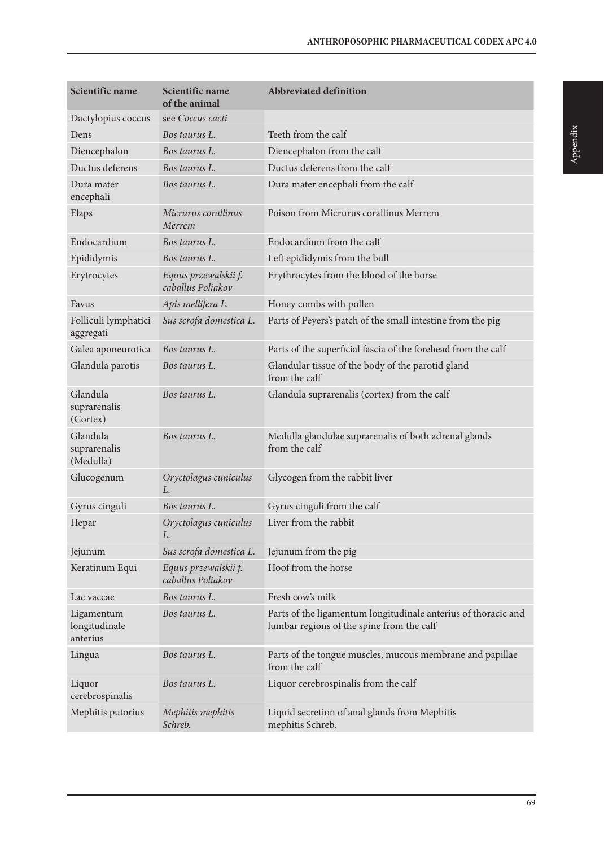| Scientific name                         | Scientific name<br>of the animal          | <b>Abbreviated definition</b>                                                                               |
|-----------------------------------------|-------------------------------------------|-------------------------------------------------------------------------------------------------------------|
| Dactylopius coccus                      | see Coccus cacti                          |                                                                                                             |
| Dens                                    | Bos taurus L.                             | Teeth from the calf                                                                                         |
| Diencephalon                            | Bos taurus L.                             | Diencephalon from the calf                                                                                  |
| Ductus deferens                         | Bos taurus L.                             | Ductus deferens from the calf                                                                               |
| Dura mater<br>encephali                 | Bos taurus L.                             | Dura mater encephali from the calf                                                                          |
| Elaps                                   | Micrurus corallinus<br>Merrem             | Poison from Micrurus corallinus Merrem                                                                      |
| Endocardium                             | Bos taurus L.                             | Endocardium from the calf                                                                                   |
| Epididymis                              | Bos taurus L.                             | Left epididymis from the bull                                                                               |
| Erytrocytes                             | Equus przewalskii f.<br>caballus Poliakov | Erythrocytes from the blood of the horse                                                                    |
| Favus                                   | Apis mellifera L.                         | Honey combs with pollen                                                                                     |
| Folliculi lymphatici<br>aggregati       | Sus scrofa domestica L.                   | Parts of Peyers's patch of the small intestine from the pig                                                 |
| Galea aponeurotica                      | Bos taurus L.                             | Parts of the superficial fascia of the forehead from the calf                                               |
| Glandula parotis                        | Bos taurus L.                             | Glandular tissue of the body of the parotid gland<br>from the calf                                          |
| Glandula<br>suprarenalis<br>(Cortex)    | Bos taurus L.                             | Glandula suprarenalis (cortex) from the calf                                                                |
| Glandula<br>suprarenalis<br>(Medulla)   | Bos taurus L.                             | Medulla glandulae suprarenalis of both adrenal glands<br>from the calf                                      |
| Glucogenum                              | Oryctolagus cuniculus<br>L.               | Glycogen from the rabbit liver                                                                              |
| Gyrus cinguli                           | Bos taurus L.                             | Gyrus cinguli from the calf                                                                                 |
| Hepar                                   | Oryctolagus cuniculus<br>L.               | Liver from the rabbit                                                                                       |
| Jejunum                                 | Sus scrofa domestica L.                   | Jejunum from the pig                                                                                        |
| Keratinum Equi                          | Equus przewalskii f.<br>caballus Poliakov | Hoof from the horse                                                                                         |
| Lac vaccae                              | Bos taurus L.                             | Fresh cow's milk                                                                                            |
| Ligamentum<br>longitudinale<br>anterius | Bos taurus L.                             | Parts of the ligamentum longitudinale anterius of thoracic and<br>lumbar regions of the spine from the calf |
| Lingua                                  | Bos taurus L.                             | Parts of the tongue muscles, mucous membrane and papillae<br>from the calf                                  |
| Liquor<br>cerebrospinalis               | Bos taurus L.                             | Liquor cerebrospinalis from the calf                                                                        |
| Mephitis putorius                       | Mephitis mephitis<br>Schreb.              | Liquid secretion of anal glands from Mephitis<br>mephitis Schreb.                                           |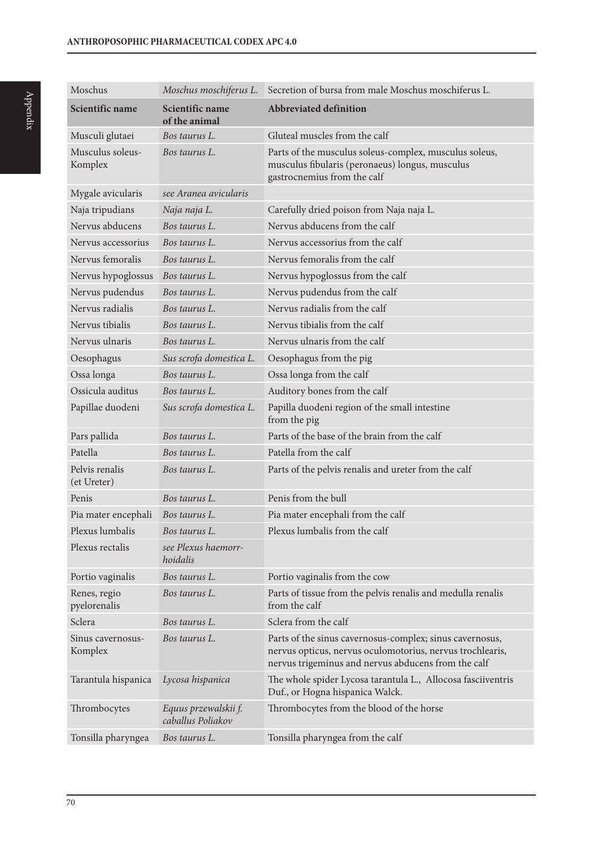| Moschus                       | Moschus moschiferus L.                    | Secretion of bursa from male Moschus moschiferus L.                                                                                                                          |
|-------------------------------|-------------------------------------------|------------------------------------------------------------------------------------------------------------------------------------------------------------------------------|
| Scientific name               | Scientific name<br>of the animal          | <b>Abbreviated definition</b>                                                                                                                                                |
| Musculi glutaei               | Bos taurus L.                             | Gluteal muscles from the calf                                                                                                                                                |
| Musculus soleus-<br>Komplex   | Bos taurus L.                             | Parts of the musculus soleus-complex, musculus soleus,<br>musculus fibularis (peronaeus) longus, musculus<br>gastrocnemius from the calf                                     |
| Mygale avicularis             | see Aranea avicularis                     |                                                                                                                                                                              |
| Naja tripudians               | Naja naja L.                              | Carefully dried poison from Naja naja L.                                                                                                                                     |
| Nervus abducens               | Bos taurus L.                             | Nervus abducens from the calf                                                                                                                                                |
| Nervus accessorius            | Bos taurus L.                             | Nervus accessorius from the calf                                                                                                                                             |
| Nervus femoralis              | Bos taurus L.                             | Nervus femoralis from the calf                                                                                                                                               |
| Nervus hypoglossus            | Bos taurus L.                             | Nervus hypoglossus from the calf                                                                                                                                             |
| Nervus pudendus               | Bos taurus L.                             | Nervus pudendus from the calf                                                                                                                                                |
| Nervus radialis               | Bos taurus L.                             | Nervus radialis from the calf                                                                                                                                                |
| Nervus tibialis               | Bos taurus L.                             | Nervus tibialis from the calf                                                                                                                                                |
| Nervus ulnaris                | Bos taurus L.                             | Nervus ulnaris from the calf                                                                                                                                                 |
| Oesophagus                    | Sus scrofa domestica L.                   | Oesophagus from the pig                                                                                                                                                      |
| Ossa longa                    | Bos taurus L.                             | Ossa longa from the calf                                                                                                                                                     |
| Ossicula auditus              | Bos taurus L.                             | Auditory bones from the calf                                                                                                                                                 |
| Papillae duodeni              | Sus scrofa domestica L.                   | Papilla duodeni region of the small intestine<br>from the pig                                                                                                                |
| Pars pallida                  | Bos taurus L.                             | Parts of the base of the brain from the calf                                                                                                                                 |
| Patella                       | Bos taurus L.                             | Patella from the calf                                                                                                                                                        |
| Pelvis renalis<br>(et Ureter) | Bos taurus L.                             | Parts of the pelvis renalis and ureter from the calf                                                                                                                         |
| Penis                         | Bos taurus L.                             | Penis from the bull                                                                                                                                                          |
| Pia mater encephali           | Bos taurus L.                             | Pia mater encephali from the calf                                                                                                                                            |
| Plexus lumbalis               | Bos taurus L.                             | Plexus lumbalis from the calf                                                                                                                                                |
| Plexus rectalis               | see Plexus haemorr-<br>hoidalis           |                                                                                                                                                                              |
| Portio vaginalis              | Bos taurus L.                             | Portio vaginalis from the cow                                                                                                                                                |
| Renes, regio<br>pyelorenalis  | Bos taurus L.                             | Parts of tissue from the pelvis renalis and medulla renalis<br>from the calf                                                                                                 |
| Sclera                        | Bos taurus L.                             | Sclera from the calf                                                                                                                                                         |
| Sinus cavernosus-<br>Komplex  | Bos taurus L.                             | Parts of the sinus cavernosus-complex; sinus cavernosus,<br>nervus opticus, nervus oculomotorius, nervus trochlearis,<br>nervus trigeminus and nervus abducens from the calf |
| Tarantula hispanica           | Lycosa hispanica                          | The whole spider Lycosa tarantula L., Allocosa fasciiventris<br>Duf., or Hogna hispanica Walck.                                                                              |
| Thrombocytes                  | Equus przewalskii f.<br>caballus Poliakov | Thrombocytes from the blood of the horse                                                                                                                                     |
| Tonsilla pharyngea            | Bos taurus L.                             | Tonsilla pharyngea from the calf                                                                                                                                             |